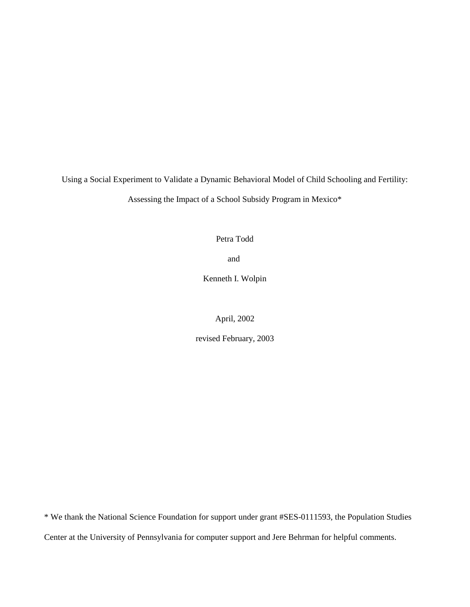Using a Social Experiment to Validate a Dynamic Behavioral Model of Child Schooling and Fertility: Assessing the Impact of a School Subsidy Program in Mexico\*

Petra Todd

and

Kenneth I. Wolpin

April, 2002

revised February, 2003

\* We thank the National Science Foundation for support under grant #SES-0111593, the Population Studies Center at the University of Pennsylvania for computer support and Jere Behrman for helpful comments.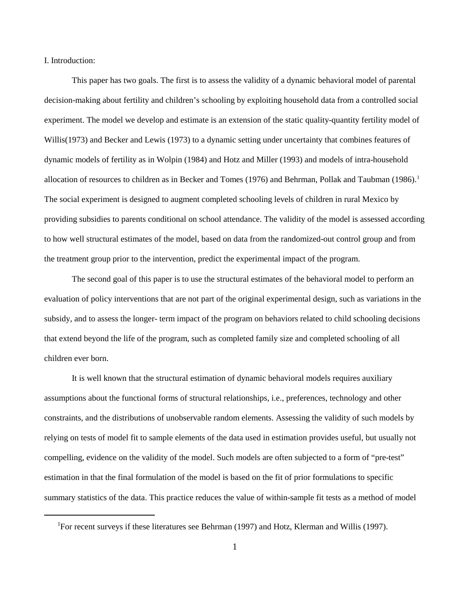I. Introduction:

This paper has two goals. The first is to assess the validity of a dynamic behavioral model of parental decision-making about fertility and children's schooling by exploiting household data from a controlled social experiment. The model we develop and estimate is an extension of the static quality-quantity fertility model of Willis(1973) and Becker and Lewis (1973) to a dynamic setting under uncertainty that combines features of dynamic models of fertility as in Wolpin (1984) and Hotz and Miller (1993) and models of intra-household allocation of resources to children as in Becker and Tomes (1976) and Behrman, Pollak and Taubman (1986). 1 The social experiment is designed to augment completed schooling levels of children in rural Mexico by providing subsidies to parents conditional on school attendance. The validity of the model is assessed according to how well structural estimates of the model, based on data from the randomized-out control group and from the treatment group prior to the intervention, predict the experimental impact of the program.

The second goal of this paper is to use the structural estimates of the behavioral model to perform an evaluation of policy interventions that are not part of the original experimental design, such as variations in the subsidy, and to assess the longer- term impact of the program on behaviors related to child schooling decisions that extend beyond the life of the program, such as completed family size and completed schooling of all children ever born.

It is well known that the structural estimation of dynamic behavioral models requires auxiliary assumptions about the functional forms of structural relationships, i.e., preferences, technology and other constraints, and the distributions of unobservable random elements. Assessing the validity of such models by relying on tests of model fit to sample elements of the data used in estimation provides useful, but usually not compelling, evidence on the validity of the model. Such models are often subjected to a form of "pre-test" estimation in that the final formulation of the model is based on the fit of prior formulations to specific summary statistics of the data. This practice reduces the value of within-sample fit tests as a method of model

<sup>&</sup>lt;sup>1</sup>For recent surveys if these literatures see Behrman (1997) and Hotz, Klerman and Willis (1997).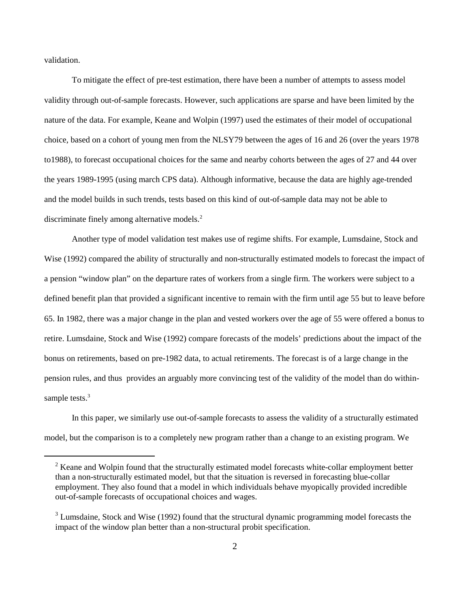validation.

To mitigate the effect of pre-test estimation, there have been a number of attempts to assess model validity through out-of-sample forecasts. However, such applications are sparse and have been limited by the nature of the data. For example, Keane and Wolpin (1997) used the estimates of their model of occupational choice, based on a cohort of young men from the NLSY79 between the ages of 16 and 26 (over the years 1978 to1988), to forecast occupational choices for the same and nearby cohorts between the ages of 27 and 44 over the years 1989-1995 (using march CPS data). Although informative, because the data are highly age-trended and the model builds in such trends, tests based on this kind of out-of-sample data may not be able to discriminate finely among alternative models.<sup>2</sup>

Another type of model validation test makes use of regime shifts. For example, Lumsdaine, Stock and Wise (1992) compared the ability of structurally and non-structurally estimated models to forecast the impact of a pension "window plan" on the departure rates of workers from a single firm. The workers were subject to a defined benefit plan that provided a significant incentive to remain with the firm until age 55 but to leave before 65. In 1982, there was a major change in the plan and vested workers over the age of 55 were offered a bonus to retire. Lumsdaine, Stock and Wise (1992) compare forecasts of the models' predictions about the impact of the bonus on retirements, based on pre-1982 data, to actual retirements. The forecast is of a large change in the pension rules, and thus provides an arguably more convincing test of the validity of the model than do withinsample tests.<sup>3</sup>

In this paper, we similarly use out-of-sample forecasts to assess the validity of a structurally estimated model, but the comparison is to a completely new program rather than a change to an existing program. We

 $2$  Keane and Wolpin found that the structurally estimated model forecasts white-collar employment better than a non-structurally estimated model, but that the situation is reversed in forecasting blue-collar employment. They also found that a model in which individuals behave myopically provided incredible out-of-sample forecasts of occupational choices and wages.

<sup>&</sup>lt;sup>3</sup> Lumsdaine, Stock and Wise (1992) found that the structural dynamic programming model forecasts the impact of the window plan better than a non-structural probit specification.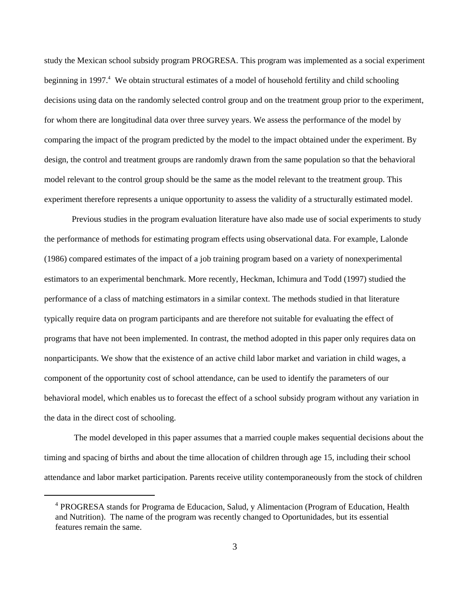study the Mexican school subsidy program PROGRESA. This program was implemented as a social experiment beginning in 1997.<sup>4</sup> We obtain structural estimates of a model of household fertility and child schooling decisions using data on the randomly selected control group and on the treatment group prior to the experiment, for whom there are longitudinal data over three survey years. We assess the performance of the model by comparing the impact of the program predicted by the model to the impact obtained under the experiment. By design, the control and treatment groups are randomly drawn from the same population so that the behavioral model relevant to the control group should be the same as the model relevant to the treatment group. This experiment therefore represents a unique opportunity to assess the validity of a structurally estimated model.

Previous studies in the program evaluation literature have also made use of social experiments to study the performance of methods for estimating program effects using observational data. For example, Lalonde (1986) compared estimates of the impact of a job training program based on a variety of nonexperimental estimators to an experimental benchmark. More recently, Heckman, Ichimura and Todd (1997) studied the performance of a class of matching estimators in a similar context. The methods studied in that literature typically require data on program participants and are therefore not suitable for evaluating the effect of programs that have not been implemented. In contrast, the method adopted in this paper only requires data on nonparticipants. We show that the existence of an active child labor market and variation in child wages, a component of the opportunity cost of school attendance, can be used to identify the parameters of our behavioral model, which enables us to forecast the effect of a school subsidy program without any variation in the data in the direct cost of schooling.

 The model developed in this paper assumes that a married couple makes sequential decisions about the timing and spacing of births and about the time allocation of children through age 15, including their school attendance and labor market participation. Parents receive utility contemporaneously from the stock of children

<sup>&</sup>lt;sup>4</sup> PROGRESA stands for Programa de Educacion, Salud, y Alimentacion (Program of Education, Health and Nutrition). The name of the program was recently changed to Oportunidades, but its essential features remain the same.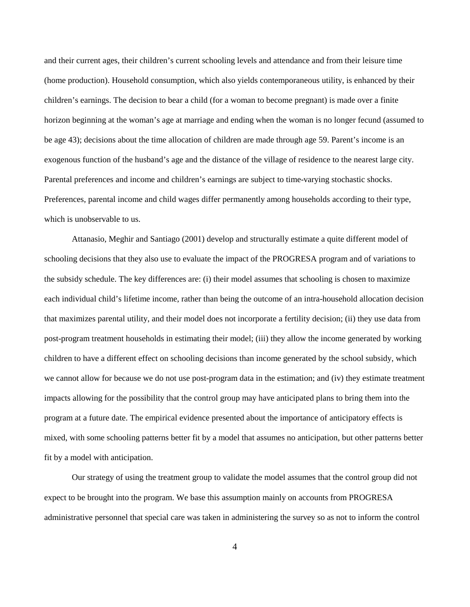and their current ages, their children's current schooling levels and attendance and from their leisure time (home production). Household consumption, which also yields contemporaneous utility, is enhanced by their children's earnings. The decision to bear a child (for a woman to become pregnant) is made over a finite horizon beginning at the woman's age at marriage and ending when the woman is no longer fecund (assumed to be age 43); decisions about the time allocation of children are made through age 59. Parent's income is an exogenous function of the husband's age and the distance of the village of residence to the nearest large city. Parental preferences and income and children's earnings are subject to time-varying stochastic shocks. Preferences, parental income and child wages differ permanently among households according to their type, which is unobservable to us.

Attanasio, Meghir and Santiago (2001) develop and structurally estimate a quite different model of schooling decisions that they also use to evaluate the impact of the PROGRESA program and of variations to the subsidy schedule. The key differences are: (i) their model assumes that schooling is chosen to maximize each individual child's lifetime income, rather than being the outcome of an intra-household allocation decision that maximizes parental utility, and their model does not incorporate a fertility decision; (ii) they use data from post-program treatment households in estimating their model; (iii) they allow the income generated by working children to have a different effect on schooling decisions than income generated by the school subsidy, which we cannot allow for because we do not use post-program data in the estimation; and (iv) they estimate treatment impacts allowing for the possibility that the control group may have anticipated plans to bring them into the program at a future date. The empirical evidence presented about the importance of anticipatory effects is mixed, with some schooling patterns better fit by a model that assumes no anticipation, but other patterns better fit by a model with anticipation.

Our strategy of using the treatment group to validate the model assumes that the control group did not expect to be brought into the program. We base this assumption mainly on accounts from PROGRESA administrative personnel that special care was taken in administering the survey so as not to inform the control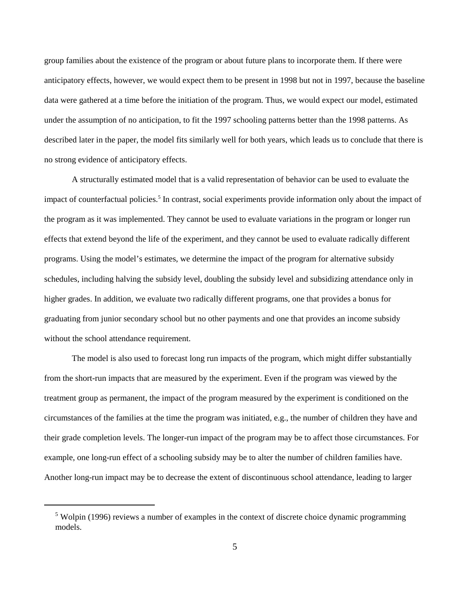group families about the existence of the program or about future plans to incorporate them. If there were anticipatory effects, however, we would expect them to be present in 1998 but not in 1997, because the baseline data were gathered at a time before the initiation of the program. Thus, we would expect our model, estimated under the assumption of no anticipation, to fit the 1997 schooling patterns better than the 1998 patterns. As described later in the paper, the model fits similarly well for both years, which leads us to conclude that there is no strong evidence of anticipatory effects.

A structurally estimated model that is a valid representation of behavior can be used to evaluate the impact of counterfactual policies.<sup>5</sup> In contrast, social experiments provide information only about the impact of the program as it was implemented. They cannot be used to evaluate variations in the program or longer run effects that extend beyond the life of the experiment, and they cannot be used to evaluate radically different programs. Using the model's estimates, we determine the impact of the program for alternative subsidy schedules, including halving the subsidy level, doubling the subsidy level and subsidizing attendance only in higher grades. In addition, we evaluate two radically different programs, one that provides a bonus for graduating from junior secondary school but no other payments and one that provides an income subsidy without the school attendance requirement.

The model is also used to forecast long run impacts of the program, which might differ substantially from the short-run impacts that are measured by the experiment. Even if the program was viewed by the treatment group as permanent, the impact of the program measured by the experiment is conditioned on the circumstances of the families at the time the program was initiated, e.g., the number of children they have and their grade completion levels. The longer-run impact of the program may be to affect those circumstances. For example, one long-run effect of a schooling subsidy may be to alter the number of children families have. Another long-run impact may be to decrease the extent of discontinuous school attendance, leading to larger

 $5$  Wolpin (1996) reviews a number of examples in the context of discrete choice dynamic programming models.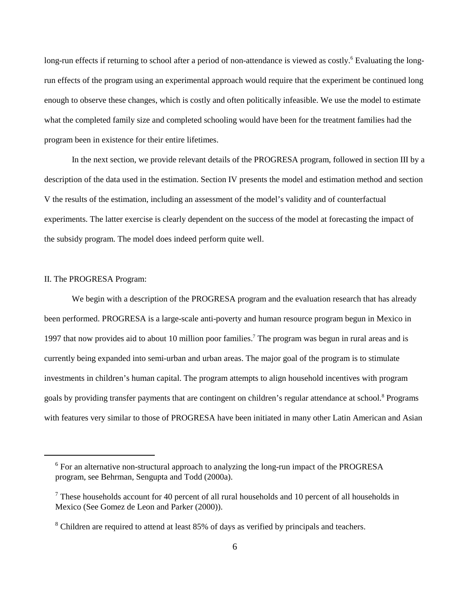long-run effects if returning to school after a period of non-attendance is viewed as costly.<sup>6</sup> Evaluating the longrun effects of the program using an experimental approach would require that the experiment be continued long enough to observe these changes, which is costly and often politically infeasible. We use the model to estimate what the completed family size and completed schooling would have been for the treatment families had the program been in existence for their entire lifetimes.

In the next section, we provide relevant details of the PROGRESA program, followed in section III by a description of the data used in the estimation. Section IV presents the model and estimation method and section V the results of the estimation, including an assessment of the model's validity and of counterfactual experiments. The latter exercise is clearly dependent on the success of the model at forecasting the impact of the subsidy program. The model does indeed perform quite well.

### II. The PROGRESA Program:

We begin with a description of the PROGRESA program and the evaluation research that has already been performed. PROGRESA is a large-scale anti-poverty and human resource program begun in Mexico in 1997 that now provides aid to about 10 million poor families.<sup>7</sup> The program was begun in rural areas and is currently being expanded into semi-urban and urban areas. The major goal of the program is to stimulate investments in children's human capital. The program attempts to align household incentives with program goals by providing transfer payments that are contingent on children's regular attendance at school.<sup>8</sup> Programs with features very similar to those of PROGRESA have been initiated in many other Latin American and Asian

 $6$  For an alternative non-structural approach to analyzing the long-run impact of the PROGRESA program, see Behrman, Sengupta and Todd (2000a).

 $\frac{7}{1}$  These households account for 40 percent of all rural households and 10 percent of all households in Mexico (See Gomez de Leon and Parker (2000)).

<sup>&</sup>lt;sup>8</sup> Children are required to attend at least 85% of days as verified by principals and teachers.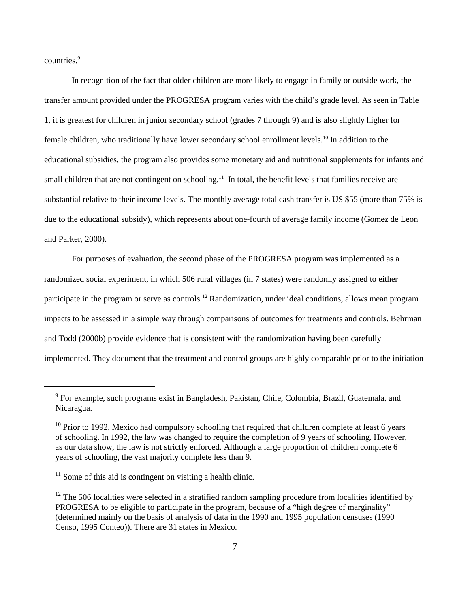countries.<sup>9</sup>

In recognition of the fact that older children are more likely to engage in family or outside work, the transfer amount provided under the PROGRESA program varies with the child's grade level. As seen in Table 1, it is greatest for children in junior secondary school (grades 7 through 9) and is also slightly higher for female children, who traditionally have lower secondary school enrollment levels.<sup>10</sup> In addition to the educational subsidies, the program also provides some monetary aid and nutritional supplements for infants and small children that are not contingent on schooling.<sup>11</sup> In total, the benefit levels that families receive are substantial relative to their income levels. The monthly average total cash transfer is US \$55 (more than 75% is due to the educational subsidy), which represents about one-fourth of average family income (Gomez de Leon and Parker, 2000).

For purposes of evaluation, the second phase of the PROGRESA program was implemented as a randomized social experiment, in which 506 rural villages (in 7 states) were randomly assigned to either participate in the program or serve as controls.<sup>12</sup> Randomization, under ideal conditions, allows mean program impacts to be assessed in a simple way through comparisons of outcomes for treatments and controls. Behrman and Todd (2000b) provide evidence that is consistent with the randomization having been carefully implemented. They document that the treatment and control groups are highly comparable prior to the initiation

 $9$  For example, such programs exist in Bangladesh, Pakistan, Chile, Colombia, Brazil, Guatemala, and Nicaragua.

 $10$  Prior to 1992, Mexico had compulsory schooling that required that children complete at least 6 years of schooling. In 1992, the law was changed to require the completion of 9 years of schooling. However, as our data show, the law is not strictly enforced. Although a large proportion of children complete 6 years of schooling, the vast majority complete less than 9.

 $<sup>11</sup>$  Some of this aid is contingent on visiting a health clinic.</sup>

 $12$  The 506 localities were selected in a stratified random sampling procedure from localities identified by PROGRESA to be eligible to participate in the program, because of a "high degree of marginality" (determined mainly on the basis of analysis of data in the 1990 and 1995 population censuses (1990 Censo, 1995 Conteo)). There are 31 states in Mexico.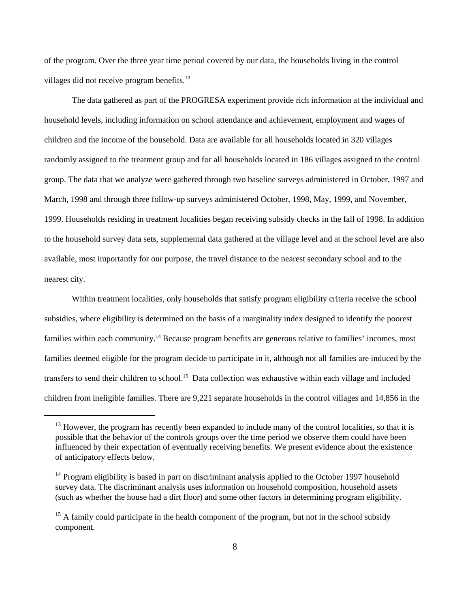of the program. Over the three year time period covered by our data, the households living in the control villages did not receive program benefits.<sup>13</sup>

The data gathered as part of the PROGRESA experiment provide rich information at the individual and household levels, including information on school attendance and achievement, employment and wages of children and the income of the household. Data are available for all households located in 320 villages randomly assigned to the treatment group and for all households located in 186 villages assigned to the control group. The data that we analyze were gathered through two baseline surveys administered in October, 1997 and March, 1998 and through three follow-up surveys administered October, 1998, May, 1999, and November, 1999. Households residing in treatment localities began receiving subsidy checks in the fall of 1998. In addition to the household survey data sets, supplemental data gathered at the village level and at the school level are also available, most importantly for our purpose, the travel distance to the nearest secondary school and to the nearest city.

Within treatment localities, only households that satisfy program eligibility criteria receive the school subsidies, where eligibility is determined on the basis of a marginality index designed to identify the poorest families within each community.<sup>14</sup> Because program benefits are generous relative to families' incomes, most families deemed eligible for the program decide to participate in it, although not all families are induced by the transfers to send their children to school.<sup>15</sup> Data collection was exhaustive within each village and included children from ineligible families. There are 9,221 separate households in the control villages and 14,856 in the

 $^{13}$  However, the program has recently been expanded to include many of the control localities, so that it is possible that the behavior of the controls groups over the time period we observe them could have been influenced by their expectation of eventually receiving benefits. We present evidence about the existence of anticipatory effects below.

 $14$  Program eligibility is based in part on discriminant analysis applied to the October 1997 household survey data. The discriminant analysis uses information on household composition, household assets (such as whether the house had a dirt floor) and some other factors in determining program eligibility.

<sup>&</sup>lt;sup>15</sup> A family could participate in the health component of the program, but not in the school subsidy component.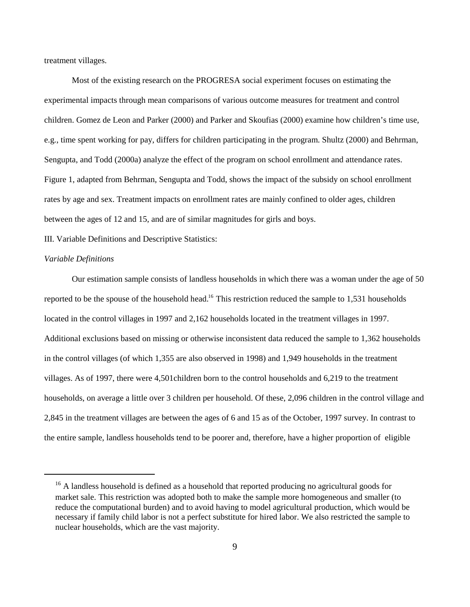treatment villages.

Most of the existing research on the PROGRESA social experiment focuses on estimating the experimental impacts through mean comparisons of various outcome measures for treatment and control children. Gomez de Leon and Parker (2000) and Parker and Skoufias (2000) examine how children's time use, e.g., time spent working for pay, differs for children participating in the program. Shultz (2000) and Behrman, Sengupta, and Todd (2000a) analyze the effect of the program on school enrollment and attendance rates. Figure 1, adapted from Behrman, Sengupta and Todd, shows the impact of the subsidy on school enrollment rates by age and sex. Treatment impacts on enrollment rates are mainly confined to older ages, children between the ages of 12 and 15, and are of similar magnitudes for girls and boys.

III. Variable Definitions and Descriptive Statistics:

#### *Variable Definitions*

Our estimation sample consists of landless households in which there was a woman under the age of 50 reported to be the spouse of the household head.<sup>16</sup> This restriction reduced the sample to 1,531 households located in the control villages in 1997 and 2,162 households located in the treatment villages in 1997. Additional exclusions based on missing or otherwise inconsistent data reduced the sample to 1,362 households in the control villages (of which 1,355 are also observed in 1998) and 1,949 households in the treatment villages. As of 1997, there were 4,501children born to the control households and 6,219 to the treatment households, on average a little over 3 children per household. Of these, 2,096 children in the control village and 2,845 in the treatment villages are between the ages of 6 and 15 as of the October, 1997 survey. In contrast to the entire sample, landless households tend to be poorer and, therefore, have a higher proportion of eligible

 $16$  A landless household is defined as a household that reported producing no agricultural goods for market sale. This restriction was adopted both to make the sample more homogeneous and smaller (to reduce the computational burden) and to avoid having to model agricultural production, which would be necessary if family child labor is not a perfect substitute for hired labor. We also restricted the sample to nuclear households, which are the vast majority.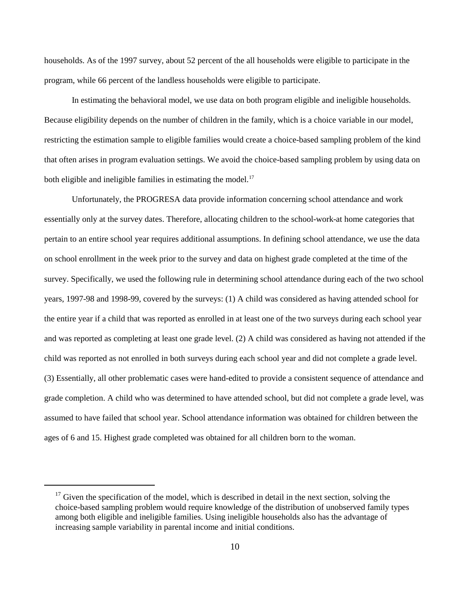households. As of the 1997 survey, about 52 percent of the all households were eligible to participate in the program, while 66 percent of the landless households were eligible to participate.

In estimating the behavioral model, we use data on both program eligible and ineligible households. Because eligibility depends on the number of children in the family, which is a choice variable in our model, restricting the estimation sample to eligible families would create a choice-based sampling problem of the kind that often arises in program evaluation settings. We avoid the choice-based sampling problem by using data on both eligible and ineligible families in estimating the model.<sup>17</sup>

Unfortunately, the PROGRESA data provide information concerning school attendance and work essentially only at the survey dates. Therefore, allocating children to the school-work-at home categories that pertain to an entire school year requires additional assumptions. In defining school attendance, we use the data on school enrollment in the week prior to the survey and data on highest grade completed at the time of the survey. Specifically, we used the following rule in determining school attendance during each of the two school years, 1997-98 and 1998-99, covered by the surveys: (1) A child was considered as having attended school for the entire year if a child that was reported as enrolled in at least one of the two surveys during each school year and was reported as completing at least one grade level. (2) A child was considered as having not attended if the child was reported as not enrolled in both surveys during each school year and did not complete a grade level. (3) Essentially, all other problematic cases were hand-edited to provide a consistent sequence of attendance and grade completion. A child who was determined to have attended school, but did not complete a grade level, was assumed to have failed that school year. School attendance information was obtained for children between the ages of 6 and 15. Highest grade completed was obtained for all children born to the woman.

 $^{17}$  Given the specification of the model, which is described in detail in the next section, solving the choice-based sampling problem would require knowledge of the distribution of unobserved family types among both eligible and ineligible families. Using ineligible households also has the advantage of increasing sample variability in parental income and initial conditions.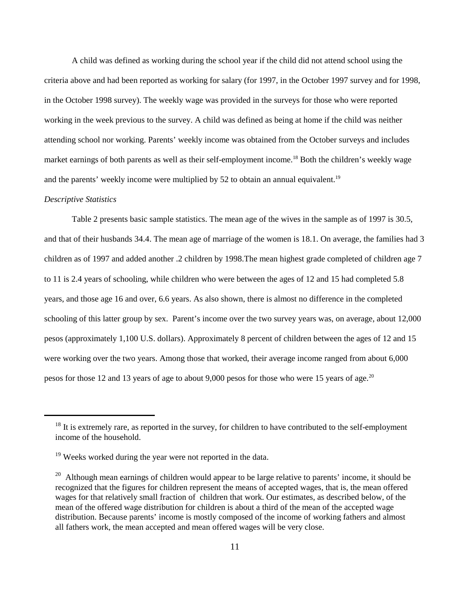A child was defined as working during the school year if the child did not attend school using the criteria above and had been reported as working for salary (for 1997, in the October 1997 survey and for 1998, in the October 1998 survey). The weekly wage was provided in the surveys for those who were reported working in the week previous to the survey. A child was defined as being at home if the child was neither attending school nor working. Parents' weekly income was obtained from the October surveys and includes market earnings of both parents as well as their self-employment income.<sup>18</sup> Both the children's weekly wage and the parents' weekly income were multiplied by 52 to obtain an annual equivalent.<sup>19</sup>

#### *Descriptive Statistics*

Table 2 presents basic sample statistics. The mean age of the wives in the sample as of 1997 is 30.5, and that of their husbands 34.4. The mean age of marriage of the women is 18.1. On average, the families had 3 children as of 1997 and added another .2 children by 1998.The mean highest grade completed of children age 7 to 11 is 2.4 years of schooling, while children who were between the ages of 12 and 15 had completed 5.8 years, and those age 16 and over, 6.6 years. As also shown, there is almost no difference in the completed schooling of this latter group by sex. Parent's income over the two survey years was, on average, about 12,000 pesos (approximately 1,100 U.S. dollars). Approximately 8 percent of children between the ages of 12 and 15 were working over the two years. Among those that worked, their average income ranged from about 6,000 pesos for those 12 and 13 years of age to about 9,000 pesos for those who were 15 years of age.<sup>20</sup>

 $18$  It is extremely rare, as reported in the survey, for children to have contributed to the self-employment income of the household.

 $19$  Weeks worked during the year were not reported in the data.

 $20$  Although mean earnings of children would appear to be large relative to parents' income, it should be recognized that the figures for children represent the means of accepted wages, that is, the mean offered wages for that relatively small fraction of children that work. Our estimates, as described below, of the mean of the offered wage distribution for children is about a third of the mean of the accepted wage distribution. Because parents' income is mostly composed of the income of working fathers and almost all fathers work, the mean accepted and mean offered wages will be very close.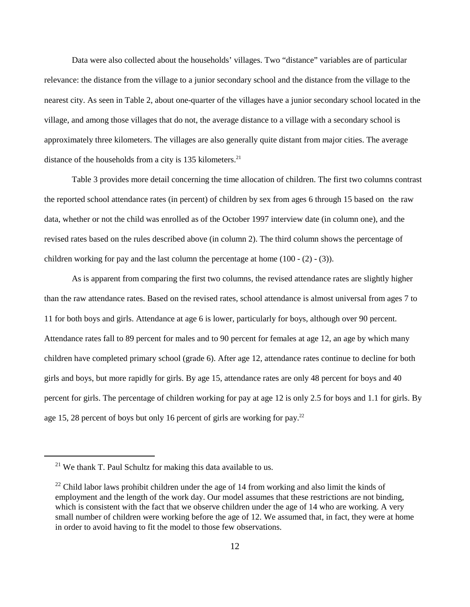Data were also collected about the households' villages. Two "distance" variables are of particular relevance: the distance from the village to a junior secondary school and the distance from the village to the nearest city. As seen in Table 2, about one-quarter of the villages have a junior secondary school located in the village, and among those villages that do not, the average distance to a village with a secondary school is approximately three kilometers. The villages are also generally quite distant from major cities. The average distance of the households from a city is 135 kilometers.<sup>21</sup>

Table 3 provides more detail concerning the time allocation of children. The first two columns contrast the reported school attendance rates (in percent) of children by sex from ages 6 through 15 based on the raw data, whether or not the child was enrolled as of the October 1997 interview date (in column one), and the revised rates based on the rules described above (in column 2). The third column shows the percentage of children working for pay and the last column the percentage at home  $(100 - (2) - (3))$ .

As is apparent from comparing the first two columns, the revised attendance rates are slightly higher than the raw attendance rates. Based on the revised rates, school attendance is almost universal from ages 7 to 11 for both boys and girls. Attendance at age 6 is lower, particularly for boys, although over 90 percent. Attendance rates fall to 89 percent for males and to 90 percent for females at age 12, an age by which many children have completed primary school (grade 6). After age 12, attendance rates continue to decline for both girls and boys, but more rapidly for girls. By age 15, attendance rates are only 48 percent for boys and 40 percent for girls. The percentage of children working for pay at age 12 is only 2.5 for boys and 1.1 for girls. By age 15, 28 percent of boys but only 16 percent of girls are working for pay.<sup>22</sup>

 $21$  We thank T. Paul Schultz for making this data available to us.

 $^{22}$  Child labor laws prohibit children under the age of 14 from working and also limit the kinds of employment and the length of the work day. Our model assumes that these restrictions are not binding, which is consistent with the fact that we observe children under the age of 14 who are working. A very small number of children were working before the age of 12. We assumed that, in fact, they were at home in order to avoid having to fit the model to those few observations.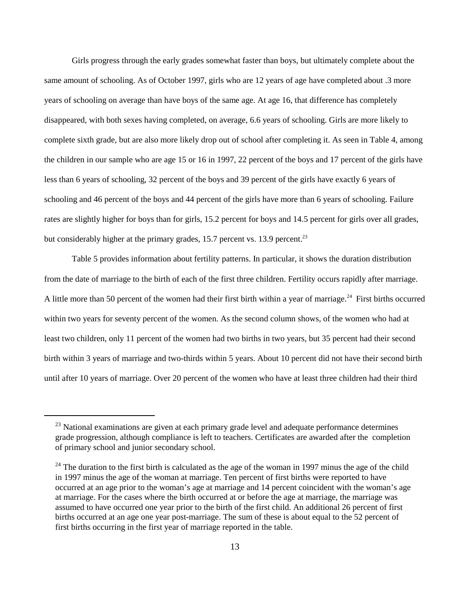Girls progress through the early grades somewhat faster than boys, but ultimately complete about the same amount of schooling. As of October 1997, girls who are 12 years of age have completed about .3 more years of schooling on average than have boys of the same age. At age 16, that difference has completely disappeared, with both sexes having completed, on average, 6.6 years of schooling. Girls are more likely to complete sixth grade, but are also more likely drop out of school after completing it. As seen in Table 4, among the children in our sample who are age 15 or 16 in 1997, 22 percent of the boys and 17 percent of the girls have less than 6 years of schooling, 32 percent of the boys and 39 percent of the girls have exactly 6 years of schooling and 46 percent of the boys and 44 percent of the girls have more than 6 years of schooling. Failure rates are slightly higher for boys than for girls, 15.2 percent for boys and 14.5 percent for girls over all grades, but considerably higher at the primary grades,  $15.7$  percent vs.  $13.9$  percent.<sup>23</sup>

Table 5 provides information about fertility patterns. In particular, it shows the duration distribution from the date of marriage to the birth of each of the first three children. Fertility occurs rapidly after marriage. A little more than 50 percent of the women had their first birth within a year of marriage.<sup>24</sup> First births occurred within two years for seventy percent of the women. As the second column shows, of the women who had at least two children, only 11 percent of the women had two births in two years, but 35 percent had their second birth within 3 years of marriage and two-thirds within 5 years. About 10 percent did not have their second birth until after 10 years of marriage. Over 20 percent of the women who have at least three children had their third

 $23$  National examinations are given at each primary grade level and adequate performance determines grade progression, although compliance is left to teachers. Certificates are awarded after the completion of primary school and junior secondary school.

 $24$  The duration to the first birth is calculated as the age of the woman in 1997 minus the age of the child in 1997 minus the age of the woman at marriage. Ten percent of first births were reported to have occurred at an age prior to the woman's age at marriage and 14 percent coincident with the woman's age at marriage. For the cases where the birth occurred at or before the age at marriage, the marriage was assumed to have occurred one year prior to the birth of the first child. An additional 26 percent of first births occurred at an age one year post-marriage. The sum of these is about equal to the 52 percent of first births occurring in the first year of marriage reported in the table.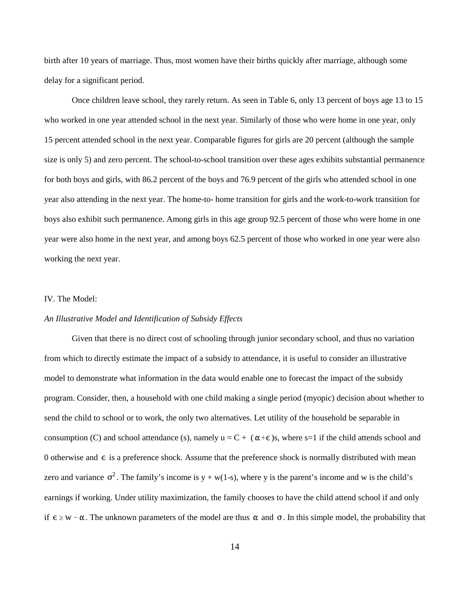birth after 10 years of marriage. Thus, most women have their births quickly after marriage, although some delay for a significant period.

Once children leave school, they rarely return. As seen in Table 6, only 13 percent of boys age 13 to 15 who worked in one year attended school in the next year. Similarly of those who were home in one year, only 15 percent attended school in the next year. Comparable figures for girls are 20 percent (although the sample size is only 5) and zero percent. The school-to-school transition over these ages exhibits substantial permanence for both boys and girls, with 86.2 percent of the boys and 76.9 percent of the girls who attended school in one year also attending in the next year. The home-to- home transition for girls and the work-to-work transition for boys also exhibit such permanence. Among girls in this age group 92.5 percent of those who were home in one year were also home in the next year, and among boys 62.5 percent of those who worked in one year were also working the next year.

## IV. The Model:

## *An Illustrative Model and Identification of Subsidy Effects*

consumption (C) and school attendance (s), namely  $u = C + (\alpha + \epsilon)$ s, where s=1 if the child attends school and 0 otherwise and  $\epsilon$  is a preference shock. Assume that the preference shock is normally distributed with mean zero and variance  $\sigma^2$ . The family's income is y + w(1-s), where y is the parent's income and w is the child's if  $\epsilon \geq w - \alpha$ . The unknown parameters of the model are thus  $\alpha$  and  $\sigma$ . In this simple model, the probability that Given that there is no direct cost of schooling through junior secondary school, and thus no variation from which to directly estimate the impact of a subsidy to attendance, it is useful to consider an illustrative model to demonstrate what information in the data would enable one to forecast the impact of the subsidy program. Consider, then, a household with one child making a single period (myopic) decision about whether to send the child to school or to work, the only two alternatives. Let utility of the household be separable in earnings if working. Under utility maximization, the family chooses to have the child attend school if and only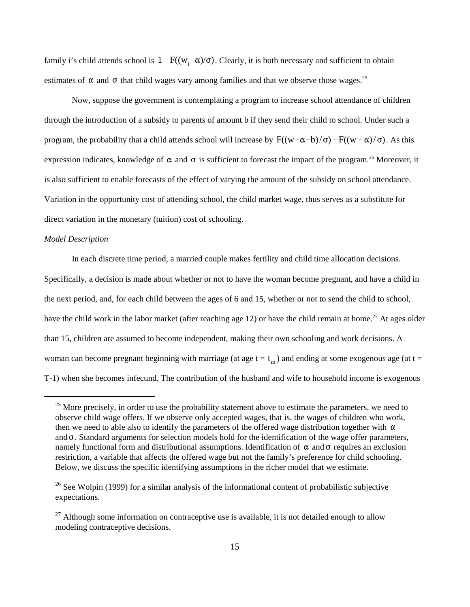family i's child attends school is  $1 - F((w_i - \alpha)/\sigma)$ . Clearly, it is both necessary and sufficient to obtain estimates of  $\alpha$  and  $\sigma$  that child wages vary among families and that we observe those wages.<sup>25</sup>

program, the probability that a child attends school will increase by  $F((w-\alpha-b)/\sigma) - F((w-\alpha)/\sigma)$ . As this expression indicates, knowledge of  $\alpha$  and  $\sigma$  is sufficient to forecast the impact of the program.<sup>26</sup> Moreover, it Now, suppose the government is contemplating a program to increase school attendance of children through the introduction of a subsidy to parents of amount b if they send their child to school. Under such a is also sufficient to enable forecasts of the effect of varying the amount of the subsidy on school attendance. Variation in the opportunity cost of attending school, the child market wage, thus serves as a substitute for direct variation in the monetary (tuition) cost of schooling.

### *Model Description*

woman can become pregnant beginning with marriage (at age  $t = t_m$ ) and ending at some exogenous age (at  $t =$ In each discrete time period, a married couple makes fertility and child time allocation decisions. Specifically, a decision is made about whether or not to have the woman become pregnant, and have a child in the next period, and, for each child between the ages of 6 and 15, whether or not to send the child to school, have the child work in the labor market (after reaching age 12) or have the child remain at home.<sup>27</sup> At ages older than 15, children are assumed to become independent, making their own schooling and work decisions. A T-1) when she becomes infecund. The contribution of the husband and wife to household income is exogenous

then we need to able also to identify the parameters of the offered wage distribution together with  $\alpha$ and  $\sigma$ . Standard arguments for selection models hold for the identification of the wage offer parameters, namely functional form and distributional assumptions. Identification of  $\alpha$  and  $\sigma$  requires an exclusion  $25$  More precisely, in order to use the probability statement above to estimate the parameters, we need to observe child wage offers. If we observe only accepted wages, that is, the wages of children who work, restriction, a variable that affects the offered wage but not the family's preference for child schooling. Below, we discuss the specific identifying assumptions in the richer model that we estimate.

<sup>&</sup>lt;sup>26</sup> See Wolpin (1999) for a similar analysis of the informational content of probabilistic subjective expectations.

 $27$  Although some information on contraceptive use is available, it is not detailed enough to allow modeling contraceptive decisions.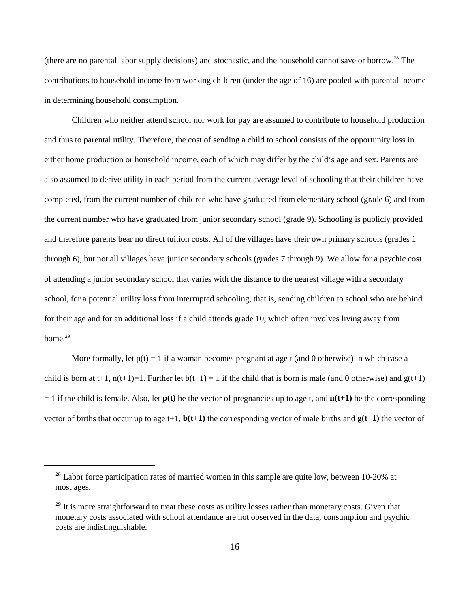(there are no parental labor supply decisions) and stochastic, and the household cannot save or borrow.<sup>28</sup> The contributions to household income from working children (under the age of 16) are pooled with parental income in determining household consumption.

Children who neither attend school nor work for pay are assumed to contribute to household production and thus to parental utility. Therefore, the cost of sending a child to school consists of the opportunity loss in either home production or household income, each of which may differ by the child's age and sex. Parents are also assumed to derive utility in each period from the current average level of schooling that their children have completed, from the current number of children who have graduated from elementary school (grade 6) and from the current number who have graduated from junior secondary school (grade 9). Schooling is publicly provided and therefore parents bear no direct tuition costs. All of the villages have their own primary schools (grades 1 through 6), but not all villages have junior secondary schools (grades 7 through 9). We allow for a psychic cost of attending a junior secondary school that varies with the distance to the nearest village with a secondary school, for a potential utility loss from interrupted schooling, that is, sending children to school who are behind for their age and for an additional loss if a child attends grade 10, which often involves living away from home.<sup>29</sup>

More formally, let  $p(t) = 1$  if a woman becomes pregnant at age t (and 0 otherwise) in which case a child is born at t+1,  $n(t+1)=1$ . Further let  $b(t+1)=1$  if the child that is born is male (and 0 otherwise) and  $g(t+1)$  $= 1$  if the child is female. Also, let  $p(t)$  be the vector of pregnancies up to age t, and  $n(t+1)$  be the corresponding vector of births that occur up to age t+1,  $\mathbf{b}(\mathbf{t+1})$  the corresponding vector of male births and  $\mathbf{g}(\mathbf{t+1})$  the vector of

 $^{28}$  Labor force participation rates of married women in this sample are quite low, between 10-20% at most ages.

 $29$  It is more straightforward to treat these costs as utility losses rather than monetary costs. Given that monetary costs associated with school attendance are not observed in the data, consumption and psychic costs are indistinguishable.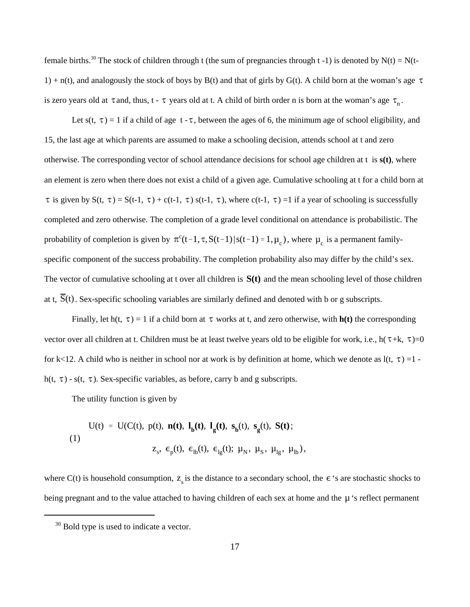$1) + n(t)$ , and analogously the stock of boys by B(t) and that of girls by G(t). A child born at the woman's age  $\tau$ is zero years old at  $\tau$  and, thus, t -  $\tau$  years old at t. A child of birth order n is born at the woman's age  $\tau_n$ . female births.<sup>30</sup> The stock of children through t (the sum of pregnancies through t -1) is denoted by N(t) = N(t-

Let s(t,  $\tau$ ) = 1 if a child of age t -  $\tau$ , between the ages of 6, the minimum age of school eligibility, and  $\tau$  is given by S(t,  $\tau$ ) = S(t-1,  $\tau$ ) + c(t-1,  $\tau$ ) s(t-1,  $\tau$ ), where c(t-1,  $\tau$ ) =1 if a year of schooling is successfully probability of completion is given by  $\pi^{c}(t-1, \tau, S(t-1)|s(t-1) = 1, \mu_{c})$ , where  $\mu_{c}$  is a permanent family-The vector of cumulative schooling at t over all children is  $S(t)$  and the mean schooling level of those children at t,  $S(t)$ . Sex-specific schooling variables are similarly defined and denoted with b or g subscripts. 15, the last age at which parents are assumed to make a schooling decision, attends school at t and zero otherwise. The corresponding vector of school attendance decisions for school age children at t is **s(t)**, where an element is zero when there does not exist a child of a given age. Cumulative schooling at t for a child born at completed and zero otherwise. The completion of a grade level conditional on attendance is probabilistic. The specific component of the success probability. The completion probability also may differ by the child's sex.

Finally, let  $h(t, \tau) = 1$  if a child born at  $\tau$  works at t, and zero otherwise, with  $h(t)$  the corresponding vector over all children at t. Children must be at least twelve years old to be eligible for work, i.e.,  $h(\tau+k, \tau)=0$ for k<12. A child who is neither in school nor at work is by definition at home, which we denote as  $l(t, \tau) = 1$ . h(t,  $\tau$ ) - s(t,  $\tau$ ). Sex-specific variables, as before, carry b and g subscripts.

The utility function is given by

$$
U(t) = U(C(t), p(t), n(t), l_{b}(t), l_{g}(t), s_{b}(t), s_{g}(t), S(t);
$$
\n
$$
(1)
$$
\n
$$
z_{s}, \epsilon_{p}(t), \epsilon_{lb}(t), \epsilon_{lg}(t); \mu_{N}, \mu_{S}, \mu_{lg}, \mu_{lb}),
$$

where C(t) is household consumption,  $z_s$  is the distance to a secondary school, the  $\epsilon$  's are stochastic shocks to being pregnant and to the value attached to having children of each sex at home and the  $\mu$  's reflect permanent

 $30$  Bold type is used to indicate a vector.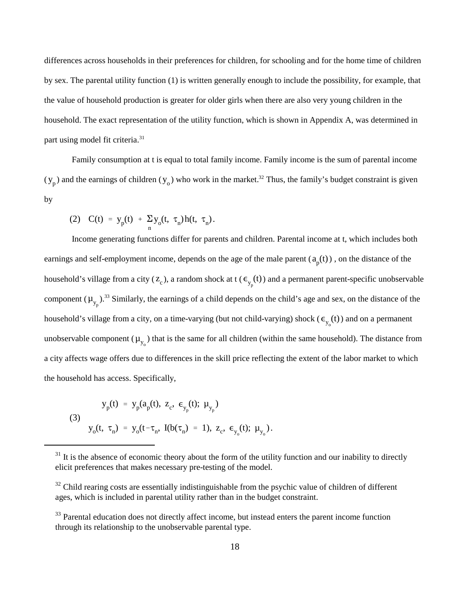differences across households in their preferences for children, for schooling and for the home time of children by sex. The parental utility function (1) is written generally enough to include the possibility, for example, that the value of household production is greater for older girls when there are also very young children in the household. The exact representation of the utility function, which is shown in Appendix A, was determined in part using model fit criteria. 31

 $(y_p)$  and the earnings of children  $(y_o)$  who work in the market.<sup>32</sup> Thus, the family's budget constraint is given Family consumption at t is equal to total family income. Family income is the sum of parental income by

(2) 
$$
C(t) = y_p(t) + \sum_{n} y_o(t, \tau_n) h(t, \tau_n)
$$
.

earnings and self-employment income, depends on the age of the male parent  $(a_p(t))$ , on the distance of the household's village from a city ( $z_c$ ), a random shock at t ( $\epsilon_{y_p}(t)$ ) and a permanent parent-specific unobservable component  $(\mu_{y_p})$ .<sup>33</sup> Similarly, the earnings of a child depends on the child's age and sex, on the distance of the household's village from a city, on a time-varying (but not child-varying) shock ( $\epsilon_{y_0}(t)$ ) and on a permanent unobservable component  $(\mu_{y_0})$  that is the same for all children (within the same household). The distance from Income generating functions differ for parents and children. Parental income at t, which includes both a city affects wage offers due to differences in the skill price reflecting the extent of the labor market to which the household has access. Specifically,

(3)  
\n
$$
y_{p}(t) = y_{p}(a_{p}(t), z_{c}, \epsilon_{y_{p}}(t); \mu_{y_{p}})
$$
\n
$$
y_{o}(t, \tau_{n}) = y_{o}(t - \tau_{n}, I(b(\tau_{n}) = 1), z_{c}, \epsilon_{y_{o}}(t); \mu_{y_{o}}).
$$

 $31$  It is the absence of economic theory about the form of the utility function and our inability to directly elicit preferences that makes necessary pre-testing of the model.

 $32$  Child rearing costs are essentially indistinguishable from the psychic value of children of different ages, which is included in parental utility rather than in the budget constraint.

<sup>&</sup>lt;sup>33</sup> Parental education does not directly affect income, but instead enters the parent income function through its relationship to the unobservable parental type.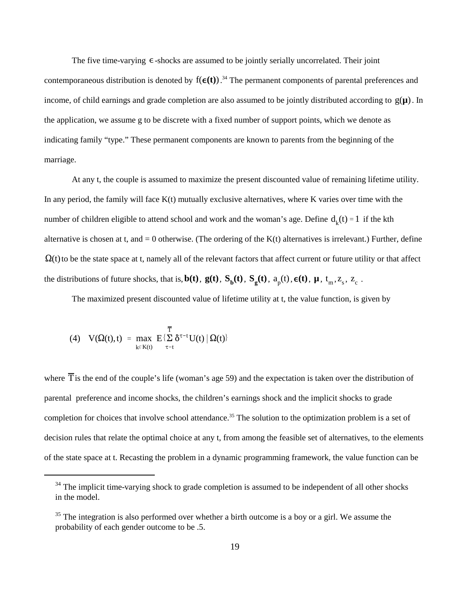The five time-varying  $\epsilon$ -shocks are assumed to be jointly serially uncorrelated. Their joint contemporaneous distribution is denoted by  $f(\epsilon(t))$ .<sup>34</sup> The permanent components of parental preferences and income, of child earnings and grade completion are also assumed to be jointly distributed according to  $g(\mu)$ . In the application, we assume g to be discrete with a fixed number of support points, which we denote as indicating family "type." These permanent components are known to parents from the beginning of the marriage.

number of children eligible to attend school and work and the woman's age. Define  $d_k(t) = 1$  if the kth  $\Omega(t)$  to be the state space at t, namely all of the relevant factors that affect current or future utility or that affect the distributions of future shocks, that is,  $b(t)$ ,  $g(t)$ ,  $S_b(t)$ ,  $S_g(t)$ ,  $a_p(t)$ ,  $\epsilon(t)$ ,  $\mu$ ,  $t_m$ ,  $z_s$ ,  $z_c$ . At any t, the couple is assumed to maximize the present discounted value of remaining lifetime utility. In any period, the family will face  $K(t)$  mutually exclusive alternatives, where K varies over time with the alternative is chosen at t, and  $= 0$  otherwise. (The ordering of the  $K(t)$  alternatives is irrelevant.) Further, define

The maximized present discounted value of lifetime utility at t, the value function, is given by

$$
(4) \quad V(\Omega(t),t) \ = \ \underset{k \in K(t)}{\text{max}} \ \ E \{ \textstyle\sum\limits_{\tau = t}^{\overline{T}} \delta^{\tau-t} U(t) \ | \ \Omega(t) \}
$$

where T is the end of the couple's life (woman's age 59) and the expectation is taken over the distribution of parental preference and income shocks, the children's earnings shock and the implicit shocks to grade completion for choices that involve school attendance.<sup>35</sup> The solution to the optimization problem is a set of decision rules that relate the optimal choice at any t, from among the feasible set of alternatives, to the elements of the state space at t. Recasting the problem in a dynamic programming framework, the value function can be

 $34$  The implicit time-varying shock to grade completion is assumed to be independent of all other shocks in the model.

 $35$  The integration is also performed over whether a birth outcome is a boy or a girl. We assume the probability of each gender outcome to be .5.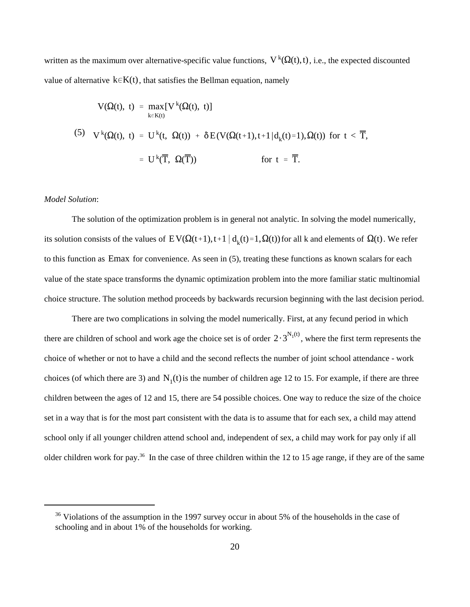written as the maximum over alternative-specific value functions,  $V^k(\Omega(t),t)$ , i.e., the expected discounted value of alternative  $k \in K(t)$ , that satisfies the Bellman equation, namely

$$
V(\Omega(t), t) = \max_{k \in K(t)} [V^{k}(\Omega(t), t)]
$$
  
(5) 
$$
V^{k}(\Omega(t), t) = U^{k}(t, \Omega(t)) + \delta E(V(\Omega(t+1), t+1|d_{k}(t)=1), \Omega(t)) \text{ for } t < \overline{T},
$$

$$
= U^{k}(\overline{T}, \Omega(\overline{T})) \qquad \text{for } t = \overline{T}.
$$

## *Model Solution*:

its solution consists of the values of  $E V(\Omega(t+1),t+1 \mid d_k(t)=1,\Omega(t))$  for all k and elements of  $\Omega(t)$ . We refer to this function as Emax for convenience. As seen in (5), treating these functions as known scalars for each The solution of the optimization problem is in general not analytic. In solving the model numerically, value of the state space transforms the dynamic optimization problem into the more familiar static multinomial choice structure. The solution method proceeds by backwards recursion beginning with the last decision period.

there are children of school and work age the choice set is of order  $2 \cdot 3^{N_1(t)}$ , where the first term represents the choices (of which there are 3) and  $N_1(t)$  is the number of children age 12 to 15. For example, if there are three There are two complications in solving the model numerically. First, at any fecund period in which choice of whether or not to have a child and the second reflects the number of joint school attendance - work children between the ages of 12 and 15, there are 54 possible choices. One way to reduce the size of the choice set in a way that is for the most part consistent with the data is to assume that for each sex, a child may attend school only if all younger children attend school and, independent of sex, a child may work for pay only if all older children work for pay.<sup>36</sup> In the case of three children within the 12 to 15 age range, if they are of the same

 $36$  Violations of the assumption in the 1997 survey occur in about 5% of the households in the case of schooling and in about 1% of the households for working.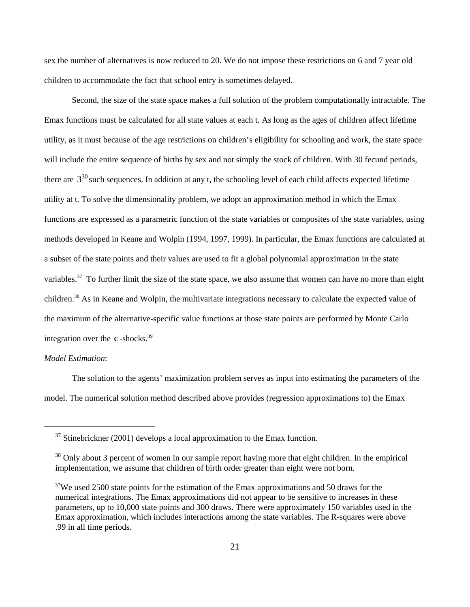sex the number of alternatives is now reduced to 20. We do not impose these restrictions on 6 and 7 year old children to accommodate the fact that school entry is sometimes delayed.

there are  $3^{30}$  such sequences. In addition at any t, the schooling level of each child affects expected lifetime integration over the  $\epsilon$ -shocks.<sup>39</sup> Second, the size of the state space makes a full solution of the problem computationally intractable. The Emax functions must be calculated for all state values at each t. As long as the ages of children affect lifetime utility, as it must because of the age restrictions on children's eligibility for schooling and work, the state space will include the entire sequence of births by sex and not simply the stock of children. With 30 fecund periods, utility at t. To solve the dimensionality problem, we adopt an approximation method in which the Emax functions are expressed as a parametric function of the state variables or composites of the state variables, using methods developed in Keane and Wolpin (1994, 1997, 1999). In particular, the Emax functions are calculated at a subset of the state points and their values are used to fit a global polynomial approximation in the state variables.<sup>37</sup> To further limit the size of the state space, we also assume that women can have no more than eight children.<sup>38</sup> As in Keane and Wolpin, the multivariate integrations necessary to calculate the expected value of the maximum of the alternative-specific value functions at those state points are performed by Monte Carlo

# *Model Estimation*:

The solution to the agents' maximization problem serves as input into estimating the parameters of the model. The numerical solution method described above provides (regression approximations to) the Emax

 $37$  Stinebrickner (2001) develops a local approximation to the Emax function.

<sup>&</sup>lt;sup>38</sup> Only about 3 percent of women in our sample report having more that eight children. In the empirical implementation, we assume that children of birth order greater than eight were not born.

 $37$ We used 2500 state points for the estimation of the Emax approximations and 50 draws for the numerical integrations. The Emax approximations did not appear to be sensitive to increases in these parameters, up to 10,000 state points and 300 draws. There were approximately 150 variables used in the Emax approximation, which includes interactions among the state variables. The R-squares were above .99 in all time periods.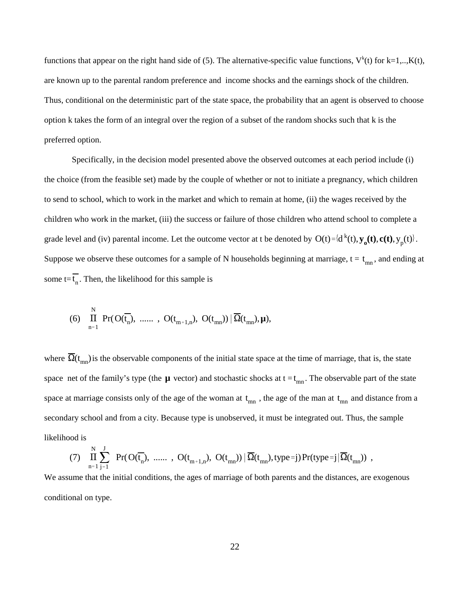functions that appear on the right hand side of (5). The alternative-specific value functions,  $V^k(t)$  for k=1,.., $K(t)$ , are known up to the parental random preference and income shocks and the earnings shock of the children. Thus, conditional on the deterministic part of the state space, the probability that an agent is observed to choose option k takes the form of an integral over the region of a subset of the random shocks such that k is the preferred option.

grade level and (iv) parental income. Let the outcome vector at t be denoted by  $O(t) = {d^{k}(t), y_0(t), c(t), y_p(t)}$ . Suppose we observe these outcomes for a sample of N households beginning at marriage,  $t = t_{mn}$ , and ending at some  $t = t_n$ . Then, the likelihood for this sample is Specifically, in the decision model presented above the observed outcomes at each period include (i) the choice (from the feasible set) made by the couple of whether or not to initiate a pregnancy, which children to send to school, which to work in the market and which to remain at home, (ii) the wages received by the children who work in the market, (iii) the success or failure of those children who attend school to complete a

(6) 
$$
\prod_{n=1}^{N} Pr(O(\overline{t_n}), \dots, O(t_{m+1,n}), O(t_{mn})) | \overline{\Omega}(t_{mn}), \mu),
$$

where  $\Omega(t_{mn})$  is the observable components of the initial state space at the time of marriage, that is, the state space net of the family's type (the  $\mu$  vector) and stochastic shocks at  $t = t_{mn}$ . The observable part of the state space at marriage consists only of the age of the woman at  $t_{mn}$ , the age of the man at  $t_{mn}$  and distance from a secondary school and from a city. Because type is unobserved, it must be integrated out. Thus, the sample likelihood is

$$
(7) \ \prod_{n=1}^N \sum_{j=1}^J \ \text{Pr}(O(\overline{t_n}), \ \dots \dots \ , \ O(t_{m+1,n}), \ O(t_{mn})) \, | \, \overline{\Omega}(t_{mn}), \text{type=} j) \, \text{Pr}(\text{type=} j \, | \, \overline{\Omega}(t_{mn})) \ ,
$$

We assume that the initial conditions, the ages of marriage of both parents and the distances, are exogenous conditional on type.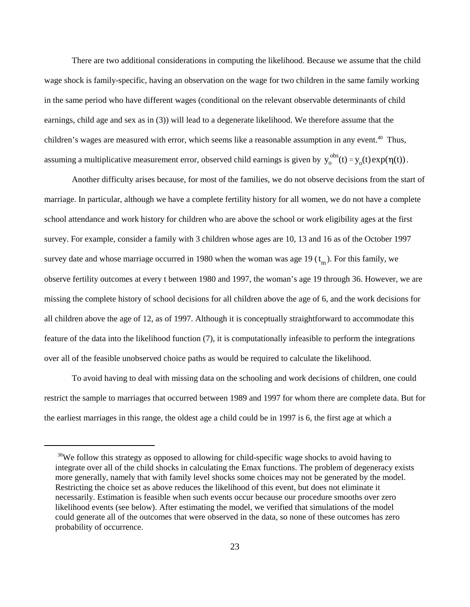assuming a multiplicative measurement error, observed child earnings is given by  $y_0^{obs}(t) = y_0(t) \exp(\eta(t))$ . There are two additional considerations in computing the likelihood. Because we assume that the child wage shock is family-specific, having an observation on the wage for two children in the same family working in the same period who have different wages (conditional on the relevant observable determinants of child earnings, child age and sex as in (3)) will lead to a degenerate likelihood. We therefore assume that the children's wages are measured with error, which seems like a reasonable assumption in any event.<sup>40</sup> Thus,

survey date and whose marriage occurred in 1980 when the woman was age 19  $(t_m)$ . For this family, we Another difficulty arises because, for most of the families, we do not observe decisions from the start of marriage. In particular, although we have a complete fertility history for all women, we do not have a complete school attendance and work history for children who are above the school or work eligibility ages at the first survey. For example, consider a family with 3 children whose ages are 10, 13 and 16 as of the October 1997 observe fertility outcomes at every t between 1980 and 1997, the woman's age 19 through 36. However, we are missing the complete history of school decisions for all children above the age of 6, and the work decisions for all children above the age of 12, as of 1997. Although it is conceptually straightforward to accommodate this feature of the data into the likelihood function (7), it is computationally infeasible to perform the integrations over all of the feasible unobserved choice paths as would be required to calculate the likelihood.

To avoid having to deal with missing data on the schooling and work decisions of children, one could restrict the sample to marriages that occurred between 1989 and 1997 for whom there are complete data. But for the earliest marriages in this range, the oldest age a child could be in 1997 is 6, the first age at which a

<sup>&</sup>lt;sup>38</sup>We follow this strategy as opposed to allowing for child-specific wage shocks to avoid having to integrate over all of the child shocks in calculating the Emax functions. The problem of degeneracy exists more generally, namely that with family level shocks some choices may not be generated by the model. Restricting the choice set as above reduces the likelihood of this event, but does not eliminate it necessarily. Estimation is feasible when such events occur because our procedure smooths over zero likelihood events (see below). After estimating the model, we verified that simulations of the model could generate all of the outcomes that were observed in the data, so none of these outcomes has zero probability of occurrence.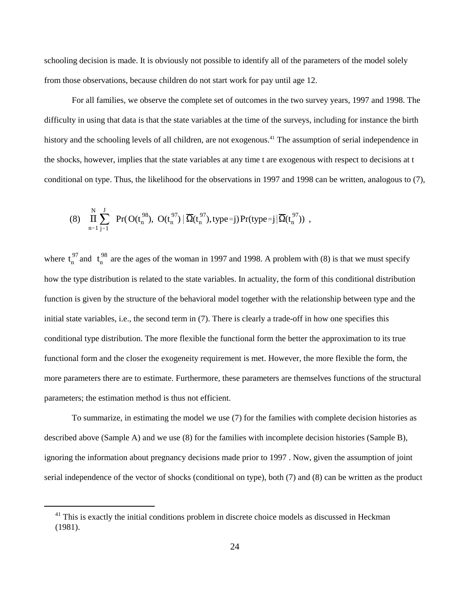schooling decision is made. It is obviously not possible to identify all of the parameters of the model solely from those observations, because children do not start work for pay until age 12.

For all families, we observe the complete set of outcomes in the two survey years, 1997 and 1998. The difficulty in using that data is that the state variables at the time of the surveys, including for instance the birth history and the schooling levels of all children, are not exogenous.<sup>41</sup> The assumption of serial independence in the shocks, however, implies that the state variables at any time t are exogenous with respect to decisions at t conditional on type. Thus, the likelihood for the observations in 1997 and 1998 can be written, analogous to (7),

$$
(8)\ \ \prod_{n=1}^N\sum_{j=1}^J\ \Pr(O(t_n^{98}),\ O(t_n^{97})\,\big|\,\overline{\Omega}(t_n^{97}),type=j)\Pr-type=j\,\big|\overline{\Omega}(t_n^{97}))\ ,
$$

 $t_n^{97}$  and  $t_n^{98}$ where  $t_n^{3}$  and  $t_n^{3}$  are the ages of the woman in 1997 and 1998. A problem with (8) is that we must specify how the type distribution is related to the state variables. In actuality, the form of this conditional distribution function is given by the structure of the behavioral model together with the relationship between type and the initial state variables, i.e., the second term in (7). There is clearly a trade-off in how one specifies this conditional type distribution. The more flexible the functional form the better the approximation to its true functional form and the closer the exogeneity requirement is met. However, the more flexible the form, the more parameters there are to estimate. Furthermore, these parameters are themselves functions of the structural parameters; the estimation method is thus not efficient.

To summarize, in estimating the model we use (7) for the families with complete decision histories as described above (Sample A) and we use (8) for the families with incomplete decision histories (Sample B), ignoring the information about pregnancy decisions made prior to 1997 . Now, given the assumption of joint serial independence of the vector of shocks (conditional on type), both (7) and (8) can be written as the product

 $<sup>41</sup>$  This is exactly the initial conditions problem in discrete choice models as discussed in Heckman</sup> (1981).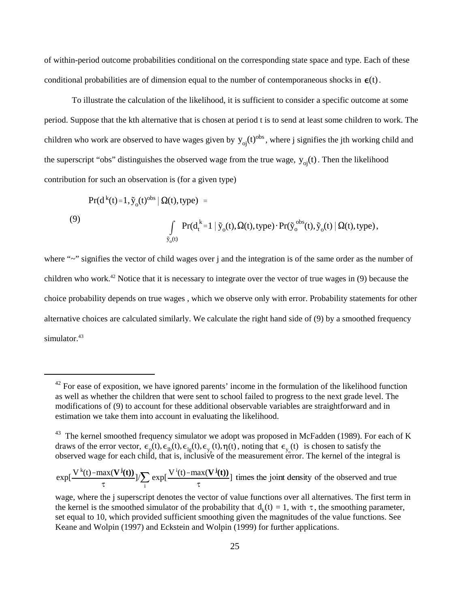conditional probabilities are of dimension equal to the number of contemporaneous shocks in  $\epsilon(t)$ . of within-period outcome probabilities conditional on the corresponding state space and type. Each of these

children who work are observed to have wages given by  $y_{oj}(t)^{obs}$ , where j signifies the jth working child and the superscript "obs" distinguishes the observed wage from the true wage,  $y_{oj}(t)$ . Then the likelihood To illustrate the calculation of the likelihood, it is sufficient to consider a specific outcome at some period. Suppose that the kth alternative that is chosen at period t is to send at least some children to work. The contribution for such an observation is (for a given type)

$$
Pr(d^{k}(t)=1, \tilde{y}_{o}(t)^{obs} | \Omega(t), type) =
$$
\n(9)\n
$$
\int_{\tilde{y}_{o}(t)} Pr(d^{k}_{t}=1 | \tilde{y}_{o}(t), \Omega(t), type) \cdot Pr(\tilde{y}_{o}^{obs}(t), \tilde{y}_{o}(t) | \Omega(t), type),
$$

where "~" signifies the vector of child wages over j and the integration is of the same order as the number of children who work.<sup>42</sup> Notice that it is necessary to integrate over the vector of true wages in (9) because the choice probability depends on true wages , which we observe only with error. Probability statements for other alternative choices are calculated similarly. We calculate the right hand side of (9) by a smoothed frequency simulator.<sup>43</sup>

 $42$  For ease of exposition, we have ignored parents' income in the formulation of the likelihood function as well as whether the children that were sent to school failed to progress to the next grade level. The modifications of (9) to account for these additional observable variables are straightforward and in estimation we take them into account in evaluating the likelihood.

 $\epsilon_{\rm p}(t), \epsilon_{\rm lb}(t), \epsilon_{\rm lg}(t), \epsilon_{\rm y_p}(t), \eta(t),$  noting that  $\epsilon_{\rm y_o}(t)$ as whether the children that were sent to<br>ations of (9) to account for these additio<br>on we take them into account in evaluat<br>xernel smoothed frequency simulator we<br>f the error vector,  $\epsilon_p(t), \epsilon_{lp}(t), \epsilon_{lg}(t), \epsilon_{y_p}(t)$ <br>d wage  $43$  The kernel smoothed frequency simulator we adopt was proposed in McFadden (1989). For each of K draws of the error vector,  $\epsilon_n(t), \epsilon_{n}(t), \epsilon_{n}(t), \epsilon_{n}(t), \eta(t)$ , noting that  $\epsilon_n(t)$  is chosen to satisfy the observed wage for each child, that is, inclusive of the measurement error. The kernel of the integral is

 $\exp[\frac{V^k(t) - \max(V^j(t))}{\epsilon}]$  $\tau$ ]/ $\sum$ i  $\exp[\frac{V^i(t) - \max(V^j(t))}{\epsilon}]$  $\tau$ ] times the joint density of the observed and true

the kernel is the smoothed simulator of the probability that  $d_k(t) = 1$ , with  $\tau$ , the smoothing parameter, wage, where the j superscript denotes the vector of value functions over all alternatives. The first term in set equal to 10, which provided sufficient smoothing given the magnitudes of the value functions. See Keane and Wolpin (1997) and Eckstein and Wolpin (1999) for further applications.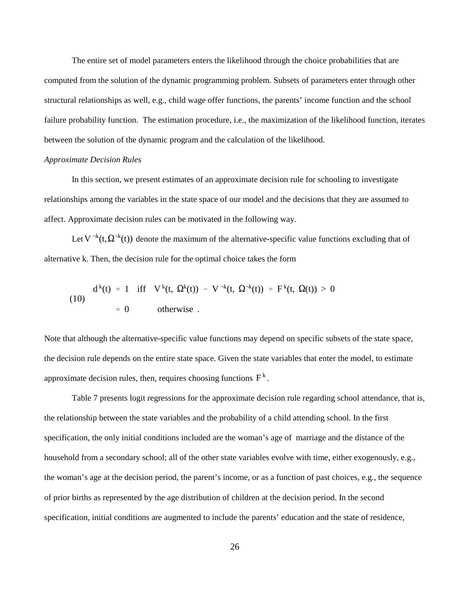The entire set of model parameters enters the likelihood through the choice probabilities that are computed from the solution of the dynamic programming problem. Subsets of parameters enter through other structural relationships as well, e.g., child wage offer functions, the parents' income function and the school failure probability function. The estimation procedure, i.e., the maximization of the likelihood function, iterates between the solution of the dynamic program and the calculation of the likelihood.

### *Approximate Decision Rules*

In this section, we present estimates of an approximate decision rule for schooling to investigate relationships among the variables in the state space of our model and the decisions that they are assumed to affect. Approximate decision rules can be motivated in the following way.

Let  $V^{-k}(t, \Omega^{-k}(t))$  denote the maximum of the alternative-specific value functions excluding that of alternative k. Then, the decision rule for the optimal choice takes the form

(10) 
$$
d^{k}(t) = 1 \quad \text{iff} \quad V^{k}(t, \ \Omega^{k}(t)) - V^{-k}(t, \ \Omega^{-k}(t)) = F^{k}(t, \ \Omega(t)) > 0
$$

$$
= 0 \quad \text{otherwise} .
$$

approximate decision rules, then, requires choosing functions  $F^k$ . Note that although the alternative-specific value functions may depend on specific subsets of the state space, the decision rule depends on the entire state space. Given the state variables that enter the model, to estimate

Table 7 presents logit regressions for the approximate decision rule regarding school attendance, that is, the relationship between the state variables and the probability of a child attending school. In the first specification, the only initial conditions included are the woman's age of marriage and the distance of the household from a secondary school; all of the other state variables evolve with time, either exogenously, e.g., the woman's age at the decision period, the parent's income, or as a function of past choices, e.g., the sequence of prior births as represented by the age distribution of children at the decision period. In the second specification, initial conditions are augmented to include the parents' education and the state of residence,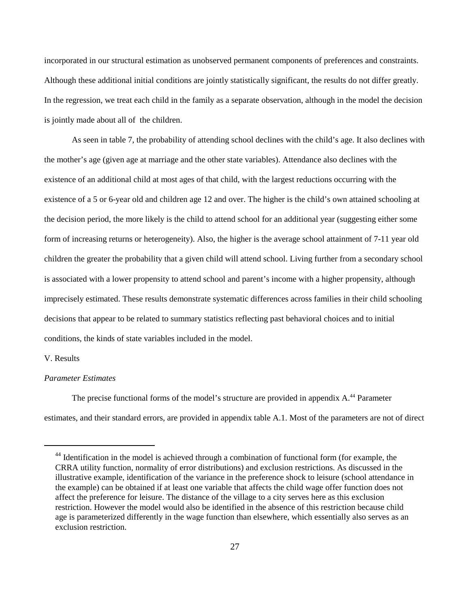incorporated in our structural estimation as unobserved permanent components of preferences and constraints. Although these additional initial conditions are jointly statistically significant, the results do not differ greatly. In the regression, we treat each child in the family as a separate observation, although in the model the decision is jointly made about all of the children.

As seen in table 7, the probability of attending school declines with the child's age. It also declines with the mother's age (given age at marriage and the other state variables). Attendance also declines with the existence of an additional child at most ages of that child, with the largest reductions occurring with the existence of a 5 or 6-year old and children age 12 and over. The higher is the child's own attained schooling at the decision period, the more likely is the child to attend school for an additional year (suggesting either some form of increasing returns or heterogeneity). Also, the higher is the average school attainment of 7-11 year old children the greater the probability that a given child will attend school. Living further from a secondary school is associated with a lower propensity to attend school and parent's income with a higher propensity, although imprecisely estimated. These results demonstrate systematic differences across families in their child schooling decisions that appear to be related to summary statistics reflecting past behavioral choices and to initial conditions, the kinds of state variables included in the model.

## V. Results

### *Parameter Estimates*

The precise functional forms of the model's structure are provided in appendix  $A<sup>44</sup>$  Parameter estimates, and their standard errors, are provided in appendix table A.1. Most of the parameters are not of direct

 $44$  Identification in the model is achieved through a combination of functional form (for example, the CRRA utility function, normality of error distributions) and exclusion restrictions. As discussed in the illustrative example, identification of the variance in the preference shock to leisure (school attendance in the example) can be obtained if at least one variable that affects the child wage offer function does not affect the preference for leisure. The distance of the village to a city serves here as this exclusion restriction. However the model would also be identified in the absence of this restriction because child age is parameterized differently in the wage function than elsewhere, which essentially also serves as an exclusion restriction.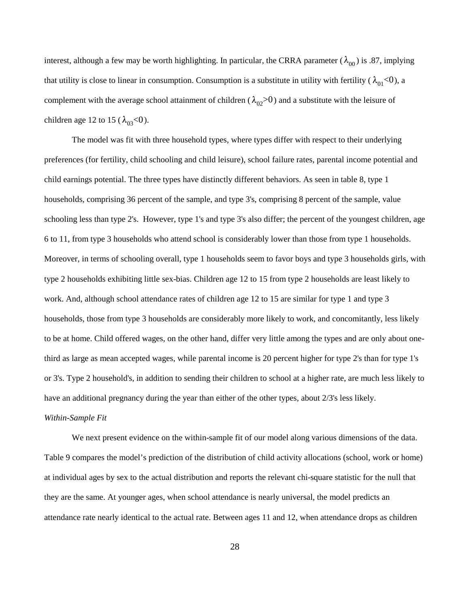interest, although a few may be worth highlighting. In particular, the CRRA parameter ( $\lambda_{00}$ ) is .87, implying that utility is close to linear in consumption. Consumption is a substitute in utility with fertility ( $\lambda_{01}$ <0), a complement with the average school attainment of children ( $\lambda_{02}$ >0) and a substitute with the leisure of children age 12 to 15 ( $\lambda_{03}$ <0).

The model was fit with three household types, where types differ with respect to their underlying preferences (for fertility, child schooling and child leisure), school failure rates, parental income potential and child earnings potential. The three types have distinctly different behaviors. As seen in table 8, type 1 households, comprising 36 percent of the sample, and type 3's, comprising 8 percent of the sample, value schooling less than type 2's. However, type 1's and type 3's also differ; the percent of the youngest children, age 6 to 11, from type 3 households who attend school is considerably lower than those from type 1 households. Moreover, in terms of schooling overall, type 1 households seem to favor boys and type 3 households girls, with type 2 households exhibiting little sex-bias. Children age 12 to 15 from type 2 households are least likely to work. And, although school attendance rates of children age 12 to 15 are similar for type 1 and type 3 households, those from type 3 households are considerably more likely to work, and concomitantly, less likely to be at home. Child offered wages, on the other hand, differ very little among the types and are only about onethird as large as mean accepted wages, while parental income is 20 percent higher for type 2's than for type 1's or 3's. Type 2 household's, in addition to sending their children to school at a higher rate, are much less likely to have an additional pregnancy during the year than either of the other types, about 2/3's less likely. *Within-Sample Fit*

We next present evidence on the within-sample fit of our model along various dimensions of the data. Table 9 compares the model's prediction of the distribution of child activity allocations (school, work or home) at individual ages by sex to the actual distribution and reports the relevant chi-square statistic for the null that they are the same. At younger ages, when school attendance is nearly universal, the model predicts an attendance rate nearly identical to the actual rate. Between ages 11 and 12, when attendance drops as children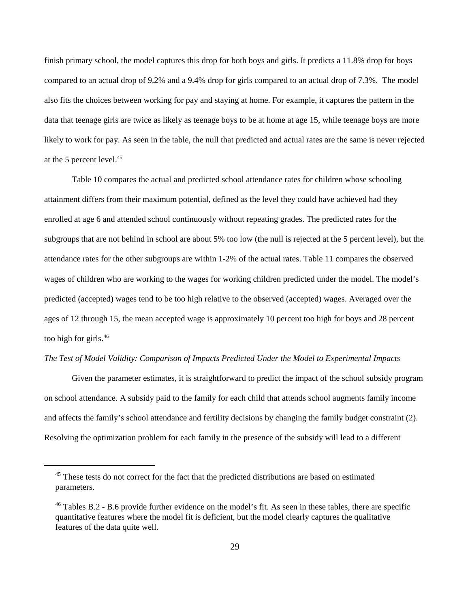finish primary school, the model captures this drop for both boys and girls. It predicts a 11.8% drop for boys compared to an actual drop of 9.2% and a 9.4% drop for girls compared to an actual drop of 7.3%. The model also fits the choices between working for pay and staying at home. For example, it captures the pattern in the data that teenage girls are twice as likely as teenage boys to be at home at age 15, while teenage boys are more likely to work for pay. As seen in the table, the null that predicted and actual rates are the same is never rejected at the 5 percent level.<sup>45</sup>

Table 10 compares the actual and predicted school attendance rates for children whose schooling attainment differs from their maximum potential, defined as the level they could have achieved had they enrolled at age 6 and attended school continuously without repeating grades. The predicted rates for the subgroups that are not behind in school are about 5% too low (the null is rejected at the 5 percent level), but the attendance rates for the other subgroups are within 1-2% of the actual rates. Table 11 compares the observed wages of children who are working to the wages for working children predicted under the model. The model's predicted (accepted) wages tend to be too high relative to the observed (accepted) wages. Averaged over the ages of 12 through 15, the mean accepted wage is approximately 10 percent too high for boys and 28 percent too high for girls. 46

### *The Test of Model Validity: Comparison of Impacts Predicted Under the Model to Experimental Impacts*

Given the parameter estimates, it is straightforward to predict the impact of the school subsidy program on school attendance. A subsidy paid to the family for each child that attends school augments family income and affects the family's school attendance and fertility decisions by changing the family budget constraint (2). Resolving the optimization problem for each family in the presence of the subsidy will lead to a different

<sup>&</sup>lt;sup>45</sup> These tests do not correct for the fact that the predicted distributions are based on estimated parameters.

 $46$  Tables B.2 - B.6 provide further evidence on the model's fit. As seen in these tables, there are specific quantitative features where the model fit is deficient, but the model clearly captures the qualitative features of the data quite well.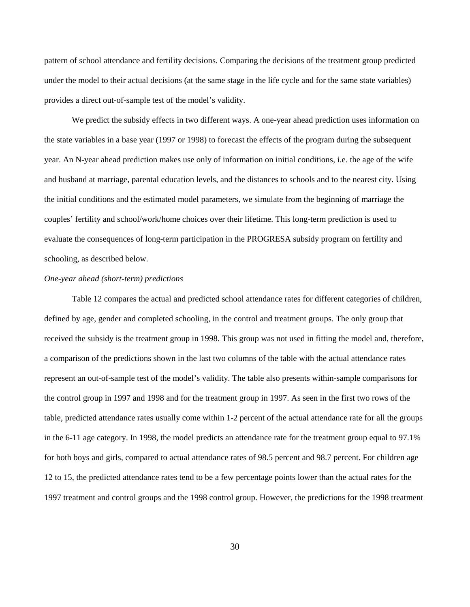pattern of school attendance and fertility decisions. Comparing the decisions of the treatment group predicted under the model to their actual decisions (at the same stage in the life cycle and for the same state variables) provides a direct out-of-sample test of the model's validity.

We predict the subsidy effects in two different ways. A one-year ahead prediction uses information on the state variables in a base year (1997 or 1998) to forecast the effects of the program during the subsequent year. An N-year ahead prediction makes use only of information on initial conditions, i.e. the age of the wife and husband at marriage, parental education levels, and the distances to schools and to the nearest city. Using the initial conditions and the estimated model parameters, we simulate from the beginning of marriage the couples' fertility and school/work/home choices over their lifetime. This long-term prediction is used to evaluate the consequences of long-term participation in the PROGRESA subsidy program on fertility and schooling, as described below.

## *One-year ahead (short-term) predictions*

Table 12 compares the actual and predicted school attendance rates for different categories of children, defined by age, gender and completed schooling, in the control and treatment groups. The only group that received the subsidy is the treatment group in 1998. This group was not used in fitting the model and, therefore, a comparison of the predictions shown in the last two columns of the table with the actual attendance rates represent an out-of-sample test of the model's validity. The table also presents within-sample comparisons for the control group in 1997 and 1998 and for the treatment group in 1997. As seen in the first two rows of the table, predicted attendance rates usually come within 1-2 percent of the actual attendance rate for all the groups in the 6-11 age category. In 1998, the model predicts an attendance rate for the treatment group equal to 97.1% for both boys and girls, compared to actual attendance rates of 98.5 percent and 98.7 percent. For children age 12 to 15, the predicted attendance rates tend to be a few percentage points lower than the actual rates for the 1997 treatment and control groups and the 1998 control group. However, the predictions for the 1998 treatment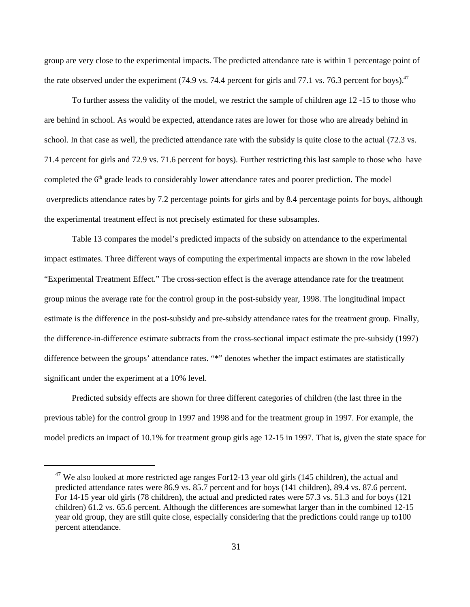group are very close to the experimental impacts. The predicted attendance rate is within 1 percentage point of the rate observed under the experiment (74.9 vs. 74.4 percent for girls and 77.1 vs. 76.3 percent for boys). $47$ 

To further assess the validity of the model, we restrict the sample of children age 12 -15 to those who are behind in school. As would be expected, attendance rates are lower for those who are already behind in school. In that case as well, the predicted attendance rate with the subsidy is quite close to the actual (72.3 vs. 71.4 percent for girls and 72.9 vs. 71.6 percent for boys). Further restricting this last sample to those who have completed the  $6<sup>th</sup>$  grade leads to considerably lower attendance rates and poorer prediction. The model overpredicts attendance rates by 7.2 percentage points for girls and by 8.4 percentage points for boys, although the experimental treatment effect is not precisely estimated for these subsamples.

Table 13 compares the model's predicted impacts of the subsidy on attendance to the experimental impact estimates. Three different ways of computing the experimental impacts are shown in the row labeled "Experimental Treatment Effect." The cross-section effect is the average attendance rate for the treatment group minus the average rate for the control group in the post-subsidy year, 1998. The longitudinal impact estimate is the difference in the post-subsidy and pre-subsidy attendance rates for the treatment group. Finally, the difference-in-difference estimate subtracts from the cross-sectional impact estimate the pre-subsidy (1997) difference between the groups' attendance rates. "\*" denotes whether the impact estimates are statistically significant under the experiment at a 10% level.

Predicted subsidy effects are shown for three different categories of children (the last three in the previous table) for the control group in 1997 and 1998 and for the treatment group in 1997. For example, the model predicts an impact of 10.1% for treatment group girls age 12-15 in 1997. That is, given the state space for

 $47$  We also looked at more restricted age ranges For12-13 year old girls (145 children), the actual and predicted attendance rates were 86.9 vs. 85.7 percent and for boys (141 children), 89.4 vs. 87.6 percent. For 14-15 year old girls (78 children), the actual and predicted rates were 57.3 vs. 51.3 and for boys (121 children) 61.2 vs. 65.6 percent. Although the differences are somewhat larger than in the combined 12-15 year old group, they are still quite close, especially considering that the predictions could range up to100 percent attendance.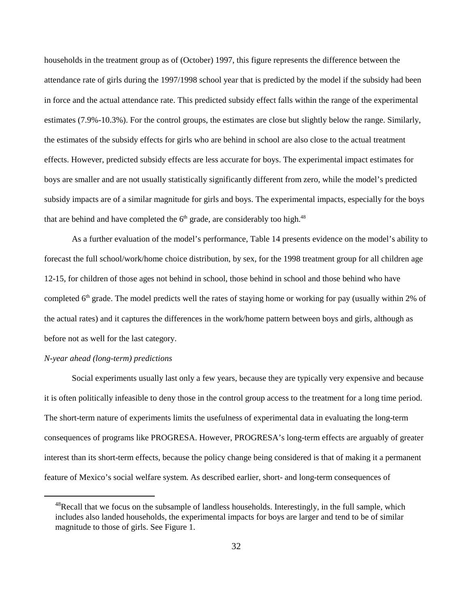households in the treatment group as of (October) 1997, this figure represents the difference between the attendance rate of girls during the 1997/1998 school year that is predicted by the model if the subsidy had been in force and the actual attendance rate. This predicted subsidy effect falls within the range of the experimental estimates (7.9%-10.3%). For the control groups, the estimates are close but slightly below the range. Similarly, the estimates of the subsidy effects for girls who are behind in school are also close to the actual treatment effects. However, predicted subsidy effects are less accurate for boys. The experimental impact estimates for boys are smaller and are not usually statistically significantly different from zero, while the model's predicted subsidy impacts are of a similar magnitude for girls and boys. The experimental impacts, especially for the boys that are behind and have completed the  $6<sup>th</sup>$  grade, are considerably too high.<sup>48</sup>

As a further evaluation of the model's performance, Table 14 presents evidence on the model's ability to forecast the full school/work/home choice distribution, by sex, for the 1998 treatment group for all children age 12-15, for children of those ages not behind in school, those behind in school and those behind who have completed  $6<sup>th</sup>$  grade. The model predicts well the rates of staying home or working for pay (usually within 2% of the actual rates) and it captures the differences in the work/home pattern between boys and girls, although as before not as well for the last category.

## *N-year ahead (long-term) predictions*

Social experiments usually last only a few years, because they are typically very expensive and because it is often politically infeasible to deny those in the control group access to the treatment for a long time period. The short-term nature of experiments limits the usefulness of experimental data in evaluating the long-term consequences of programs like PROGRESA. However, PROGRESA's long-term effects are arguably of greater interest than its short-term effects, because the policy change being considered is that of making it a permanent feature of Mexico's social welfare system. As described earlier, short- and long-term consequences of

 $48$ Recall that we focus on the subsample of landless households. Interestingly, in the full sample, which includes also landed households, the experimental impacts for boys are larger and tend to be of similar magnitude to those of girls. See Figure 1.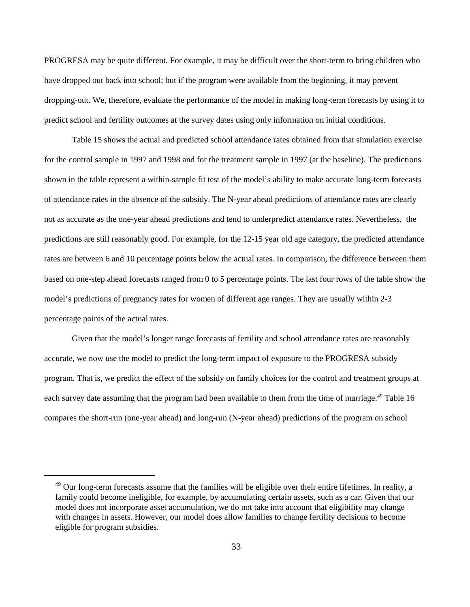PROGRESA may be quite different. For example, it may be difficult over the short-term to bring children who have dropped out back into school; but if the program were available from the beginning, it may prevent dropping-out. We, therefore, evaluate the performance of the model in making long-term forecasts by using it to predict school and fertility outcomes at the survey dates using only information on initial conditions.

Table 15 shows the actual and predicted school attendance rates obtained from that simulation exercise for the control sample in 1997 and 1998 and for the treatment sample in 1997 (at the baseline). The predictions shown in the table represent a within-sample fit test of the model's ability to make accurate long-term forecasts of attendance rates in the absence of the subsidy. The N-year ahead predictions of attendance rates are clearly not as accurate as the one-year ahead predictions and tend to underpredict attendance rates. Nevertheless, the predictions are still reasonably good. For example, for the 12-15 year old age category, the predicted attendance rates are between 6 and 10 percentage points below the actual rates. In comparison, the difference between them based on one-step ahead forecasts ranged from 0 to 5 percentage points. The last four rows of the table show the model's predictions of pregnancy rates for women of different age ranges. They are usually within 2-3 percentage points of the actual rates.

Given that the model's longer range forecasts of fertility and school attendance rates are reasonably accurate, we now use the model to predict the long-term impact of exposure to the PROGRESA subsidy program. That is, we predict the effect of the subsidy on family choices for the control and treatment groups at each survey date assuming that the program had been available to them from the time of marriage.<sup>49</sup> Table 16 compares the short-run (one-year ahead) and long-run (N-year ahead) predictions of the program on school

 $49$  Our long-term forecasts assume that the families will be eligible over their entire lifetimes. In reality, a family could become ineligible, for example, by accumulating certain assets, such as a car. Given that our model does not incorporate asset accumulation, we do not take into account that eligibility may change with changes in assets. However, our model does allow families to change fertility decisions to become eligible for program subsidies.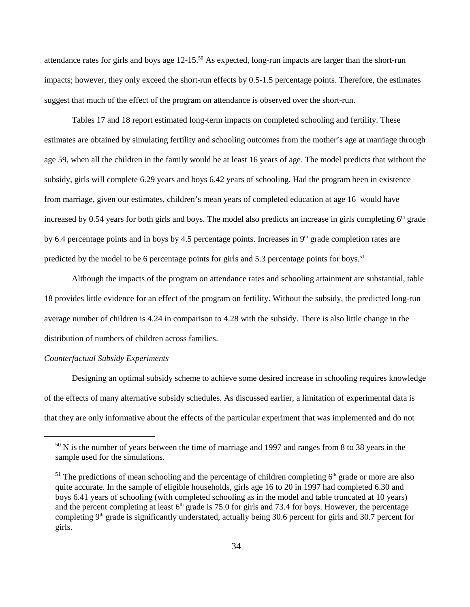attendance rates for girls and boys age  $12{\text -}15^{50}$  As expected, long-run impacts are larger than the short-run impacts; however, they only exceed the short-run effects by 0.5-1.5 percentage points. Therefore, the estimates suggest that much of the effect of the program on attendance is observed over the short-run.

Tables 17 and 18 report estimated long-term impacts on completed schooling and fertility. These estimates are obtained by simulating fertility and schooling outcomes from the mother's age at marriage through age 59, when all the children in the family would be at least 16 years of age. The model predicts that without the subsidy, girls will complete 6.29 years and boys 6.42 years of schooling. Had the program been in existence from marriage, given our estimates, children's mean years of completed education at age 16 would have increased by 0.54 years for both girls and boys. The model also predicts an increase in girls completing  $6<sup>th</sup>$  grade by 6.4 percentage points and in boys by 4.5 percentage points. Increases in  $9<sup>th</sup>$  grade completion rates are predicted by the model to be 6 percentage points for girls and 5.3 percentage points for boys.<sup>51</sup>

Although the impacts of the program on attendance rates and schooling attainment are substantial, table 18 provides little evidence for an effect of the program on fertility. Without the subsidy, the predicted long-run average number of children is 4.24 in comparison to 4.28 with the subsidy. There is also little change in the distribution of numbers of children across families.

## *Counterfactual Subsidy Experiments*

Designing an optimal subsidy scheme to achieve some desired increase in schooling requires knowledge of the effects of many alternative subsidy schedules. As discussed earlier, a limitation of experimental data is that they are only informative about the effects of the particular experiment that was implemented and do not

 $^{50}$  N is the number of years between the time of marriage and 1997 and ranges from 8 to 38 years in the sample used for the simulations.

 $51$  The predictions of mean schooling and the percentage of children completing  $6<sup>th</sup>$  grade or more are also quite accurate. In the sample of eligible households, girls age 16 to 20 in 1997 had completed 6.30 and boys 6.41 years of schooling (with completed schooling as in the model and table truncated at 10 years) and the percent completing at least  $6<sup>th</sup>$  grade is 75.0 for girls and 73.4 for boys. However, the percentage completing 9<sup>th</sup> grade is significantly understated, actually being 30.6 percent for girls and 30.7 percent for girls.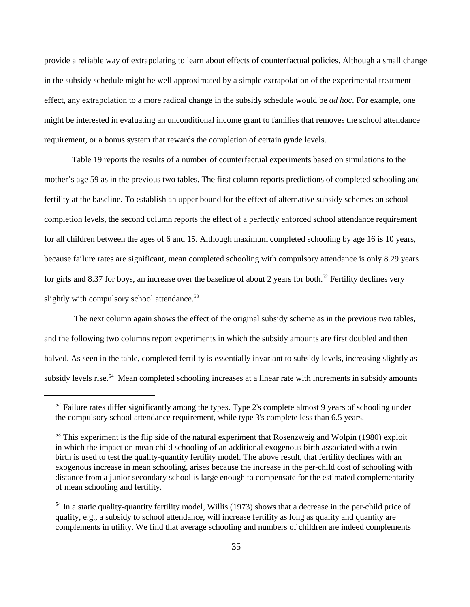provide a reliable way of extrapolating to learn about effects of counterfactual policies. Although a small change in the subsidy schedule might be well approximated by a simple extrapolation of the experimental treatment effect, any extrapolation to a more radical change in the subsidy schedule would be *ad hoc*. For example, one might be interested in evaluating an unconditional income grant to families that removes the school attendance requirement, or a bonus system that rewards the completion of certain grade levels.

Table 19 reports the results of a number of counterfactual experiments based on simulations to the mother's age 59 as in the previous two tables. The first column reports predictions of completed schooling and fertility at the baseline. To establish an upper bound for the effect of alternative subsidy schemes on school completion levels, the second column reports the effect of a perfectly enforced school attendance requirement for all children between the ages of 6 and 15. Although maximum completed schooling by age 16 is 10 years, because failure rates are significant, mean completed schooling with compulsory attendance is only 8.29 years for girls and 8.37 for boys, an increase over the baseline of about 2 years for both.<sup>52</sup> Fertility declines very slightly with compulsory school attendance.<sup>53</sup>

 The next column again shows the effect of the original subsidy scheme as in the previous two tables, and the following two columns report experiments in which the subsidy amounts are first doubled and then halved. As seen in the table, completed fertility is essentially invariant to subsidy levels, increasing slightly as subsidy levels rise.<sup>54</sup> Mean completed schooling increases at a linear rate with increments in subsidy amounts

 $52$  Failure rates differ significantly among the types. Type 2's complete almost 9 years of schooling under the compulsory school attendance requirement, while type 3's complete less than 6.5 years.

 $53$  This experiment is the flip side of the natural experiment that Rosenzweig and Wolpin (1980) exploit in which the impact on mean child schooling of an additional exogenous birth associated with a twin birth is used to test the quality-quantity fertility model. The above result, that fertility declines with an exogenous increase in mean schooling, arises because the increase in the per-child cost of schooling with distance from a junior secondary school is large enough to compensate for the estimated complementarity of mean schooling and fertility.

 $<sup>54</sup>$  In a static quality-quantity fertility model, Willis (1973) shows that a decrease in the per-child price of</sup> quality, e.g., a subsidy to school attendance, will increase fertility as long as quality and quantity are complements in utility. We find that average schooling and numbers of children are indeed complements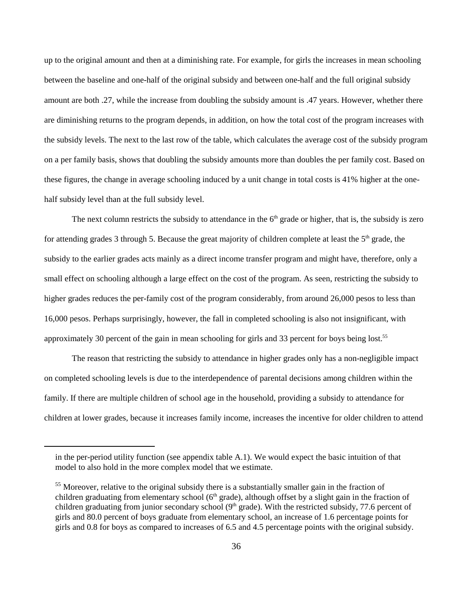up to the original amount and then at a diminishing rate. For example, for girls the increases in mean schooling between the baseline and one-half of the original subsidy and between one-half and the full original subsidy amount are both .27, while the increase from doubling the subsidy amount is .47 years. However, whether there are diminishing returns to the program depends, in addition, on how the total cost of the program increases with the subsidy levels. The next to the last row of the table, which calculates the average cost of the subsidy program on a per family basis, shows that doubling the subsidy amounts more than doubles the per family cost. Based on these figures, the change in average schooling induced by a unit change in total costs is 41% higher at the onehalf subsidy level than at the full subsidy level.

The next column restricts the subsidy to attendance in the  $6<sup>th</sup>$  grade or higher, that is, the subsidy is zero for attending grades 3 through 5. Because the great majority of children complete at least the  $5<sup>th</sup>$  grade, the subsidy to the earlier grades acts mainly as a direct income transfer program and might have, therefore, only a small effect on schooling although a large effect on the cost of the program. As seen, restricting the subsidy to higher grades reduces the per-family cost of the program considerably, from around 26,000 pesos to less than 16,000 pesos. Perhaps surprisingly, however, the fall in completed schooling is also not insignificant, with approximately 30 percent of the gain in mean schooling for girls and 33 percent for boys being lost.55

The reason that restricting the subsidy to attendance in higher grades only has a non-negligible impact on completed schooling levels is due to the interdependence of parental decisions among children within the family. If there are multiple children of school age in the household, providing a subsidy to attendance for children at lower grades, because it increases family income, increases the incentive for older children to attend

in the per-period utility function (see appendix table A.1). We would expect the basic intuition of that model to also hold in the more complex model that we estimate.

 $<sup>55</sup>$  Moreover, relative to the original subsidy there is a substantially smaller gain in the fraction of</sup> children graduating from elementary school ( $6<sup>th</sup>$  grade), although offset by a slight gain in the fraction of children graduating from junior secondary school  $(9<sup>th</sup> grade)$ . With the restricted subsidy, 77.6 percent of girls and 80.0 percent of boys graduate from elementary school, an increase of 1.6 percentage points for girls and 0.8 for boys as compared to increases of 6.5 and 4.5 percentage points with the original subsidy.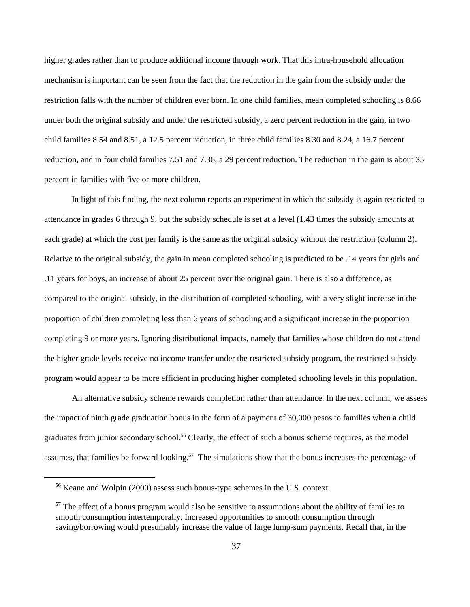higher grades rather than to produce additional income through work. That this intra-household allocation mechanism is important can be seen from the fact that the reduction in the gain from the subsidy under the restriction falls with the number of children ever born. In one child families, mean completed schooling is 8.66 under both the original subsidy and under the restricted subsidy, a zero percent reduction in the gain, in two child families 8.54 and 8.51, a 12.5 percent reduction, in three child families 8.30 and 8.24, a 16.7 percent reduction, and in four child families 7.51 and 7.36, a 29 percent reduction. The reduction in the gain is about 35 percent in families with five or more children.

In light of this finding, the next column reports an experiment in which the subsidy is again restricted to attendance in grades 6 through 9, but the subsidy schedule is set at a level (1.43 times the subsidy amounts at each grade) at which the cost per family is the same as the original subsidy without the restriction (column 2). Relative to the original subsidy, the gain in mean completed schooling is predicted to be .14 years for girls and .11 years for boys, an increase of about 25 percent over the original gain. There is also a difference, as compared to the original subsidy, in the distribution of completed schooling, with a very slight increase in the proportion of children completing less than 6 years of schooling and a significant increase in the proportion completing 9 or more years. Ignoring distributional impacts, namely that families whose children do not attend the higher grade levels receive no income transfer under the restricted subsidy program, the restricted subsidy program would appear to be more efficient in producing higher completed schooling levels in this population.

An alternative subsidy scheme rewards completion rather than attendance. In the next column, we assess the impact of ninth grade graduation bonus in the form of a payment of 30,000 pesos to families when a child graduates from junior secondary school.<sup>56</sup> Clearly, the effect of such a bonus scheme requires, as the model assumes, that families be forward-looking.<sup>57</sup> The simulations show that the bonus increases the percentage of

 $56$  Keane and Wolpin (2000) assess such bonus-type schemes in the U.S. context.

 $57$  The effect of a bonus program would also be sensitive to assumptions about the ability of families to smooth consumption intertemporally. Increased opportunities to smooth consumption through saving/borrowing would presumably increase the value of large lump-sum payments. Recall that, in the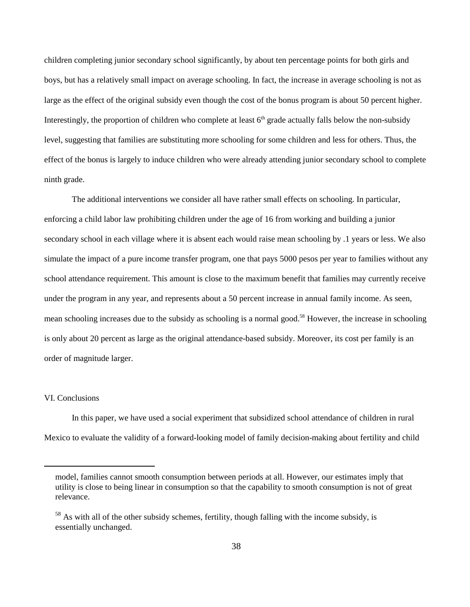children completing junior secondary school significantly, by about ten percentage points for both girls and boys, but has a relatively small impact on average schooling. In fact, the increase in average schooling is not as large as the effect of the original subsidy even though the cost of the bonus program is about 50 percent higher. Interestingly, the proportion of children who complete at least  $6<sup>th</sup>$  grade actually falls below the non-subsidy level, suggesting that families are substituting more schooling for some children and less for others. Thus, the effect of the bonus is largely to induce children who were already attending junior secondary school to complete ninth grade.

The additional interventions we consider all have rather small effects on schooling. In particular, enforcing a child labor law prohibiting children under the age of 16 from working and building a junior secondary school in each village where it is absent each would raise mean schooling by .1 years or less. We also simulate the impact of a pure income transfer program, one that pays 5000 pesos per year to families without any school attendance requirement. This amount is close to the maximum benefit that families may currently receive under the program in any year, and represents about a 50 percent increase in annual family income. As seen, mean schooling increases due to the subsidy as schooling is a normal good.<sup>58</sup> However, the increase in schooling is only about 20 percent as large as the original attendance-based subsidy. Moreover, its cost per family is an order of magnitude larger.

#### VI. Conclusions

In this paper, we have used a social experiment that subsidized school attendance of children in rural Mexico to evaluate the validity of a forward-looking model of family decision-making about fertility and child

model, families cannot smooth consumption between periods at all. However, our estimates imply that utility is close to being linear in consumption so that the capability to smooth consumption is not of great relevance.

 $<sup>58</sup>$  As with all of the other subsidy schemes, fertility, though falling with the income subsidy, is</sup> essentially unchanged.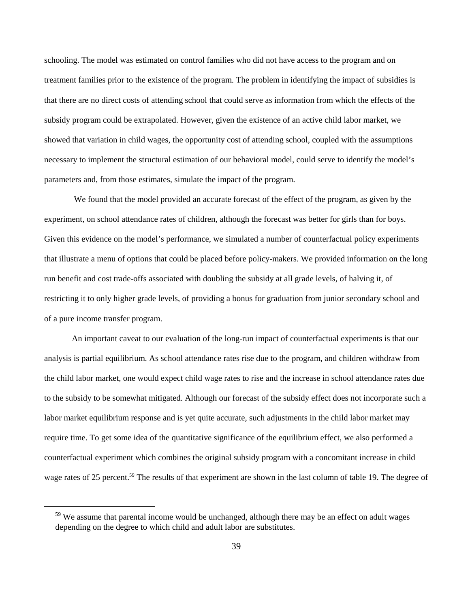schooling. The model was estimated on control families who did not have access to the program and on treatment families prior to the existence of the program. The problem in identifying the impact of subsidies is that there are no direct costs of attending school that could serve as information from which the effects of the subsidy program could be extrapolated. However, given the existence of an active child labor market, we showed that variation in child wages, the opportunity cost of attending school, coupled with the assumptions necessary to implement the structural estimation of our behavioral model, could serve to identify the model's parameters and, from those estimates, simulate the impact of the program.

 We found that the model provided an accurate forecast of the effect of the program, as given by the experiment, on school attendance rates of children, although the forecast was better for girls than for boys. Given this evidence on the model's performance, we simulated a number of counterfactual policy experiments that illustrate a menu of options that could be placed before policy-makers. We provided information on the long run benefit and cost trade-offs associated with doubling the subsidy at all grade levels, of halving it, of restricting it to only higher grade levels, of providing a bonus for graduation from junior secondary school and of a pure income transfer program.

An important caveat to our evaluation of the long-run impact of counterfactual experiments is that our analysis is partial equilibrium. As school attendance rates rise due to the program, and children withdraw from the child labor market, one would expect child wage rates to rise and the increase in school attendance rates due to the subsidy to be somewhat mitigated. Although our forecast of the subsidy effect does not incorporate such a labor market equilibrium response and is yet quite accurate, such adjustments in the child labor market may require time. To get some idea of the quantitative significance of the equilibrium effect, we also performed a counterfactual experiment which combines the original subsidy program with a concomitant increase in child wage rates of 25 percent.<sup>59</sup> The results of that experiment are shown in the last column of table 19. The degree of

 $59$  We assume that parental income would be unchanged, although there may be an effect on adult wages depending on the degree to which child and adult labor are substitutes.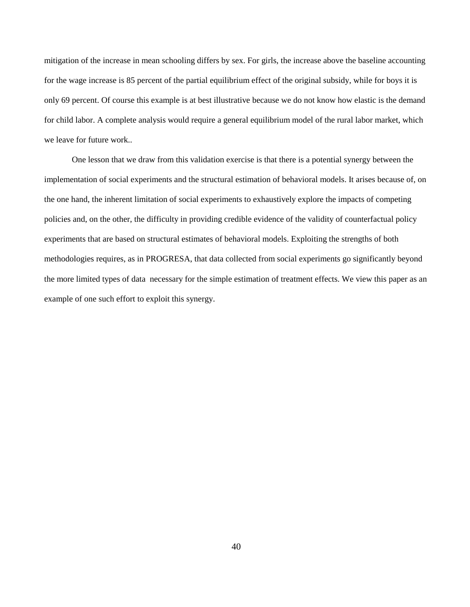mitigation of the increase in mean schooling differs by sex. For girls, the increase above the baseline accounting for the wage increase is 85 percent of the partial equilibrium effect of the original subsidy, while for boys it is only 69 percent. Of course this example is at best illustrative because we do not know how elastic is the demand for child labor. A complete analysis would require a general equilibrium model of the rural labor market, which we leave for future work..

One lesson that we draw from this validation exercise is that there is a potential synergy between the implementation of social experiments and the structural estimation of behavioral models. It arises because of, on the one hand, the inherent limitation of social experiments to exhaustively explore the impacts of competing policies and, on the other, the difficulty in providing credible evidence of the validity of counterfactual policy experiments that are based on structural estimates of behavioral models. Exploiting the strengths of both methodologies requires, as in PROGRESA, that data collected from social experiments go significantly beyond the more limited types of data necessary for the simple estimation of treatment effects. We view this paper as an example of one such effort to exploit this synergy.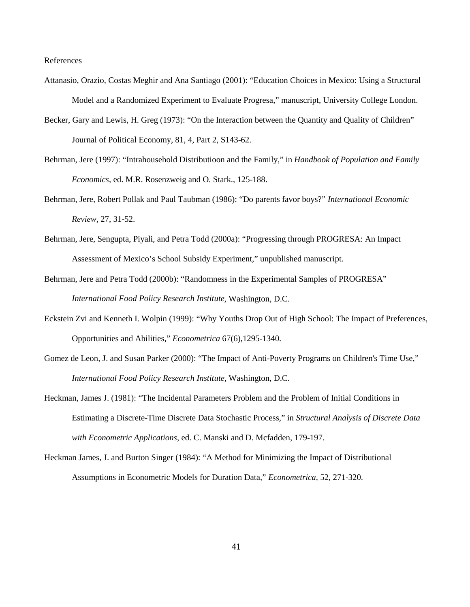References

- Attanasio, Orazio, Costas Meghir and Ana Santiago (2001): "Education Choices in Mexico: Using a Structural Model and a Randomized Experiment to Evaluate Progresa," manuscript, University College London.
- Becker, Gary and Lewis, H. Greg (1973): "On the Interaction between the Quantity and Quality of Children" Journal of Political Economy, 81, 4, Part 2, S143-62.
- Behrman, Jere (1997): "Intrahousehold Distributioon and the Family," in *Handbook of Population and Family Economics*, ed. M.R. Rosenzweig and O. Stark., 125-188.
- Behrman, Jere, Robert Pollak and Paul Taubman (1986): "Do parents favor boys?" *International Economic Review*, 27, 31-52.
- Behrman, Jere, Sengupta, Piyali, and Petra Todd (2000a): "Progressing through PROGRESA: An Impact Assessment of Mexico's School Subsidy Experiment," unpublished manuscript.
- Behrman, Jere and Petra Todd (2000b): "Randomness in the Experimental Samples of PROGRESA" *International Food Policy Research Institute*, Washington, D.C.
- Eckstein Zvi and Kenneth I. Wolpin (1999): "Why Youths Drop Out of High School: The Impact of Preferences, Opportunities and Abilities," *Econometrica* 67(6),1295-1340.
- Gomez de Leon, J. and Susan Parker (2000): "The Impact of Anti-Poverty Programs on Children's Time Use," *International Food Policy Research Institute*, Washington, D.C.
- Heckman, James J. (1981): "The Incidental Parameters Problem and the Problem of Initial Conditions in Estimating a Discrete-Time Discrete Data Stochastic Process," in *Structural Analysis of Discrete Data with Econometric Applications*, ed. C. Manski and D. Mcfadden, 179-197.
- Heckman James, J. and Burton Singer (1984): "A Method for Minimizing the Impact of Distributional Assumptions in Econometric Models for Duration Data," *Econometrica*, 52, 271-320.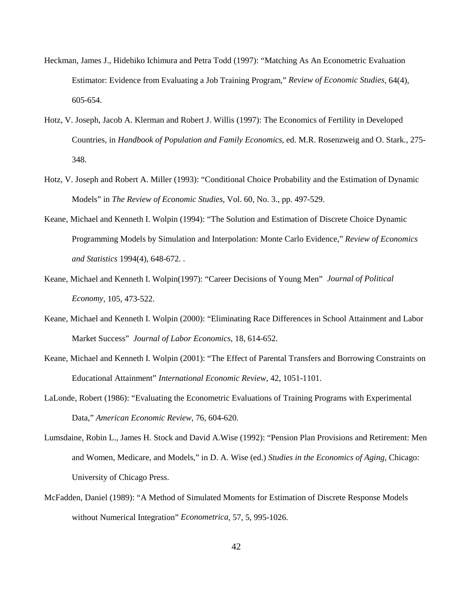- Heckman, James J., Hidehiko Ichimura and Petra Todd (1997): "Matching As An Econometric Evaluation Estimator: Evidence from Evaluating a Job Training Program," *Review of Economic Studies*, 64(4), 605-654.
- Hotz, V. Joseph, Jacob A. Klerman and Robert J. Willis (1997): The Economics of Fertility in Developed Countries, in *Handbook of Population and Family Economics*, ed. M.R. Rosenzweig and O. Stark., 275- 348.
- Hotz, V. Joseph and Robert A. Miller (1993): "Conditional Choice Probability and the Estimation of Dynamic Models" in *The Review of Economic Studies*, Vol. 60, No. 3., pp. 497-529.
- Keane, Michael and Kenneth I. Wolpin (1994): "The Solution and Estimation of Discrete Choice Dynamic Programming Models by Simulation and Interpolation: Monte Carlo Evidence," *Review of Economics and Statistics* 1994(4), 648-672. .
- Keane, Michael and Kenneth I. Wolpin(1997): "Career Decisions of Young Men" *Journal of Political Economy*, 105, 473-522.
- Keane, Michael and Kenneth I. Wolpin (2000): "Eliminating Race Differences in School Attainment and Labor Market Success" *Journal of Labor Economics*, 18, 614-652.
- Keane, Michael and Kenneth I. Wolpin (2001): "The Effect of Parental Transfers and Borrowing Constraints on Educational Attainment" *International Economic Review*, 42, 1051-1101.
- LaLonde, Robert (1986): "Evaluating the Econometric Evaluations of Training Programs with Experimental Data," *American Economic Review*, 76, 604-620.
- Lumsdaine, Robin L., James H. Stock and David A.Wise (1992): "Pension Plan Provisions and Retirement: Men and Women, Medicare, and Models," in D. A. Wise (ed.) *Studies in the Economics of Aging*, Chicago: University of Chicago Press.
- McFadden, Daniel (1989): "A Method of Simulated Moments for Estimation of Discrete Response Models without Numerical Integration" *Econometrica*, 57, 5, 995-1026.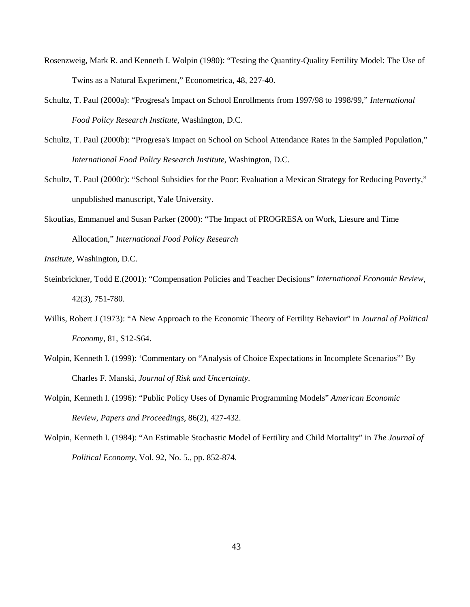- Rosenzweig, Mark R. and Kenneth I. Wolpin (1980): "Testing the Quantity-Quality Fertility Model: The Use of Twins as a Natural Experiment," Econometrica, 48, 227-40.
- Schultz, T. Paul (2000a): "Progresa's Impact on School Enrollments from 1997/98 to 1998/99," *International Food Policy Research Institute*, Washington, D.C.
- Schultz, T. Paul (2000b): "Progresa's Impact on School on School Attendance Rates in the Sampled Population," *International Food Policy Research Institute*, Washington, D.C.
- Schultz, T. Paul (2000c): "School Subsidies for the Poor: Evaluation a Mexican Strategy for Reducing Poverty," unpublished manuscript, Yale University.
- Skoufias, Emmanuel and Susan Parker (2000): "The Impact of PROGRESA on Work, Liesure and Time Allocation," *International Food Policy Research*
- *Institute*, Washington, D.C.
- Steinbrickner, Todd E.(2001): "Compensation Policies and Teacher Decisions" *International Economic Review*, 42(3), 751-780.
- Willis, Robert J (1973): "A New Approach to the Economic Theory of Fertility Behavior" in *Journal of Political Economy*, 81, S12-S64.
- Wolpin, Kenneth I. (1999): 'Commentary on "Analysis of Choice Expectations in Incomplete Scenarios"' By Charles F. Manski, *Journal of Risk and Uncertainty*.
- Wolpin, Kenneth I. (1996): "Public Policy Uses of Dynamic Programming Models" *American Economic Review, Papers and Proceedings*, 86(2), 427-432.
- Wolpin, Kenneth I. (1984): "An Estimable Stochastic Model of Fertility and Child Mortality" in *The Journal of Political Economy*, Vol. 92, No. 5., pp. 852-874.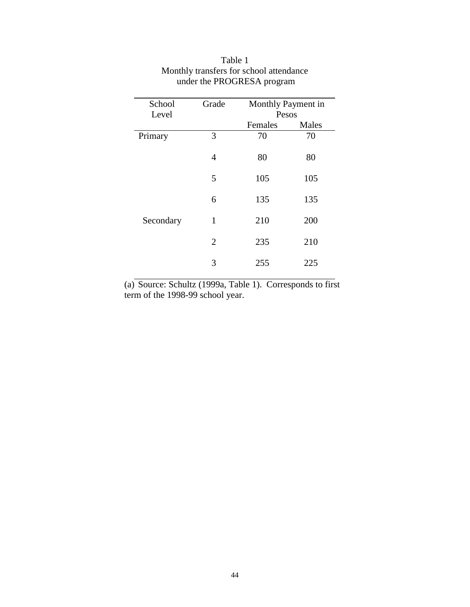| School<br>Level | Grade          |         | Monthly Payment in<br>Pesos |  |  |
|-----------------|----------------|---------|-----------------------------|--|--|
|                 |                | Females | Males                       |  |  |
| Primary         | 3              | 70      | 70                          |  |  |
|                 | 4              | 80      | 80                          |  |  |
|                 | 5              | 105     | 105                         |  |  |
|                 | 6              | 135     | 135                         |  |  |
| Secondary       | $\mathbf{1}$   | 210     | 200                         |  |  |
|                 | $\overline{2}$ | 235     | 210                         |  |  |
|                 | 3              | 255     | 225                         |  |  |

## Table 1 Monthly transfers for school attendance under the PROGRESA program

(a) Source: Schultz (1999a, Table 1). Corresponds to first term of the 1998-99 school year.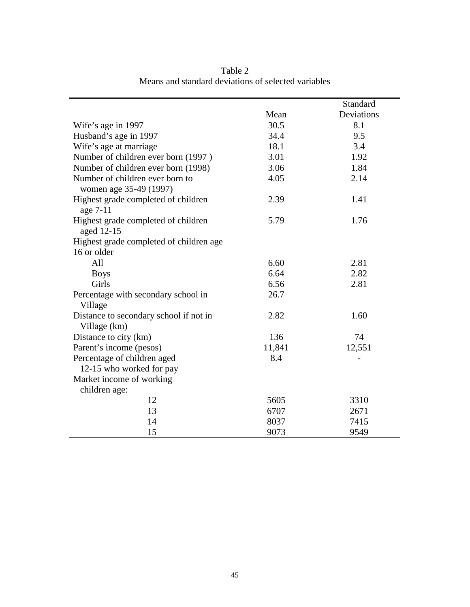|                                         |        | Standard   |
|-----------------------------------------|--------|------------|
|                                         | Mean   | Deviations |
| Wife's age in 1997                      | 30.5   | 8.1        |
| Husband's age in 1997                   | 34.4   | 9.5        |
| Wife's age at marriage                  | 18.1   | 3.4        |
| Number of children ever born (1997)     | 3.01   | 1.92       |
| Number of children ever born (1998)     | 3.06   | 1.84       |
| Number of children ever born to         | 4.05   | 2.14       |
| women age 35-49 (1997)                  |        |            |
| Highest grade completed of children     | 2.39   | 1.41       |
| age 7-11                                |        |            |
| Highest grade completed of children     | 5.79   | 1.76       |
| aged 12-15                              |        |            |
| Highest grade completed of children age |        |            |
| 16 or older                             |        |            |
| All                                     | 6.60   | 2.81       |
| <b>Boys</b>                             | 6.64   | 2.82       |
| Girls                                   | 6.56   | 2.81       |
| Percentage with secondary school in     | 26.7   |            |
| Village                                 |        |            |
| Distance to secondary school if not in  | 2.82   | 1.60       |
| Village (km)                            |        |            |
| Distance to city (km)                   | 136    | 74         |
| Parent's income (pesos)                 | 11,841 | 12,551     |
| Percentage of children aged             | 8.4    |            |
| 12-15 who worked for pay                |        |            |
| Market income of working                |        |            |
| children age:                           |        |            |
| 12                                      | 5605   | 3310       |
| 13                                      | 6707   | 2671       |
| 14                                      | 8037   | 7415       |
| 15                                      | 9073   | 9549       |

Table 2 Means and standard deviations of selected variables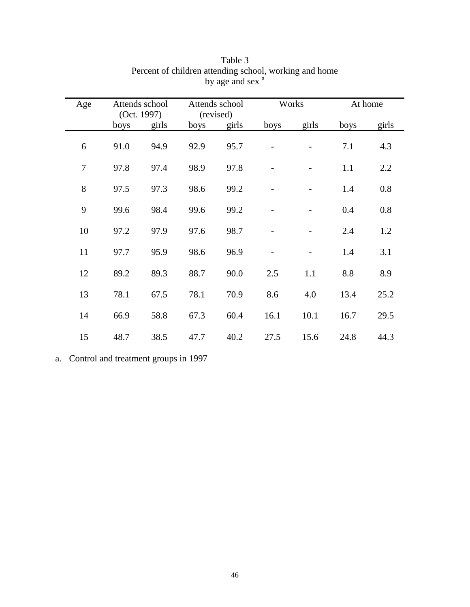| Age            |      | Attends school |      | Attends school |      | Works |      | At home |
|----------------|------|----------------|------|----------------|------|-------|------|---------|
|                |      | (Oct. 1997)    |      | (revised)      |      |       |      |         |
|                | boys | girls          | boys | girls          | boys | girls | boys | girls   |
|                |      |                |      |                |      |       |      |         |
| 6              | 91.0 | 94.9           | 92.9 | 95.7           |      |       | 7.1  | 4.3     |
|                |      |                |      |                |      |       |      |         |
| $\overline{7}$ | 97.8 | 97.4           | 98.9 | 97.8           |      |       | 1.1  | 2.2     |
|                |      |                |      |                |      |       |      |         |
| 8              | 97.5 | 97.3           | 98.6 | 99.2           |      |       | 1.4  | 0.8     |
|                |      |                |      |                |      |       |      |         |
| 9              | 99.6 | 98.4           | 99.6 | 99.2           |      |       | 0.4  | 0.8     |
|                |      |                |      |                |      |       |      |         |
| 10             | 97.2 | 97.9           | 97.6 | 98.7           |      |       | 2.4  | 1.2     |
|                |      |                |      |                |      |       |      |         |
| 11             | 97.7 | 95.9           | 98.6 | 96.9           |      |       | 1.4  | 3.1     |
|                |      |                |      |                |      |       |      |         |
| 12             | 89.2 | 89.3           | 88.7 | 90.0           | 2.5  | 1.1   | 8.8  | 8.9     |
|                |      |                |      |                |      |       |      |         |
| 13             | 78.1 | 67.5           | 78.1 | 70.9           | 8.6  | 4.0   | 13.4 | 25.2    |
|                |      |                |      |                |      |       |      |         |
| 14             | 66.9 | 58.8           | 67.3 | 60.4           | 16.1 | 10.1  | 16.7 | 29.5    |
|                |      |                |      |                |      |       |      |         |
| 15             | 48.7 | 38.5           | 47.7 | 40.2           | 27.5 | 15.6  | 24.8 | 44.3    |
|                |      |                |      |                |      |       |      |         |

#### Table 3 Percent of children attending school, working and home by age and sex  $a$

a. Control and treatment groups in 1997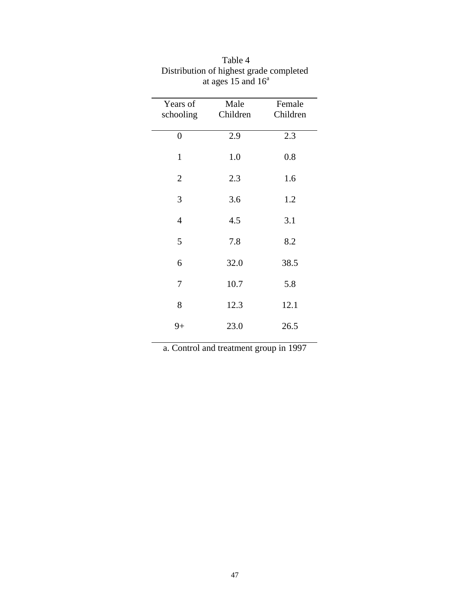| Male | Female   |
|------|----------|
|      | Children |
| 2.9  | 2.3      |
| 1.0  | 0.8      |
| 2.3  | 1.6      |
| 3.6  | 1.2      |
| 4.5  | 3.1      |
| 7.8  | 8.2      |
| 32.0 | 38.5     |
| 10.7 | 5.8      |
| 12.3 | 12.1     |
| 23.0 | 26.5     |
|      | Children |

| Table 4                                 |
|-----------------------------------------|
| Distribution of highest grade completed |
| at ages 15 and $16^{\circ}$             |

a. Control and treatment group in 1997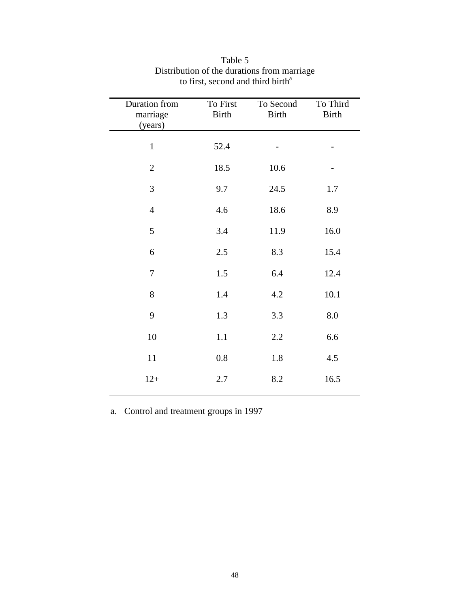| Duration from<br>marriage<br>(years) | To First<br><b>Birth</b> | To Second<br><b>Birth</b> | To Third<br><b>Birth</b> |
|--------------------------------------|--------------------------|---------------------------|--------------------------|
| $\mathbf{1}$                         | 52.4                     |                           |                          |
| $\mathbf{2}$                         | 18.5                     | 10.6                      |                          |
| 3                                    | 9.7                      | 24.5                      | 1.7                      |
| $\overline{4}$                       | 4.6                      | 18.6                      | 8.9                      |
| 5                                    | 3.4                      | 11.9                      | 16.0                     |
| $\boldsymbol{6}$                     | 2.5                      | 8.3                       | 15.4                     |
| 7                                    | 1.5                      | 6.4                       | 12.4                     |
| $8\,$                                | 1.4                      | 4.2                       | 10.1                     |
| 9                                    | 1.3                      | 3.3                       | 8.0                      |
| 10                                   | 1.1                      | 2.2                       | 6.6                      |
| 11                                   | 0.8                      | 1.8                       | 4.5                      |
| $12+$                                | 2.7                      | 8.2                       | 16.5                     |

## Table 5 Distribution of the durations from marriage to first, second and third birth<sup>a</sup>

a. Control and treatment groups in 1997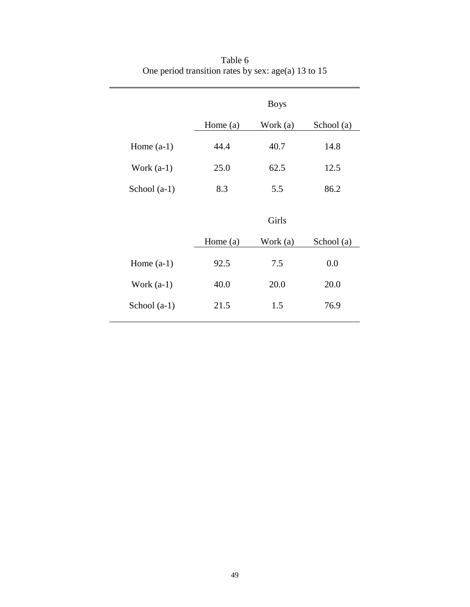|                |            | <b>Boys</b> |            |  |
|----------------|------------|-------------|------------|--|
|                | Home $(a)$ | Work (a)    | School (a) |  |
| Home $(a-1)$   | 44.4       | 40.7        | 14.8       |  |
| Work $(a-1)$   | 25.0       | 62.5        | 12.5       |  |
| School $(a-1)$ | 8.3        | 5.5         | 86.2       |  |
|                |            | Girls       |            |  |
|                | Home $(a)$ | Work (a)    | School (a) |  |
| Home $(a-1)$   | 92.5       | 7.5         | 0.0        |  |
| Work $(a-1)$   | 40.0       | 20.0        | 20.0       |  |
| School $(a-1)$ | 21.5       | 1.5         | 76.9       |  |

Table 6 One period transition rates by sex: age(a) 13 to 15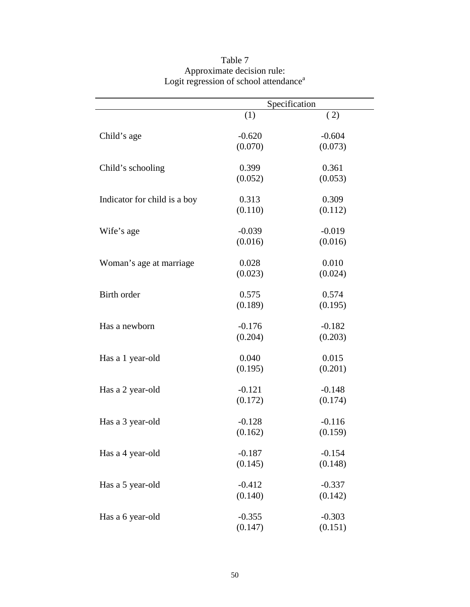|                              | Specification |          |  |
|------------------------------|---------------|----------|--|
|                              | (1)           | (2)      |  |
| Child's age                  | $-0.620$      | $-0.604$ |  |
|                              | (0.070)       | (0.073)  |  |
| Child's schooling            | 0.399         | 0.361    |  |
|                              | (0.052)       | (0.053)  |  |
| Indicator for child is a boy | 0.313         | 0.309    |  |
|                              | (0.110)       | (0.112)  |  |
| Wife's age                   | $-0.039$      | $-0.019$ |  |
|                              | (0.016)       | (0.016)  |  |
| Woman's age at marriage      | 0.028         | 0.010    |  |
|                              | (0.023)       | (0.024)  |  |
| Birth order                  | 0.575         | 0.574    |  |
|                              | (0.189)       | (0.195)  |  |
| Has a newborn                | $-0.176$      | $-0.182$ |  |
|                              | (0.204)       | (0.203)  |  |
| Has a 1 year-old             | 0.040         | 0.015    |  |
|                              | (0.195)       | (0.201)  |  |
| Has a 2 year-old             | $-0.121$      | $-0.148$ |  |
|                              | (0.172)       | (0.174)  |  |
| Has a 3 year-old             | $-0.128$      | $-0.116$ |  |
|                              | (0.162)       | (0.159)  |  |
| Has a 4 year-old             | $-0.187$      | $-0.154$ |  |
|                              | (0.145)       | (0.148)  |  |
| Has a 5 year-old             | $-0.412$      | $-0.337$ |  |
|                              | (0.140)       | (0.142)  |  |
| Has a 6 year-old             | $-0.355$      | $-0.303$ |  |
|                              | (0.147)       | (0.151)  |  |

### Table 7 Approximate decision rule: Logit regression of school attendance<sup>a</sup>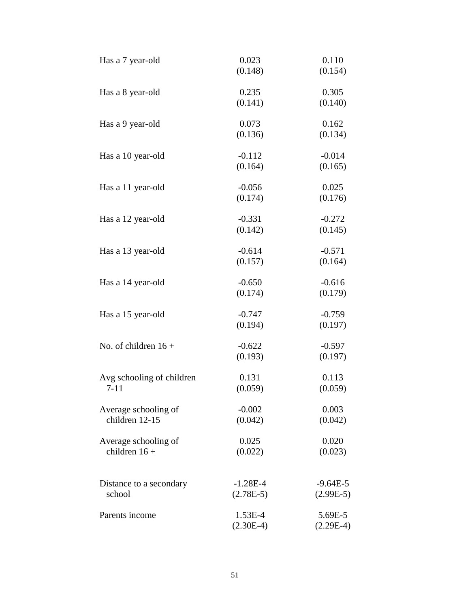| Has a 7 year-old                        | 0.023<br>(0.148)          | 0.110<br>(0.154)          |
|-----------------------------------------|---------------------------|---------------------------|
| Has a 8 year-old                        | 0.235<br>(0.141)          | 0.305<br>(0.140)          |
| Has a 9 year-old                        | 0.073<br>(0.136)          | 0.162<br>(0.134)          |
| Has a 10 year-old                       | $-0.112$<br>(0.164)       | $-0.014$<br>(0.165)       |
| Has a 11 year-old                       | $-0.056$<br>(0.174)       | 0.025<br>(0.176)          |
| Has a 12 year-old                       | $-0.331$<br>(0.142)       | $-0.272$<br>(0.145)       |
| Has a 13 year-old                       | $-0.614$<br>(0.157)       | $-0.571$<br>(0.164)       |
| Has a 14 year-old                       | $-0.650$<br>(0.174)       | $-0.616$<br>(0.179)       |
| Has a 15 year-old                       | $-0.747$<br>(0.194)       | $-0.759$<br>(0.197)       |
| No. of children $16 +$                  | $-0.622$<br>(0.193)       | $-0.597$<br>(0.197)       |
| Avg schooling of children<br>$7 - 11$   | 0.131<br>(0.059)          | 0.113<br>(0.059)          |
| Average schooling of<br>children 12-15  | $-0.002$<br>(0.042)       | 0.003<br>(0.042)          |
| Average schooling of<br>children $16 +$ | 0.025<br>(0.022)          | 0.020<br>(0.023)          |
| Distance to a secondary<br>school       | $-1.28E-4$<br>$(2.78E-5)$ | $-9.64E-5$<br>$(2.99E-5)$ |
| Parents income                          | 1.53E-4<br>$(2.30E-4)$    | 5.69E-5<br>$(2.29E-4)$    |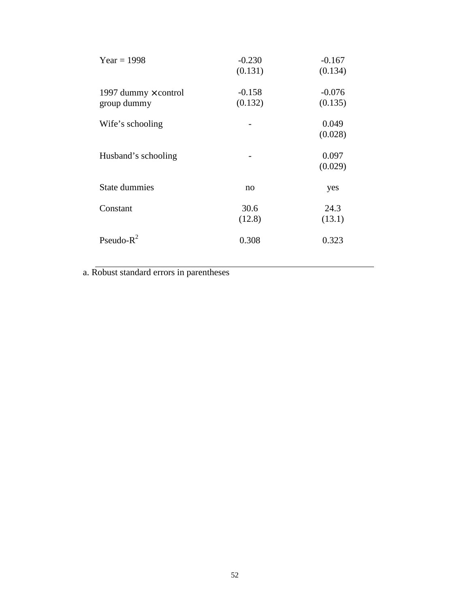| $Year = 1998$                              | $-0.230$<br>(0.131) | $-0.167$<br>(0.134) |
|--------------------------------------------|---------------------|---------------------|
| 1997 dummy $\times$ control<br>group dummy | $-0.158$<br>(0.132) | $-0.076$<br>(0.135) |
| Wife's schooling                           |                     | 0.049<br>(0.028)    |
| Husband's schooling                        |                     | 0.097<br>(0.029)    |
| <b>State dummies</b>                       | no                  | yes                 |
| Constant                                   | 30.6<br>(12.8)      | 24.3<br>(13.1)      |
| Pseudo- $R^2$                              | 0.308               | 0.323               |

a. Robust standard errors in parentheses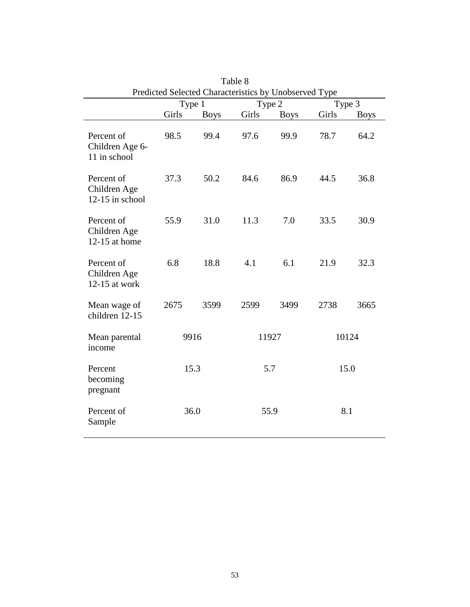| Predicted Selected Characteristics by Unobserved Type |        |             |       |             |       |             |
|-------------------------------------------------------|--------|-------------|-------|-------------|-------|-------------|
|                                                       | Type 1 |             |       | Type 2      |       | Type 3      |
|                                                       | Girls  | <b>Boys</b> | Girls | <b>Boys</b> | Girls | <b>Boys</b> |
| Percent of<br>Children Age 6-<br>11 in school         | 98.5   | 99.4        | 97.6  | 99.9        | 78.7  | 64.2        |
| Percent of<br>Children Age<br>$12-15$ in school       | 37.3   | 50.2        | 84.6  | 86.9        | 44.5  | 36.8        |
| Percent of<br>Children Age<br>12-15 at home           | 55.9   | 31.0        | 11.3  | 7.0         | 33.5  | 30.9        |
| Percent of<br>Children Age<br>$12-15$ at work         | 6.8    | 18.8        | 4.1   | 6.1         | 21.9  | 32.3        |
| Mean wage of<br>children 12-15                        | 2675   | 3599        | 2599  | 3499        | 2738  | 3665        |
| Mean parental<br>income                               |        | 9916        |       | 11927       |       | 10124       |
| Percent<br>becoming<br>pregnant                       |        | 15.3        |       | 5.7         |       | 15.0        |
| Percent of<br>Sample                                  |        | 36.0        |       | 55.9        |       | 8.1         |

Table 8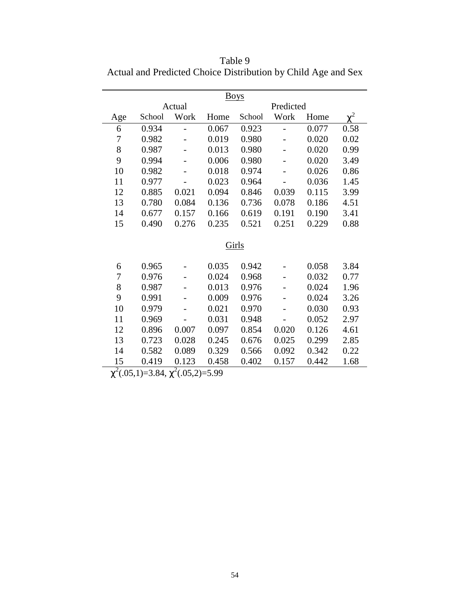Table 9 Actual and Predicted Choice Distribution by Child Age and Sex

| <b>Boys</b>                    |        |                |       |        |           |       |          |
|--------------------------------|--------|----------------|-------|--------|-----------|-------|----------|
|                                |        | Actual         |       |        | Predicted |       |          |
| Age                            | School | Work           | Home  | School | Work      | Home  | $\chi^2$ |
| 6                              | 0.934  | $\overline{a}$ | 0.067 | 0.923  |           | 0.077 | 0.58     |
| 7                              | 0.982  |                | 0.019 | 0.980  |           | 0.020 | 0.02     |
| 8                              | 0.987  |                | 0.013 | 0.980  |           | 0.020 | 0.99     |
| 9                              | 0.994  |                | 0.006 | 0.980  |           | 0.020 | 3.49     |
| 10                             | 0.982  |                | 0.018 | 0.974  |           | 0.026 | 0.86     |
| 11                             | 0.977  |                | 0.023 | 0.964  |           | 0.036 | 1.45     |
| 12                             | 0.885  | 0.021          | 0.094 | 0.846  | 0.039     | 0.115 | 3.99     |
| 13                             | 0.780  | 0.084          | 0.136 | 0.736  | 0.078     | 0.186 | 4.51     |
| 14                             | 0.677  | 0.157          | 0.166 | 0.619  | 0.191     | 0.190 | 3.41     |
| 15                             | 0.490  | 0.276          | 0.235 | 0.521  | 0.251     | 0.229 | 0.88     |
|                                |        |                |       |        |           |       |          |
|                                |        |                |       | Girls  |           |       |          |
| 6                              | 0.965  |                | 0.035 | 0.942  |           | 0.058 | 3.84     |
| 7                              | 0.976  |                | 0.024 | 0.968  |           | 0.032 | 0.77     |
| 8                              | 0.987  |                | 0.013 | 0.976  |           | 0.024 | 1.96     |
| 9                              | 0.991  | -              | 0.009 | 0.976  |           | 0.024 | 3.26     |
| 10                             | 0.979  |                | 0.021 | 0.970  |           | 0.030 | 0.93     |
| 11                             | 0.969  |                | 0.031 | 0.948  |           | 0.052 | 2.97     |
| 12                             | 0.896  | 0.007          | 0.097 | 0.854  | 0.020     | 0.126 | 4.61     |
| 13                             | 0.723  | 0.028          | 0.245 | 0.676  | 0.025     | 0.299 | 2.85     |
| 14                             | 0.582  | 0.089          | 0.329 | 0.566  | 0.092     | 0.342 | 0.22     |
| 15<br>$\overline{\phantom{0}}$ | 0.419  | 0.123<br>h     | 0.458 | 0.402  | 0.157     | 0.442 | 1.68     |

 $\chi^2(.05,1)=3.84$ ,  $\chi^2(.05,2)=5.99$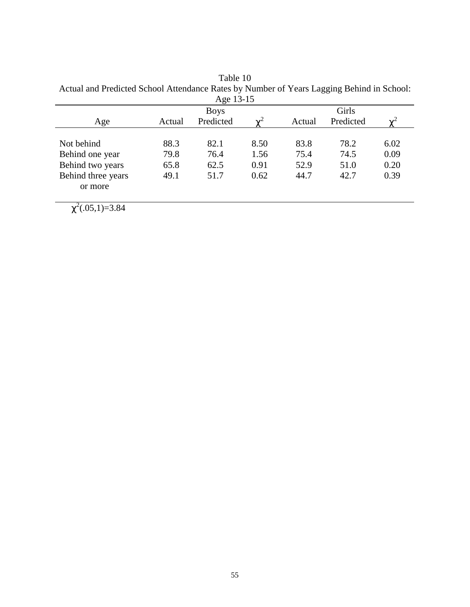Table 10 Actual and Predicted School Attendance Rates by Number of Years Lagging Behind in School:

| Age 13-15<br>Girls<br><b>Boys</b> |        |           |            |        |           |      |  |  |  |
|-----------------------------------|--------|-----------|------------|--------|-----------|------|--|--|--|
| Age                               | Actual | Predicted | $\gamma^2$ | Actual | Predicted |      |  |  |  |
|                                   |        |           |            |        |           |      |  |  |  |
| Not behind                        | 88.3   | 82.1      | 8.50       | 83.8   | 78.2      | 6.02 |  |  |  |
| Behind one year                   | 79.8   | 76.4      | 1.56       | 75.4   | 74.5      | 0.09 |  |  |  |
| Behind two years                  | 65.8   | 62.5      | 0.91       | 52.9   | 51.0      | 0.20 |  |  |  |
| Behind three years                | 49.1   | 51.7      | 0.62       | 44.7   | 42.7      | 0.39 |  |  |  |
| or more                           |        |           |            |        |           |      |  |  |  |

 $\chi^2(.05,1)=3.84$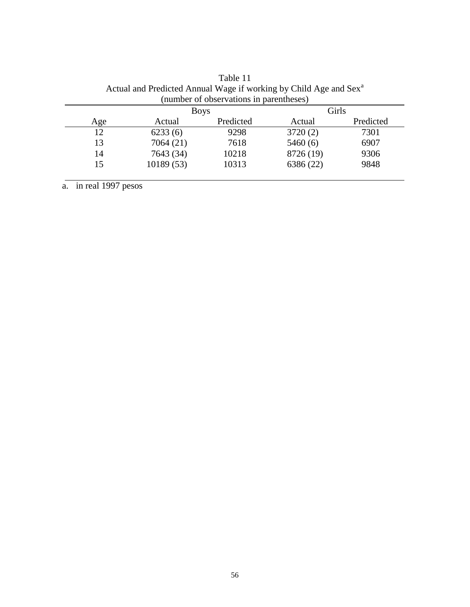|     | <b>Boys</b> |           | Girls     |           |
|-----|-------------|-----------|-----------|-----------|
| Age | Actual      | Predicted | Actual    | Predicted |
| 12  | 6233(6)     | 9298      | 3720(2)   | 7301      |
| 13  | 7064 (21)   | 7618      | 5460(6)   | 6907      |
| 14  | 7643 (34)   | 10218     | 8726 (19) | 9306      |
| 15  | 10189(53)   | 10313     | 6386 (22) | 9848      |

Table 11 Actual and Predicted Annual Wage if working by Child Age and Sex<sup>a</sup> (number of observations in parentheses)

a. in real 1997 pesos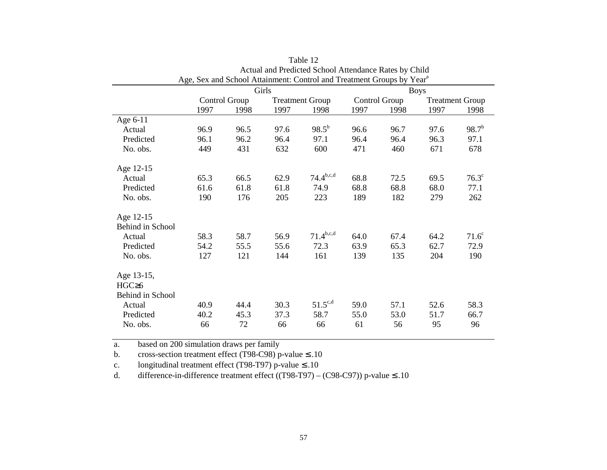| Age, Sex and School Attainment: Control and Treatment Groups by Year <sup>a</sup> |      |               |       |                        |             |               |      |                        |
|-----------------------------------------------------------------------------------|------|---------------|-------|------------------------|-------------|---------------|------|------------------------|
|                                                                                   |      |               | Girls |                        | <b>Boys</b> |               |      |                        |
|                                                                                   |      | Control Group |       | <b>Treatment Group</b> |             | Control Group |      | <b>Treatment Group</b> |
|                                                                                   | 1997 | 1998          | 1997  | 1998                   | 1997        | 1998          | 1997 | 1998                   |
| Age 6-11                                                                          |      |               |       |                        |             |               |      |                        |
| Actual                                                                            | 96.9 | 96.5          | 97.6  | $98.5^{b}$             | 96.6        | 96.7          | 97.6 | $98.7^{b}$             |
| Predicted                                                                         | 96.1 | 96.2          | 96.4  | 97.1                   | 96.4        | 96.4          | 96.3 | 97.1                   |
| No. obs.                                                                          | 449  | 431           | 632   | 600                    | 471         | 460           | 671  | 678                    |
| Age 12-15                                                                         |      |               |       |                        |             |               |      |                        |
| Actual                                                                            | 65.3 | 66.5          | 62.9  | $74.4^{\rm b,c,d}$     | 68.8        | 72.5          | 69.5 | $76.3^\circ$           |
| Predicted                                                                         | 61.6 | 61.8          | 61.8  | 74.9                   | 68.8        | 68.8          | 68.0 | 77.1                   |
| No. obs.                                                                          | 190  | 176           | 205   | 223                    | 189         | 182           | 279  | 262                    |
| Age 12-15                                                                         |      |               |       |                        |             |               |      |                        |
| Behind in School                                                                  |      |               |       |                        |             |               |      |                        |
| Actual                                                                            | 58.3 | 58.7          | 56.9  | $71.4^{b,c,d}$         | 64.0        | 67.4          | 64.2 | $71.6^\circ$           |
| Predicted                                                                         | 54.2 | 55.5          | 55.6  | 72.3                   | 63.9        | 65.3          | 62.7 | 72.9                   |
| No. obs.                                                                          | 127  | 121           | 144   | 161                    | 139         | 135           | 204  | 190                    |
| Age 13-15,                                                                        |      |               |       |                        |             |               |      |                        |
| HGC <sub>26</sub>                                                                 |      |               |       |                        |             |               |      |                        |
| Behind in School                                                                  |      |               |       |                        |             |               |      |                        |
| Actual                                                                            | 40.9 | 44.4          | 30.3  | $51.5^{\text{c,d}}$    | 59.0        | 57.1          | 52.6 | 58.3                   |
| Predicted                                                                         | 40.2 | 45.3          | 37.3  | 58.7                   | 55.0        | 53.0          | 51.7 | 66.7                   |
| No. obs.                                                                          | 66   | 72            | 66    | 66                     | 61          | 56            | 95   | 96                     |
|                                                                                   |      |               |       |                        |             |               |      |                        |

Table 12Actual and Predicted School Attendance Rates by Child

a.based on 200 simulation draws per family

b.cross-section treatment effect (T98-C98) p-value ≤ .10

c.longitudinal treatment effect (T98-T97) p-value ≤ .10

d.difference-in-difference treatment effect ((T98-T97) – (C98-C97)) p-value  $\leq$  .10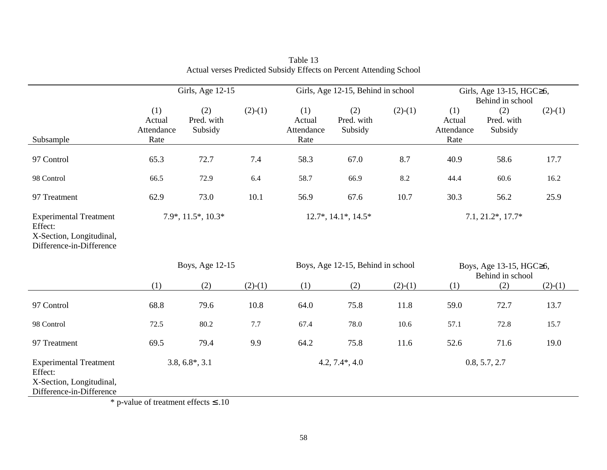|                                                                                                  | Girls, Age 12-15                                                                    |                                                      |                   |                                     | Girls, Age 12-15, Behind in school |                                             | Girls, Age 13-15, HGC≥6,<br>Behind in school |                              |           |  |
|--------------------------------------------------------------------------------------------------|-------------------------------------------------------------------------------------|------------------------------------------------------|-------------------|-------------------------------------|------------------------------------|---------------------------------------------|----------------------------------------------|------------------------------|-----------|--|
| Subsample                                                                                        | (1)<br>Actual<br>Attendance<br>Rate                                                 | (2)<br>Pred. with<br>Subsidy                         | $(2)-(1)$         | (1)<br>Actual<br>Attendance<br>Rate | (2)<br>Pred. with<br>Subsidy       | $(2)-(1)$                                   | (1)<br>Actual<br>Attendance<br>Rate          | (2)<br>Pred. with<br>Subsidy | $(2)-(1)$ |  |
| 97 Control                                                                                       | 65.3                                                                                | 72.7                                                 | 7.4               | 58.3                                | 67.0                               | 8.7                                         | 40.9                                         | 58.6                         | 17.7      |  |
| 98 Control                                                                                       | 66.5                                                                                | 72.9                                                 | 6.4               | 58.7                                | 66.9                               | 8.2                                         | 44.4                                         | 60.6                         | 16.2      |  |
| 97 Treatment                                                                                     | 62.9                                                                                | 73.0                                                 | 10.1              | 56.9                                | 67.6                               | 10.7                                        | 30.3                                         | 56.2                         | 25.9      |  |
| <b>Experimental Treatment</b><br>Effect:<br>X-Section, Longitudinal,<br>Difference-in-Difference | 7.9*, 11.5*, 10.3*                                                                  |                                                      |                   |                                     | $12.7^*$ , $14.1^*$ , $14.5^*$     |                                             | $7.1, 21.2^*, 17.7^*$                        |                              |           |  |
|                                                                                                  |                                                                                     | Boys, Age 12-15<br>Boys, Age 12-15, Behind in school |                   |                                     |                                    | Boys, Age 13-15, HGC≥6,<br>Behind in school |                                              |                              |           |  |
|                                                                                                  | (1)                                                                                 | (2)                                                  | $(2)-(1)$         | (1)                                 | (2)                                | $(2)-(1)$                                   | (1)                                          | (2)                          | $(2)-(1)$ |  |
| 97 Control                                                                                       | 68.8                                                                                | 79.6                                                 | 10.8              | 64.0                                | 75.8                               | 11.8                                        | 59.0                                         | 72.7                         | 13.7      |  |
| 98 Control                                                                                       | 72.5                                                                                | 80.2                                                 | 7.7               | 67.4                                | 78.0                               | 10.6                                        | 57.1                                         | 72.8                         | 15.7      |  |
| 97 Treatment                                                                                     | 69.5                                                                                | 79.4                                                 | 9.9               | 64.2                                | 75.8                               | 11.6                                        | 52.6                                         | 71.6                         | 19.0      |  |
| <b>Experimental Treatment</b><br>Effect:<br>X-Section, Longitudinal,<br>Difference-in-Difference | $3.8, 6.8^*, 3.1$<br>$\ddot{v}$ 1 $\ddot{c}$ 1 $\ddot{c}$ 1 $\ddot{c}$ 1 $\ddot{c}$ |                                                      | $4.2, 7.4^*, 4.0$ |                                     |                                    | 0.8, 5.7, 2.7                               |                                              |                              |           |  |

Table 13 Actual verses Predicted Subsidy Effects on Percent Attending School

\* p-value of treatment effects ≤ .10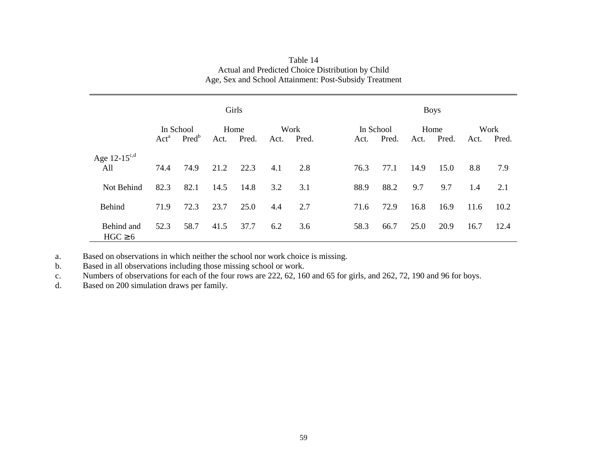|                            | Girls            |                       |      |               |      |               | <b>Boys</b>       |       |      |               |      |               |
|----------------------------|------------------|-----------------------|------|---------------|------|---------------|-------------------|-------|------|---------------|------|---------------|
|                            | Act <sup>a</sup> | In School<br>$Pred^b$ | Act. | Home<br>Pred. | Act. | Work<br>Pred. | In School<br>Act. | Pred. | Act. | Home<br>Pred. | Act. | Work<br>Pred. |
| Age $12-15^{c,d}$<br>All   | 74.4             | 74.9                  | 21.2 | 22.3          | 4.1  | 2.8           | 76.3              | 77.1  | 14.9 | 15.0          | 8.8  | 7.9           |
| Not Behind                 | 82.3             | 82.1                  | 14.5 | 14.8          | 3.2  | 3.1           | 88.9              | 88.2  | 9.7  | 9.7           | 1.4  | 2.1           |
| <b>Behind</b>              | 71.9             | 72.3                  | 23.7 | 25.0          | 4.4  | 2.7           | 71.6              | 72.9  | 16.8 | 16.9          | 11.6 | 10.2          |
| Behind and<br>$HGC \geq 6$ | 52.3             | 58.7                  | 41.5 | 37.7          | 6.2  | 3.6           | 58.3              | 66.7  | 25.0 | 20.9          | 16.7 | 12.4          |

| Table 14                                               |
|--------------------------------------------------------|
| Actual and Predicted Choice Distribution by Child      |
| Age, Sex and School Attainment: Post-Subsidy Treatment |

a.Based on observations in which neither the school nor work choice is missing.

b.Based in all observations including those missing school or work.

c.Numbers of observations for each of the four rows are 222, 62, 160 and 65 for girls, and 262, 72, 190 and 96 for boys.

d.Based on 200 simulation draws per family.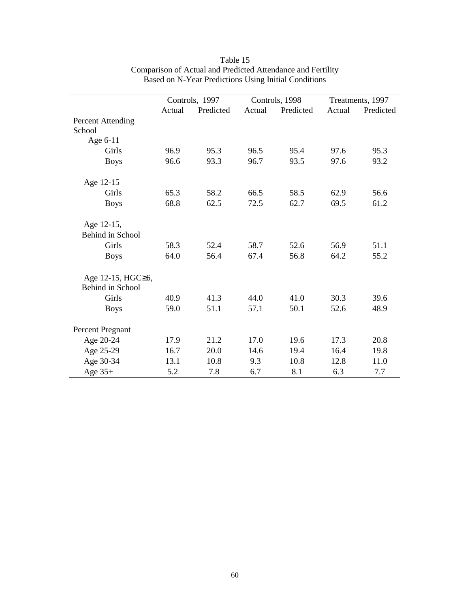|                                       | Controls, 1997 |           |        | Controls, 1998 | Treatments, 1997 |           |  |
|---------------------------------------|----------------|-----------|--------|----------------|------------------|-----------|--|
|                                       | Actual         | Predicted | Actual | Predicted      | Actual           | Predicted |  |
| <b>Percent Attending</b><br>School    |                |           |        |                |                  |           |  |
| Age 6-11                              |                |           |        |                |                  |           |  |
| Girls                                 | 96.9           | 95.3      | 96.5   | 95.4           | 97.6             | 95.3      |  |
| <b>Boys</b>                           | 96.6           | 93.3      | 96.7   | 93.5           | 97.6             | 93.2      |  |
| Age 12-15                             |                |           |        |                |                  |           |  |
| Girls                                 | 65.3           | 58.2      | 66.5   | 58.5           | 62.9             | 56.6      |  |
| <b>Boys</b>                           | 68.8           | 62.5      | 72.5   | 62.7           | 69.5             | 61.2      |  |
| Age 12-15,                            |                |           |        |                |                  |           |  |
| <b>Behind in School</b>               |                |           |        |                |                  |           |  |
| Girls                                 | 58.3           | 52.4      | 58.7   | 52.6           | 56.9             | 51.1      |  |
| <b>Boys</b>                           | 64.0           | 56.4      | 67.4   | 56.8           | 64.2             | 55.2      |  |
| Age 12-15, HGC≥6,<br>Behind in School |                |           |        |                |                  |           |  |
| Girls                                 | 40.9           | 41.3      | 44.0   | 41.0           | 30.3             | 39.6      |  |
| <b>Boys</b>                           | 59.0           | 51.1      | 57.1   | 50.1           | 52.6             | 48.9      |  |
| Percent Pregnant                      |                |           |        |                |                  |           |  |
| Age 20-24                             | 17.9           | 21.2      | 17.0   | 19.6           | 17.3             | 20.8      |  |
| Age 25-29                             | 16.7           | 20.0      | 14.6   | 19.4           | 16.4             | 19.8      |  |
| Age 30-34                             | 13.1           | 10.8      | 9.3    | 10.8           | 12.8             | 11.0      |  |
| Age $35+$                             | 5.2            | 7.8       | 6.7    | 8.1            | 6.3              | 7.7       |  |

Table 15 Comparison of Actual and Predicted Attendance and Fertility Based on N-Year Predictions Using Initial Conditions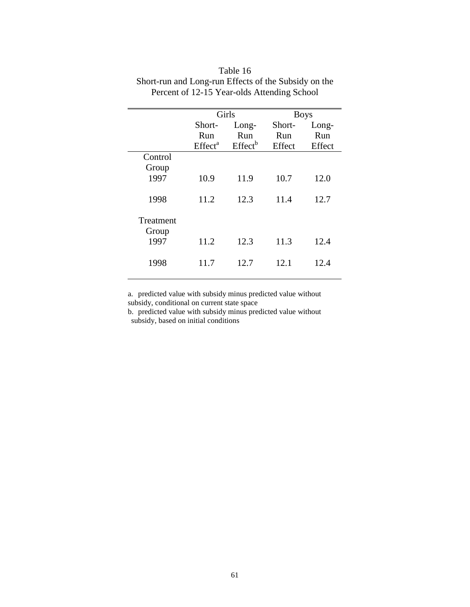|           | Girls               |                     | <b>Boys</b> |        |
|-----------|---------------------|---------------------|-------------|--------|
|           | Short-              | Long-               | Short-      | Long-  |
|           | Run                 | Run                 | Run         | Run    |
|           | Effect <sup>a</sup> | Effect <sup>b</sup> | Effect      | Effect |
| Control   |                     |                     |             |        |
| Group     |                     |                     |             |        |
| 1997      | 10.9                | 11.9                | 10.7        | 12.0   |
|           |                     |                     |             |        |
| 1998      | 11.2                | 12.3                | 11.4        | 12.7   |
|           |                     |                     |             |        |
| Treatment |                     |                     |             |        |
| Group     |                     |                     |             |        |
| 1997      | 11.2                | 12.3                | 11.3        | 12.4   |
|           |                     |                     |             |        |
| 1998      | 11.7                | 12.7                | 12.1        | 12.4   |
|           |                     |                     |             |        |

Table 16 Short-run and Long-run Effects of the Subsidy on the Percent of 12-15 Year-olds Attending School

a. predicted value with subsidy minus predicted value without subsidy, conditional on current state space

b. predicted value with subsidy minus predicted value without subsidy, based on initial conditions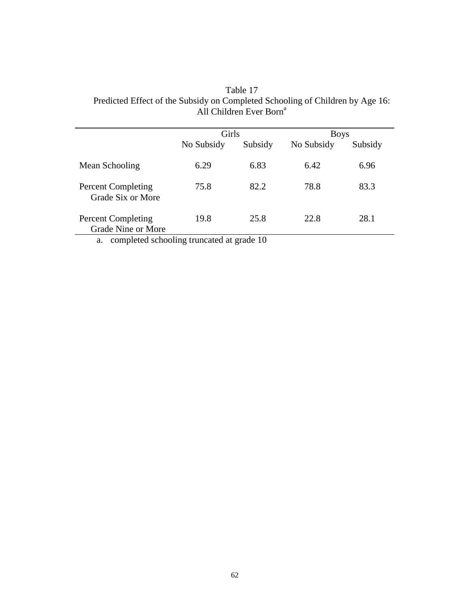| Table 17                                                                      |
|-------------------------------------------------------------------------------|
| Predicted Effect of the Subsidy on Completed Schooling of Children by Age 16: |
| All Children Ever Born <sup>a</sup>                                           |

|                                                 | Girls      |         | <b>Boys</b> |         |  |
|-------------------------------------------------|------------|---------|-------------|---------|--|
|                                                 | No Subsidy | Subsidy | No Subsidy  | Subsidy |  |
| Mean Schooling                                  | 6.29       | 6.83    | 6.42        | 6.96    |  |
| <b>Percent Completing</b><br>Grade Six or More  | 75.8       | 82.2    | 78.8        | 83.3    |  |
| <b>Percent Completing</b><br>Grade Nine or More | 19.8       | 25.8    | 22.8        | 28.1    |  |

a. completed schooling truncated at grade 10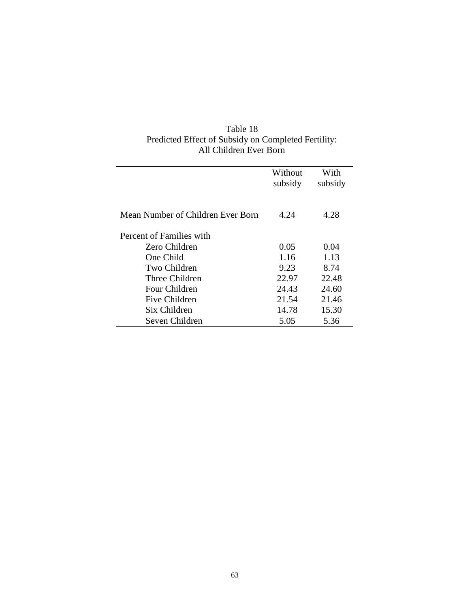| Table 18                                            |
|-----------------------------------------------------|
| Predicted Effect of Subsidy on Completed Fertility: |
| All Children Ever Born                              |

|                                   | Without<br>subsidy | With<br>subsidy |
|-----------------------------------|--------------------|-----------------|
| Mean Number of Children Ever Born | 4.24               | 4.28            |
| Percent of Families with          |                    |                 |
| Zero Children                     | 0.05               | 0.04            |
| One Child                         | 1.16               | 1.13            |
| Two Children                      | 9.23               | 8.74            |
| Three Children                    | 22.97              | 22.48           |
| Four Children                     | 24.43              | 24.60           |
| Five Children                     | 21.54              | 21.46           |
| Six Children                      | 14.78              | 15.30           |
| Seven Children                    | 5.05               | 5.36            |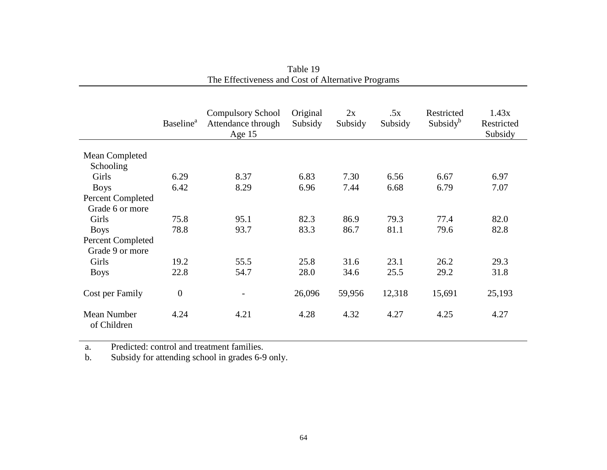|                             | <b>Baseline</b> <sup>a</sup> | <b>Compulsory School</b><br>Attendance through<br>Age $15$ | Original<br>Subsidy | 2x<br>Subsidy | .5x<br>Subsidy | Restricted<br>Subsidy <sup>b</sup> | 1.43x<br>Restricted<br>Subsidy |
|-----------------------------|------------------------------|------------------------------------------------------------|---------------------|---------------|----------------|------------------------------------|--------------------------------|
| Mean Completed<br>Schooling |                              |                                                            |                     |               |                |                                    |                                |
| Girls                       | 6.29                         | 8.37                                                       | 6.83                | 7.30          | 6.56           | 6.67                               | 6.97                           |
| <b>Boys</b>                 | 6.42                         | 8.29                                                       | 6.96                | 7.44          | 6.68           | 6.79                               | 7.07                           |
| <b>Percent Completed</b>    |                              |                                                            |                     |               |                |                                    |                                |
| Grade 6 or more             |                              |                                                            |                     |               |                |                                    |                                |
| Girls                       | 75.8                         | 95.1                                                       | 82.3                | 86.9          | 79.3           | 77.4                               | 82.0                           |
| <b>Boys</b>                 | 78.8                         | 93.7                                                       | 83.3                | 86.7          | 81.1           | 79.6                               | 82.8                           |
| <b>Percent Completed</b>    |                              |                                                            |                     |               |                |                                    |                                |
| Grade 9 or more             |                              |                                                            |                     |               |                |                                    |                                |
| Girls                       | 19.2                         | 55.5                                                       | 25.8                | 31.6          | 23.1           | 26.2                               | 29.3                           |
| <b>Boys</b>                 | 22.8                         | 54.7                                                       | 28.0                | 34.6          | 25.5           | 29.2                               | 31.8                           |
| Cost per Family             | $\overline{0}$               |                                                            | 26,096              | 59,956        | 12,318         | 15,691                             | 25,193                         |
| Mean Number<br>of Children  | 4.24                         | 4.21                                                       | 4.28                | 4.32          | 4.27           | 4.25                               | 4.27                           |

Table 19 The Effectiveness and Cost of Alternative Programs

a.Predicted: control and treatment families.

b.Subsidy for attending school in grades 6-9 only.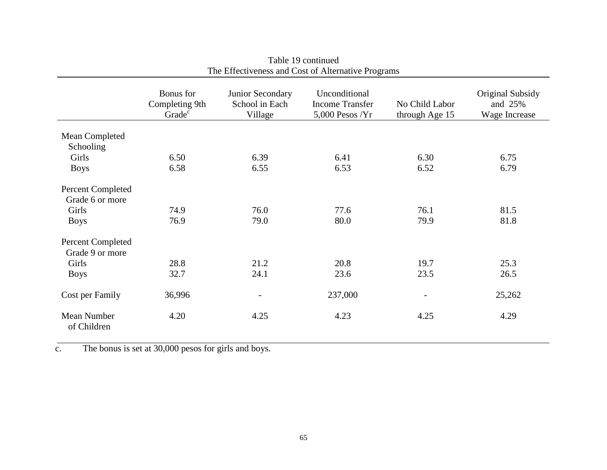|                            | Bonus for<br>Completing 9th<br>Grade <sup>c</sup> | Junior Secondary<br>School in Each<br>Village | Unconditional<br><b>Income Transfer</b><br>$5,000$ Pesos /Yr | No Child Labor<br>through Age 15 | Original Subsidy<br>and 25%<br>Wage Increase |
|----------------------------|---------------------------------------------------|-----------------------------------------------|--------------------------------------------------------------|----------------------------------|----------------------------------------------|
| Mean Completed             |                                                   |                                               |                                                              |                                  |                                              |
| Schooling                  |                                                   |                                               |                                                              |                                  |                                              |
| Girls                      | 6.50                                              | 6.39                                          | 6.41                                                         | 6.30                             | 6.75                                         |
| <b>Boys</b>                | 6.58                                              | 6.55                                          | 6.53                                                         | 6.52                             | 6.79                                         |
| <b>Percent Completed</b>   |                                                   |                                               |                                                              |                                  |                                              |
| Grade 6 or more            |                                                   |                                               |                                                              |                                  |                                              |
| Girls                      | 74.9                                              | 76.0                                          | 77.6                                                         | 76.1                             | 81.5                                         |
| <b>Boys</b>                | 76.9                                              | 79.0                                          | 80.0                                                         | 79.9                             | 81.8                                         |
| Percent Completed          |                                                   |                                               |                                                              |                                  |                                              |
| Grade 9 or more            |                                                   |                                               |                                                              |                                  |                                              |
| Girls                      | 28.8                                              | 21.2                                          | 20.8                                                         | 19.7                             | 25.3                                         |
| <b>Boys</b>                | 32.7                                              | 24.1                                          | 23.6                                                         | 23.5                             | 26.5                                         |
| Cost per Family            | 36,996                                            | $\overline{\phantom{a}}$                      | 237,000                                                      | $\overline{\phantom{a}}$         | 25,262                                       |
| Mean Number<br>of Children | 4.20                                              | 4.25                                          | 4.23                                                         | 4.25                             | 4.29                                         |

Table 19 continued The Effectiveness and Cost of Alternative Programs

c. The bonus is set at 30,000 pesos for girls and boys.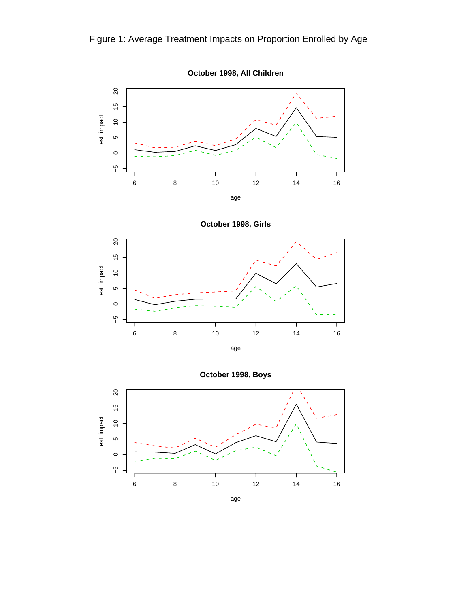



**October 1998, Girls**



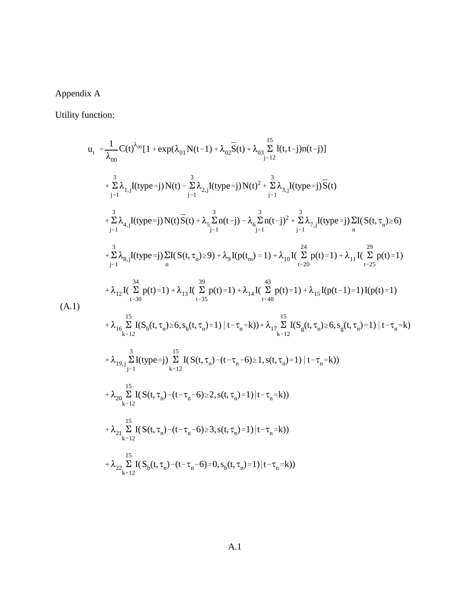# Appendix A

Utility function:

$$
u_{t} = \frac{1}{\lambda_{00}} C(t)^{\lambda_{00}} [1 + \exp(\lambda_{01} N(t-1) + \lambda_{02} \bar{S}(t) + \lambda_{03} \sum_{j=12}^{15} I(t, t-j) n(t-j)]
$$
  
+  $\sum_{j=1}^{3} \lambda_{1,j} I(t y p e = j) N(t) - \sum_{j=1}^{3} \lambda_{2,j} I(t y p e = j) N(t)^{2} + \sum_{j=1}^{3} \lambda_{3,j} I(t y p e = j) \bar{S}(t)$   
+  $\sum_{j=1}^{3} \lambda_{4,j} I(t y p e = j) N(t) \bar{S}(t) + \lambda_{5} \sum_{j=1}^{3} n(t-j) - \lambda_{6} \sum_{j=1}^{3} n(t-j)^{2} + \sum_{j=1}^{3} \lambda_{7,j} I(t y p e = j) \sum_{n} I(S(t, \tau_{n}) \ge 6)$   
+  $\sum_{j=1}^{3} \lambda_{8,j} I(t y p e = j) \sum_{n} I(S(t, \tau_{n}) \ge 9) + \lambda_{9} I(p(t_{m}) = 1) + \lambda_{10} I(\sum_{t=20}^{24} p(t) = 1) + \lambda_{11} I(\sum_{t=25}^{29} p(t) = 1)$   
+  $\lambda_{12} I(\sum_{t=30}^{34} P(t) = 1) + \lambda_{13} I(\sum_{t=35}^{39} p(t) = 1) + \lambda_{14} I(\sum_{t=40}^{43} p(t) = 1) + \lambda_{15} I(p(t-1) = 1) I(p(t) = 1)$   
(A.1)  
+  $\lambda_{16} \sum_{k=12}^{15} I(S_{b}(t, \tau_{n}) \ge 6, s_{b}(t, \tau_{n}) = 1) | t - \tau_{n} = k)$   
+  $\lambda_{19,j} \sum_{j=1}^{3} I(t y p e = j) \sum_{k=12}^{15} I(S(t, \tau_{n}) - (t - \tau_{n} - 6) \ge 1, s(t, \tau_{n}) = 1) | t - \tau_{n} = k)$   
+  $\lambda_{20} \sum_{k=12}^{15} I(S(t, \tau_{n}) - (t - \tau_{n} - 6) \ge 3, s(t, \$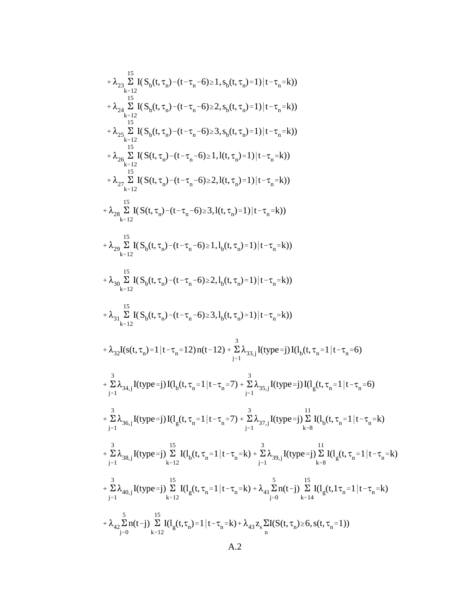+ 
$$
\lambda_{22}\sum_{k=12}^{15} I(S_b(t,\tau_n) - (t-\tau_n-6) \ge 1, s_b(t,\tau_n)=1)|t-\tau_n=k)
$$
  
+  $\lambda_{24}\sum_{k=12}^{5} I(S_b(t,\tau_n) - (t-\tau_n-6) \ge 2, s_b(t,\tau_n)=1)|t-\tau_n=k)$   
+  $\lambda_{25}\sum_{k=12}^{15} I(S_b(t,\tau_n) - (t-\tau_n-6) \ge 3, s_b(t,\tau_n)=1)|t-\tau_n=k)$   
+  $\lambda_{26}\sum_{k=12}^{15} I(S(t,\tau_n) - (t-\tau_n-6) \ge 1, l(t,\tau_n)=1)|t-\tau_n=k)$   
+  $\lambda_{27}\sum_{k=12}^{15} I(S(t,\tau_n) - (t-\tau_n-6) \ge 2, l(t,\tau_n)=1)|t-\tau_n=k)$   
+  $\lambda_{28}\sum_{k=12}^{15} I(S(t,\tau_n) - (t-\tau_n-6) \ge 3, l(t,\tau_n)=1)|t-\tau_n=k)$   
+  $\lambda_{29}\sum_{k=12}^{15} I(S_b(t,\tau_n) - (t-\tau_n-6) \ge 1, l_b(t,\tau_n)=1)|t-\tau_n=k)$   
+  $\lambda_{30}\sum_{k=12}^{15} I(S_b(t,\tau_n) - (t-\tau_n-6) \ge 1, l_b(t,\tau_n)=1)|t-\tau_n=k)$   
+  $\lambda_{31}\sum_{k=12}^{15} I(S_b(t,\tau_n) - (t-\tau_n-6) \ge 3, l_b(t,\tau_n)=1)|t-\tau_n=k)$   
+  $\lambda_{31}\sum_{k=12}^{15} I(S_b(t,\tau_n) - (t-\tau_n-6) \ge 3, l_b(t,\tau_n)=1)|t-\tau_n=k)$   
+  $\lambda_{32}I(s(t,\tau_n)=1|t-\tau_n=12)$   $n(t-12) + \frac{3}{12} \lambda_{33,j}I(type=j)I(l_b(t,\tau_n=1|t-\tau_n=6)$   
+  $\frac{3}{2} \lambda_{34,j}I(type=j)I(l_b(t,\tau_n=1|t-\tau_n=7) + \frac{3}{12} \lambda_{35,j}I(type=j)I(l_b(t,\tau_n=1|t-\tau_n=6)$   
+  $\frac{3}{12} \lambda_{3$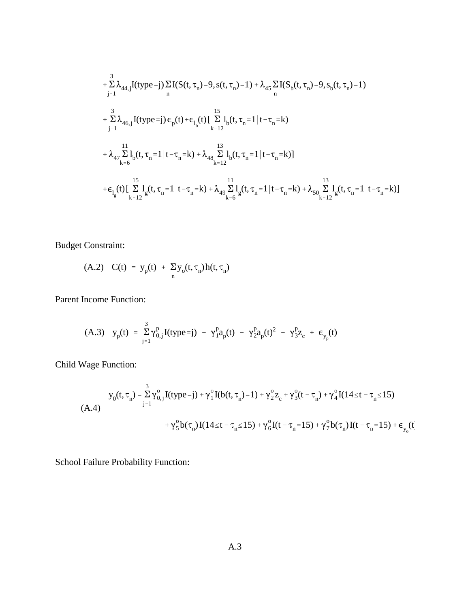$$
+\sum_{j=1}^{3} \lambda_{44,j} I(type=j) \sum_{n} I(S(t, \tau_{n})=9, s(t, \tau_{n})=1) + \lambda_{45} \sum_{n} I(S_{b}(t, \tau_{n})=9, s_{b}(t, \tau_{n})=1)
$$
  
+  $\sum_{j=1}^{3} \lambda_{46,j} I(type=j) \epsilon_{p}(t) + \epsilon_{l_{b}}(t) \left[ \sum_{k=12}^{15} l_{b}(t, \tau_{n}=1 | t-\tau_{n}=k) + \lambda_{47} \sum_{k=6}^{11} l_{b}(t, \tau_{n}=1 | t-\tau_{n}=k) \right]$   
+  $\lambda_{47} \sum_{k=6}^{11} l_{b}(t, \tau_{n}=1 | t-\tau_{n}=k) + \lambda_{48} \sum_{k=12}^{13} l_{b}(t, \tau_{n}=1 | t-\tau_{n}=k) + \lambda_{50} \sum_{k=12}^{13} l_{g}(t, \tau_{n}=1 | t-\tau_{n}=k) + \lambda_{61} \sum_{k=12}^{13} l_{g}(t, \tau_{n}=1 | t-\tau_{n}=k) + \lambda_{70} \sum_{k=12}^{13} l_{g}(t, \tau_{n}=1 | t-\tau_{n}=k) + \lambda_{70} \sum_{k=12}^{13} l_{g}(t, \tau_{n}=1 | t-\tau_{n}=k) + \lambda_{81} \sum_{k=12}^{13} l_{g}(t, \tau_{n}=1 | t-\tau_{n}=k) + \lambda_{82} \sum_{k=12}^{13} l_{g}(t, \tau_{n}=1 | t-\tau_{n}=k) + \lambda_{83} \sum_{k=12}^{13} l_{g}(t, \tau_{n}=1 | t-\tau_{n}=k) + \lambda_{84} \sum_{k=12}^{13} l_{g}(t, \tau_{n}=1 | t-\tau_{n}=k) + \lambda_{85} \sum_{k=12}^{13} l_{g}(t, \tau_{n}=1 | t-\tau_{n}=k) + \lambda_{86} \sum_{k=12}^{13} l_{g}(t, \tau_{n}=1 | t-\tau_{n}=k) + \lambda_{87} \sum_{k=12}^{13} l_{g}(t, \tau_{n}=1 | t-\tau_{n}=k) + \lambda_{88} \sum_{k=12}^{13} l$ 

Budget Constraint:

(A.2) 
$$
C(t) = y_p(t) + \sum_n y_o(t, \tau_n) h(t, \tau_n)
$$

Parent Income Function:

(A.3) 
$$
y_p(t) = \sum_{j=1}^{3} \gamma_{0,j}^p I(typ e = j) + \gamma_1^p a_p(t) - \gamma_2^p a_p(t)^2 + \gamma_3^p z_c + \epsilon_{y_p}(t)
$$

Child Wage Function:

$$
y_0(t, \tau_n) = \sum_{j=1}^3 \gamma_{0,j}^o I(typ_e=j) + \gamma_1^o I(b(t, \tau_n) = 1) + \gamma_2^o z_c + \gamma_3^o (t - \tau_n) + \gamma_4^o I(14 \le t - \tau_n \le 15)
$$
  
+ 
$$
\gamma_5^o b(\tau_n) I(14 \le t - \tau_n \le 15) + \gamma_6^o I(t - \tau_n = 15) + \gamma_7^o b(\tau_n) I(t - \tau_n = 15) + \epsilon_{y_0}(t - \tau_n = 15)
$$

School Failure Probability Function: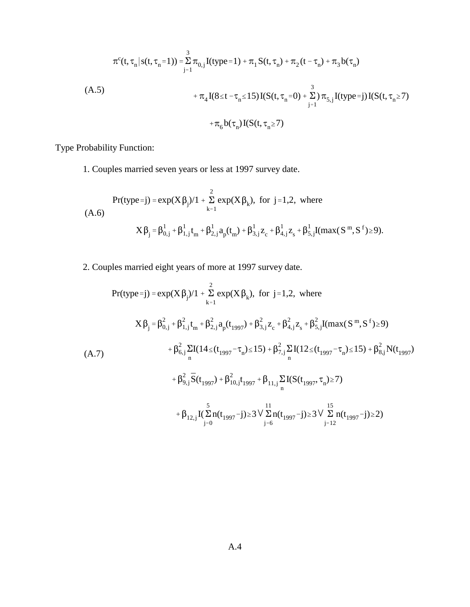$$
\pi^{c}(t, \tau_{n} | s(t, \tau_{n} = 1)) = \sum_{j=1}^{3} \pi_{0,j} I(type = 1) + \pi_{1} S(t, \tau_{n}) + \pi_{2} (t - \tau_{n}) + \pi_{3} b(\tau_{n})
$$
\n
$$
(A.5) + \pi_{4} I(8 \le t - \tau_{n} \le 15) I(S(t, \tau_{n} = 0) + \sum_{j=1}^{3} ) \pi_{5,j} I(type = j) I(S(t, \tau_{n} \ge 7)
$$
\n
$$
+ \pi_{6} b(\tau_{n}) I(S(t, \tau_{n} \ge 7)
$$

Type Probability Function:

1. Couples married seven years or less at 1997 survey date.

$$
\begin{aligned} \Pr(\text{type}=j) = \exp(X\,\beta_j)/1 + \sum_{k=1}^2 \exp(X\,\beta_k), \text{ for } j=1,2, \text{ where} \\ (A.6) \qquad \qquad X\,\beta_j = \beta_{0,j}^1 + \beta_{1,j}^1 t_m + \beta_{2,j}^1 a_p(t_m) + \beta_{3,j}^1 z_c + \beta_{4,j}^1 z_s + \beta_{5,j}^1 I(max(S^m,S^f) \ge 9). \end{aligned}
$$

2. Couples married eight years of more at 1997 survey date.

$$
Pr(type=j) = exp(X\beta_{j})/1 + \sum_{k=1}^{2} exp(X\beta_{k}), \text{ for } j=1,2, \text{ where}
$$
\n
$$
X\beta_{j} = \beta_{0,j}^{2} + \beta_{1,j}^{2}t_{m} + \beta_{2,j}^{2}a_{p}(t_{1997}) + \beta_{3,j}^{2}z_{c} + \beta_{4,j}^{2}z_{s} + \beta_{5,j}^{2}I(max(S^{m},S^{f}) \ge 9)
$$
\n
$$
+ \beta_{6,j}^{2}\sum_{n}I(14 \le (t_{1997} - \tau_{n}) \le 15) + \beta_{7,j}^{2}\sum_{n}I(12 \le (t_{1997} - \tau_{n}) \le 15) + \beta_{8,j}^{2}N(t_{1997}) + \beta_{9,j}^{2}\overline{S}(t_{1997}) + \beta_{10,j}^{2}t_{1997} + \beta_{11,j}\sum_{n}I(S(t_{1997},\tau_{n}) \ge 7)
$$
\n
$$
+ \beta_{12,j}I(\sum_{j=0}^{5}n(t_{1997}-j) \ge 3 \sqrt{\sum_{j=6}^{11}n(t_{1997}-j)} \ge 3 \sqrt{\sum_{j=12}^{15}n(t_{1997}-j)} \ge 3 \sqrt{\sum_{j=12}^{15}n(t_{1997}-j)} \ge 2
$$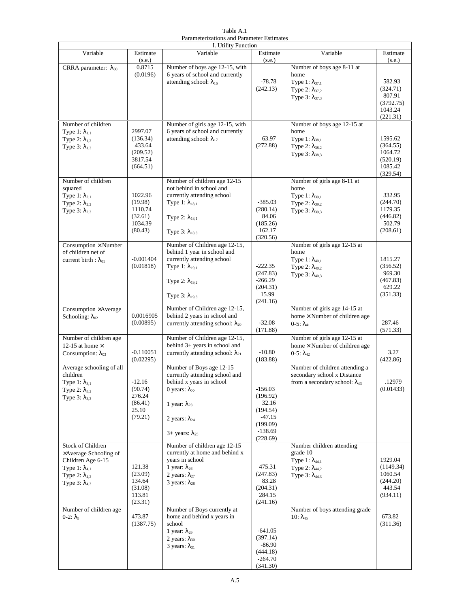Table A.1 Parameterizations and Parameter Estimates

| I. Utility Function            |             |                                            |                      |                                         |                     |  |
|--------------------------------|-------------|--------------------------------------------|----------------------|-----------------------------------------|---------------------|--|
| Variable                       | Estimate    | Variable                                   | Estimate             | Variable                                | Estimate            |  |
|                                | (s.e.)      |                                            | (s.e.)               |                                         | (s.e.)              |  |
| CRRA parameter: $\lambda_{00}$ | 0.8715      | Number of boys age 12-15, with             |                      | Number of boys age 8-11 at              |                     |  |
|                                | (0.0196)    | 6 years of school and currently            |                      | home                                    |                     |  |
|                                |             | attending school: $\lambda_{16}$           | $-78.78$             | Type 1: $\lambda_{37,1}$                | 582.93              |  |
|                                |             |                                            | (242.13)             | Type 2: $\lambda_{37,2}$                | (324.71)<br>807.91  |  |
|                                |             |                                            |                      | Type $3: \lambda_{37,3}$                | (3792.75)           |  |
|                                |             |                                            |                      |                                         | 1043.24             |  |
|                                |             |                                            |                      |                                         | (221.31)            |  |
| Number of children             |             | Number of girls age 12-15, with            |                      | Number of boys age 12-15 at             |                     |  |
| Type 1: $\lambda_{1,1}$        | 2997.07     | 6 years of school and currently            |                      | home                                    |                     |  |
| Type 2: $\lambda_{1,2}$        | (136.34)    | attending school: $\lambda_{17}$           | 63.97                | Type 1: $\lambda_{38.1}$                | 1595.62             |  |
| Type 3: $\lambda_{1,3}$        | 433.64      |                                            | (272.88)             | Type 2: $\lambda_{38,2}$                | (364.55)            |  |
|                                | (209.52)    |                                            |                      | Type 3: $\lambda_{38,3}$                | 1064.72             |  |
|                                | 3817.54     |                                            |                      |                                         | (520.19)            |  |
|                                | (664.51)    |                                            |                      |                                         | 1085.42             |  |
|                                |             |                                            |                      |                                         | (329.54)            |  |
| Number of children             |             | Number of children age 12-15               |                      | Number of girls age 8-11 at             |                     |  |
| squared                        | 1022.96     | not behind in school and                   |                      | home                                    |                     |  |
| Type 1: $\lambda_{2,1}$        | (19.98)     | currently attending school                 | $-385.03$            | Type 1: $\lambda_{39,1}$                | 332.95              |  |
| Type 2: $\lambda_{2,2}$        | 1110.74     | Type 1: $\lambda_{18,1}$                   | (280.14)             | Type 2: $\lambda_{39,2}$                | (244.70)<br>1179.35 |  |
| Type 3: $\lambda_{2,3}$        | (32.61)     |                                            | 84.06                | Type 3: $\lambda_{39.3}$                | (446.82)            |  |
|                                | 1034.39     | Type 2: $\lambda_{18,1}$                   | (185.26)             |                                         | 502.79              |  |
|                                | (80.43)     | Type $3: \lambda_{18,3}$                   | 162.17               |                                         | (208.61)            |  |
|                                |             |                                            | (320.56)             |                                         |                     |  |
| Consumption $\times$ Number    |             | Number of Children age 12-15,              |                      | Number of girls age 12-15 at            |                     |  |
| of children net of             |             | behind 1 year in school and                |                      | home                                    |                     |  |
| current birth : $\lambda_{01}$ | $-0.001404$ | currently attending school                 |                      | Type 1: $\lambda_{40.1}$                | 1815.27             |  |
|                                | (0.01818)   | Type 1: $\lambda_{19,1}$                   | $-222.35$            | Type 2: $\lambda_{40,2}$                | (356.52)            |  |
|                                |             |                                            | (247.83)             | Type 3: $\lambda_{40,3}$                | 969.30              |  |
|                                |             | Type 2: $\lambda_{19,2}$                   | $-266.29$            |                                         | (467.83)            |  |
|                                |             |                                            | (204.31)             |                                         | 629.22              |  |
|                                |             | Type $3: \lambda_{19,3}$                   | 15.99                |                                         | (351.33)            |  |
|                                |             | Number of Children age 12-15,              | (241.16)             | Number of girls age 14-15 at            |                     |  |
| Consumption ×Average           | 0.0016905   | behind 2 years in school and               |                      | home × Number of children age           |                     |  |
| Schooling: $\lambda_{02}$      | (0.00895)   | currently attending school: $\lambda_{20}$ | $-32.08$             |                                         | 287.46              |  |
|                                |             |                                            | (171.88)             | $0 - 5: \lambda_{41}$                   | (571.33)            |  |
| Number of children age         |             | Number of Children age 12-15,              |                      | Number of girls age 12-15 at            |                     |  |
| 12-15 at home $\times$         |             | behind 3+ years in school and              |                      | home × Number of children age           |                     |  |
| Consumption: $\lambda_{03}$    | $-0.110051$ | currently attending school: $\lambda_{21}$ | $-10.80$             | $0-5: \lambda_{42}$                     | 3.27                |  |
|                                | (0.02295)   |                                            | (183.88)             |                                         | (422.86)            |  |
| Average schooling of all       |             | Number of Boys age 12-15                   |                      | Number of children attending a          |                     |  |
| children                       |             | currently attending school and             |                      | secondary school x Distance             |                     |  |
| Type 1: $\lambda_{3,1}$        | $-12.16$    | behind x years in school                   |                      | from a secondary school: $\lambda_{43}$ | .12979              |  |
| Type 2: $\lambda_{3,2}$        | (90.74)     | 0 years: $\lambda_{22}$                    | $-156.03$            |                                         | (0.01433)           |  |
| Type 3: $\lambda_{3,3}$        | 276.24      |                                            | (196.92)             |                                         |                     |  |
|                                | (86.41)     | 1 year: $\lambda_{23}$                     | 32.16                |                                         |                     |  |
|                                | 25.10       |                                            | (194.54)             |                                         |                     |  |
|                                | (79.21)     | 2 years: $\lambda_{24}$                    | $-47.15$<br>(199.09) |                                         |                     |  |
|                                |             |                                            | $-138.69$            |                                         |                     |  |
|                                |             | $3+$ years: $\lambda_{25}$                 | (228.69)             |                                         |                     |  |
| <b>Stock of Children</b>       |             | Number of children age 12-15               |                      | Number children attending               |                     |  |
| ×Average Schooling of          |             | currently at home and behind x             |                      | grade 10                                |                     |  |
| Children Age 6-15              |             | years in school                            |                      | Type 1: $\lambda_{44,1}$                | 1929.04             |  |
| Type 1: $\lambda_{4,1}$        | 121.38      | 1 year: $\lambda_{26}$                     | 475.31               | Type 2: $\lambda_{44,2}$                | (1149.34)           |  |
| Type 2: $\lambda_{4,2}$        | (23.09)     | 2 years: $\lambda_{27}$                    | (247.83)             | Type $3: \lambda_{44,3}$                | 1060.54             |  |
| Type $3: \lambda_{4,3}$        | 134.64      | 3 years: $\lambda_{28}$                    | 83.28                |                                         | (244.20)            |  |
|                                | (31.08)     |                                            | (204.31)             |                                         | 443.54              |  |
|                                | 113.81      |                                            | 284.15               |                                         | (934.11)            |  |
| Number of children age         | (23.31)     | Number of Boys currently at                | (241.16)             | Number of boys attending grade          |                     |  |
| $0-2$ : $\lambda_5$            | 473.87      | home and behind x years in                 |                      | $10: \lambda_{45}$                      | 673.82              |  |
|                                | (1387.75)   | school                                     |                      |                                         | (311.36)            |  |
|                                |             | 1 year: $\lambda_{29}$                     | $-641.05$            |                                         |                     |  |
|                                |             | 2 years: $\lambda_{30}$                    | (397.14)             |                                         |                     |  |
|                                |             | 3 years: $\lambda_{31}$                    | $-86.90$             |                                         |                     |  |
|                                |             |                                            | (444.18)             |                                         |                     |  |
|                                |             |                                            | $-264.70$            |                                         |                     |  |
|                                |             |                                            | (341.30)             |                                         |                     |  |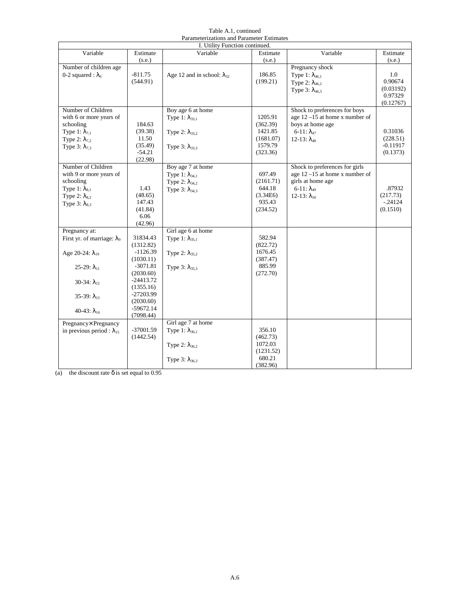| Table A.1, continued                      |  |
|-------------------------------------------|--|
| Parameterizations and Parameter Estimates |  |

|                                       |             | I. Utility Function continued.       |                      |                                   |            |
|---------------------------------------|-------------|--------------------------------------|----------------------|-----------------------------------|------------|
| Variable                              | Estimate    | Variable                             | Estimate             | Variable                          | Estimate   |
|                                       | (s.e.)      |                                      | (s.e.)               |                                   | (s.e.)     |
| Number of children age                |             |                                      |                      | Pregnancy shock                   |            |
| 0-2 squared : $\lambda_6$             | $-811.75$   | Age 12 and in school: $\lambda_{32}$ | 186.85               | Type 1: $\lambda_{46,1}$          | 1.0        |
|                                       | (544.91)    |                                      | (199.21)             | Type 2: $\lambda_{46.2}$          | 0.90674    |
|                                       |             |                                      |                      | Type 3: $\lambda_{46,3}$          | (0.03192)  |
|                                       |             |                                      |                      |                                   | 0.97329    |
| Number of Children                    |             | Boy age 6 at home                    |                      | Shock to preferences for boys     | (0.12767)  |
| with 6 or more years of               |             |                                      | 1205.91              | age $12 - 15$ at home x number of |            |
| schooling                             | 184.63      | Type 1: $\lambda_{33,1}$             | (362.39)             | boys at home age                  |            |
| Type 1: $\lambda_{7,1}$               | (39.38)     |                                      | 1421.85              | 6-11: $λ$ <sub>47</sub>           | 0.31036    |
| Type 2: $\lambda_{7,2}$               | 11.50       | Type 2: $\lambda_{33,2}$             | (1681.07)            | $12-13: \lambda_{48}$             | (228.51)   |
| Type 3: $\lambda_{7,3}$               | (35.49)     |                                      | 1579.79              |                                   | $-0.11917$ |
|                                       | $-54.21$    | Type 3: $\lambda_{33,3}$             | (323.36)             |                                   | (0.1373)   |
|                                       | (22.98)     |                                      |                      |                                   |            |
| Number of Children                    |             | Boy age 7 at home                    |                      | Shock to preferences for girls    |            |
| with 9 or more years of               |             | Type 1: $\lambda_{34,1}$             | 697.49               | age $12 - 15$ at home x number of |            |
| schooling                             |             | Type 2: $\lambda_{34,2}$             | (2161.71)            | girls at home age                 |            |
| Type 1: $\lambda_{8,1}$               | 1.43        | Type $3: \lambda_{34,3}$             | 644.18               | $6 - 11$ : $\lambda_{49}$         | .87932     |
| Type 2: $\lambda_{8,2}$               | (48.65)     |                                      | (3.34E6)             | 12-13: $λ_{50}$                   | (217.73)   |
| Type $3: \lambda_{8,3}$               | 147.43      |                                      | 935.43               |                                   | $-0.24124$ |
|                                       | (41.84)     |                                      | (234.52)             |                                   | (0.1510)   |
|                                       | 6.06        |                                      |                      |                                   |            |
|                                       | (42.96)     |                                      |                      |                                   |            |
| Pregnancy at:                         | 31834.43    | Girl age 6 at home                   | 582.94               |                                   |            |
| First yr. of marriage: λ <sub>9</sub> | (1312.82)   | Type 1: $\lambda_{35,1}$             | (822.72)             |                                   |            |
|                                       | $-1126.39$  |                                      | 1676.45              |                                   |            |
| Age 20-24: $\lambda_{19}$             | (1030.11)   | Type 2: $\lambda_{35,2}$             | (387.47)             |                                   |            |
| $25-29: \lambda_{11}$                 | $-3071.81$  | Type $3: \lambda_{35,3}$             | 885.99               |                                   |            |
|                                       | (2030.60)   |                                      | (272.70)             |                                   |            |
| 30-34: $\lambda_{12}$                 | $-24413.72$ |                                      |                      |                                   |            |
|                                       | (1355.16)   |                                      |                      |                                   |            |
| 35-39: $\lambda_{13}$                 | $-27203.99$ |                                      |                      |                                   |            |
|                                       | (2030.60)   |                                      |                      |                                   |            |
| 40-43: $\lambda_{14}$                 | $-59672.14$ |                                      |                      |                                   |            |
|                                       | (7098.44)   |                                      |                      |                                   |            |
| Pregnancy× Pregnancy                  |             | Girl age 7 at home                   |                      |                                   |            |
| in previous period : $\lambda_{15}$   | $-37001.59$ | Type 1: $\lambda_{36,1}$             | 356.10               |                                   |            |
|                                       | (1442.54)   |                                      | (462.73)             |                                   |            |
|                                       |             | Type 2: $\lambda_{36,2}$             | 1072.03<br>(1231.52) |                                   |            |
|                                       |             |                                      | 680.21               |                                   |            |
|                                       |             | Type $3: \lambda_{36,3}$             | (382.96)             |                                   |            |

(a) the discount rate  $\delta$  is set equal to 0.95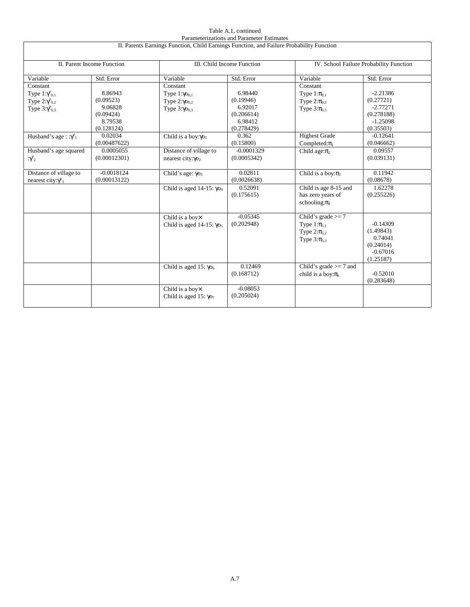|                                                                                                                               |                                                                                                  |                                                                                                                          | Parameterizations and Parameter Estimates                                                    |                                                                                                                          |                                                                                                            |
|-------------------------------------------------------------------------------------------------------------------------------|--------------------------------------------------------------------------------------------------|--------------------------------------------------------------------------------------------------------------------------|----------------------------------------------------------------------------------------------|--------------------------------------------------------------------------------------------------------------------------|------------------------------------------------------------------------------------------------------------|
|                                                                                                                               |                                                                                                  | II. Parents Earnings Function, Child Earnings Function, and Failure Probability Function                                 |                                                                                              |                                                                                                                          |                                                                                                            |
|                                                                                                                               |                                                                                                  |                                                                                                                          |                                                                                              |                                                                                                                          |                                                                                                            |
|                                                                                                                               | II. Parent Income Function                                                                       |                                                                                                                          | III. Child Income Function                                                                   |                                                                                                                          | IV. School Failure Probability Function                                                                    |
| Variable                                                                                                                      | Std. Error                                                                                       | Variable                                                                                                                 | Std. Error                                                                                   | Variable                                                                                                                 | Std. Error                                                                                                 |
| Constant<br>Type $1:\gamma_{0,1}^p$<br>Type $2:\gamma_{0,2}^p$<br>Type $3:\gamma_{0,3}^p$<br>Husband's age: $:\gamma_{1}^{p}$ | 8.86943<br>(0.09523)<br>9.06828<br>(0.09424)<br>8.79538<br>(0.128124)<br>0.02034<br>(0.00487622) | Constant<br>Type $1:\gamma_{0,1}$<br>Type $2:\gamma o_{0,2}$<br>Type $3:\gamma_{0,3}$<br>Child is a boy: Yo <sub>1</sub> | 6.98440<br>(0.19946)<br>6.92017<br>(0.206614)<br>6.98412<br>(0.278429)<br>0.362<br>(0.15800) | Constant<br>Type $1:\pi_{0,1}$<br>Type $2:\pi_{0.2}$<br>Type $3:\pi_{0.3}$<br><b>Highest Grade</b><br>Completed: $\pi_1$ | $-2.21386$<br>(0.27721)<br>$-2.77271$<br>(0.278188)<br>$-1.25098$<br>(0.35503)<br>$-0.12641$<br>(0.046662) |
| Husband's age squared<br>$\gamma_{2}^{p}$                                                                                     | 0.0005055<br>(0.00012301)                                                                        | Distance of village to<br>nearest city: Yo <sub>2</sub>                                                                  | $-0.0001329$<br>(0.0005342)                                                                  | Child age: $\pi_2$                                                                                                       | 0.09557<br>(0.039131)                                                                                      |
| Distance of village to<br>nearest city: $\gamma_{3}^{p}$                                                                      | $-0.0018124$<br>(0.00013122)                                                                     | Child's age: $\gamma$ <sup>o</sup> <sub>3</sub>                                                                          | 0.02811<br>(0.0026638)                                                                       | Child is a boy: $\pi_3$                                                                                                  | 0.11942<br>(0.08678)                                                                                       |
|                                                                                                                               |                                                                                                  | Child is aged 14-15: $\gamma_{O_4}$                                                                                      | 0.52091<br>(0.175615)                                                                        | Child is age 8-15 and<br>has zero years of<br>schooling: $\pi_4$                                                         | 1.62278<br>(0.255226)                                                                                      |
|                                                                                                                               |                                                                                                  | Child is a boyx<br>Child is aged 14-15: $\gamma$ o <sub>5</sub>                                                          | $-0.05345$<br>(0.202948)                                                                     | Child's grade $>= 7$<br>Type $1:\pi_{5,1}$<br>Type $2:\pi_{5,2}$<br>Type $3:\pi_{5,3}$                                   | $-0.14309$<br>(1.49843)<br>0.74041<br>(0.24014)<br>$-0.67016$<br>(1.25187)                                 |
|                                                                                                                               |                                                                                                  | Child is aged 15: $\gamma$ O <sub>6</sub>                                                                                | 0.12469<br>(0.168712)                                                                        | Child's grade $>= 7$ and<br>child is a boy: $\pi_6$                                                                      | $-0.52010$<br>(0.283648)                                                                                   |
|                                                                                                                               |                                                                                                  | Child is a boy×<br>Child is aged 15: $\gamma$ O <sub>7</sub>                                                             | $-0.08053$<br>(0.205024)                                                                     |                                                                                                                          |                                                                                                            |

## Table A.1, continued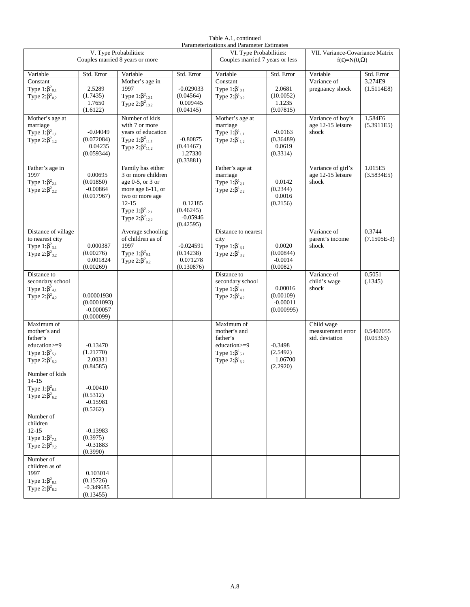| Table A.1, continued                      |
|-------------------------------------------|
| Parameterizations and Parameter Estimates |

| V. Type Probabilities:<br>Couples married 8 years or more                                                  |                                                        |                                                                                                                                                                             | I arameterizations and I arameter Estimates<br>VI. Type Probabilities:<br>Couples married 7 years or less |                                                                                                            | VII. Variance-Covariance Matrix<br>$f(\epsilon)=N(0,\Omega)$ |                                                   |                        |
|------------------------------------------------------------------------------------------------------------|--------------------------------------------------------|-----------------------------------------------------------------------------------------------------------------------------------------------------------------------------|-----------------------------------------------------------------------------------------------------------|------------------------------------------------------------------------------------------------------------|--------------------------------------------------------------|---------------------------------------------------|------------------------|
| Variable                                                                                                   | Std. Error                                             | Variable                                                                                                                                                                    | Std. Error                                                                                                | Variable                                                                                                   | Std. Error                                                   | Variable                                          | Std. Error             |
| Constant                                                                                                   |                                                        | Mother's age in                                                                                                                                                             |                                                                                                           | Constant                                                                                                   |                                                              | Variance of                                       | 3.274E9                |
| Type $1:\beta^2_{0,1}$<br>Type $2:\beta^2_{0,2}$                                                           | 2.5289<br>(1.7435)<br>1.7650<br>(1.6122)               | 1997<br>Type $1:\beta^2_{10,1}$<br>Type $2:\beta^2_{10,2}$                                                                                                                  | $-0.029033$<br>(0.04564)<br>0.009445<br>(0.04145)                                                         | Type $1:\beta^1_{0,1}$<br>Type $2:\beta^1_{0,2}$                                                           | 2.0681<br>(10.0052)<br>1.1235<br>(9.07815)                   | pregnancy shock                                   | (1.5114E8)             |
| Mother's age at<br>marriage<br>Type $1:\beta^2_{1,1}$<br>Type $2:\beta^2_{1,2}$                            | $-0.04049$<br>(0.072084)<br>0.04235<br>(0.059344)      | Number of kids<br>with 7 or more<br>years of education<br>Type $1:\beta^2_{11,1}$<br>Type $2:\beta^2_{11,2}$                                                                | $-0.80875$<br>(0.41467)<br>1.27330<br>(0.33881)                                                           | Mother's age at<br>marriage<br>Type $1:\beta^1_{1,1}$<br>Type $2:\beta^1_{1,2}$                            | $-0.0163$<br>(0.36489)<br>0.0619<br>(0.3314)                 | Variance of boy's<br>age 12-15 leisure<br>shock   | 1.584E6<br>(5.3911E5)  |
| Father's age in<br>1997<br>Type $1:\beta^2_{2,1}$<br>Type $2:\beta^2_{2,2}$                                | 0.00695<br>(0.01850)<br>$-0.00864$<br>(0.017967)       | Family has either<br>3 or more children<br>age $0-5$ , or $3$ or<br>more age 6-11, or<br>two or more age<br>$12 - 15$<br>Type $1:\beta^2_{12,1}$<br>Type $2:\beta^2_{12,2}$ | 0.12185<br>(0.46245)<br>$-0.05946$<br>(0.42595)                                                           | Father's age at<br>marriage<br>Type $1:\beta^1_{2,1}$<br>Type $2:\beta^1{}_{2,2}$                          | 0.0142<br>(0.2344)<br>0.0016<br>(0.2156)                     | Variance of girl's<br>age 12-15 leisure<br>shock  | 1.015E5<br>(3.5834E5)  |
| Distance of village                                                                                        |                                                        | Average schooling                                                                                                                                                           |                                                                                                           | Distance to nearest                                                                                        |                                                              | Variance of                                       | 0.3744                 |
| to nearest city<br>Type $1:\beta^2_{3,1}$<br>Type $2:\beta^2_{3,2}$                                        | 0.000387<br>(0.00276)<br>0.001824<br>(0.00269)         | of children as of<br>1997<br>Type $1:\beta^2$ <sub>9,1</sub><br>Type $2:\beta_{9,2}^2$                                                                                      | $-0.024591$<br>(0.14238)<br>0.071278<br>(0.130876)                                                        | city<br>Type $1:\beta^1_{3,1}$<br>Type $2:\beta^1_{3,2}$                                                   | 0.0020<br>(0.00844)<br>$-0.0014$<br>(0.0082)                 | parent's income<br>shock                          | $(7.1505E-3)$          |
| Distance to<br>secondary school<br>Type $1:\beta^2_{4,1}$<br>Type $2:\beta^2_{4,2}$                        | 0.00001930<br>(0.0001093)<br>$-0.000057$<br>(0.000099) |                                                                                                                                                                             |                                                                                                           | Distance to<br>secondary school<br>Type $1:\beta^1_{4,1}$<br>Type $2:\beta^1_{4,2}$                        | 0.00016<br>(0.00109)<br>$-0.00011$<br>(0.000995)             | Variance of<br>child's wage<br>shock              | 0.5051<br>(.1345)      |
| Maximum of<br>mother's and<br>father's<br>education>=9<br>Type $1:\beta^2_{5,1}$<br>Type $2:\beta^2_{5,2}$ | $-0.13470$<br>(1.21770)<br>2.00331<br>(0.84585)        |                                                                                                                                                                             |                                                                                                           | Maximum of<br>mother's and<br>father's<br>education>=9<br>Type $1:\beta^1_{5,1}$<br>Type $2:\beta^1_{5,2}$ | $-0.3498$<br>(2.5492)<br>1.06700<br>(2.2920)                 | Child wage<br>measurement error<br>std. deviation | 0.5402055<br>(0.05363) |
| Number of kids<br>$14 - 15$<br>Type $1:\beta^2_{6,1}$<br>Type $2:\beta^2_{6,2}$                            | $-0.00410$<br>(0.5312)<br>$-0.15981$<br>(0.5262)       |                                                                                                                                                                             |                                                                                                           |                                                                                                            |                                                              |                                                   |                        |
| Number of<br>children<br>$12 - 15$<br>Type 1: $β2_{7,1}$<br>Type 2: $β2_{7,2}$                             | $-0.13983$<br>(0.3975)<br>$-0.31883$<br>(0.3990)       |                                                                                                                                                                             |                                                                                                           |                                                                                                            |                                                              |                                                   |                        |
| Number of<br>children as of<br>1997<br>Type $1:\beta^2_{8,1}$<br>Type $2:\beta^2_{8,2}$                    | 0.103014<br>(0.15726)<br>$-0.349685$<br>(0.13455)      |                                                                                                                                                                             |                                                                                                           |                                                                                                            |                                                              |                                                   |                        |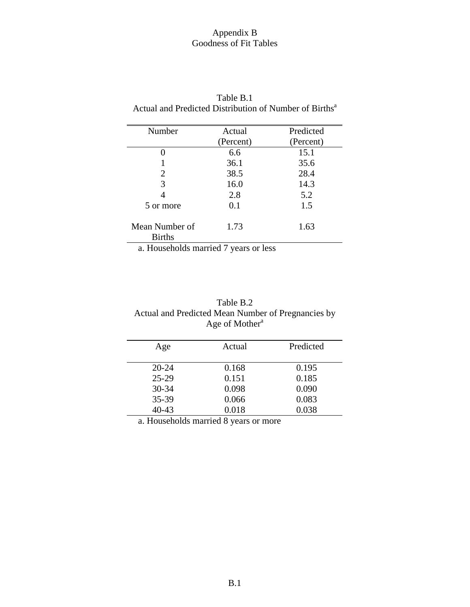## Appendix B Goodness of Fit Tables

| Number                          | Actual    | Predicted |
|---------------------------------|-----------|-----------|
|                                 | (Percent) | (Percent) |
| 0                               | 6.6       | 15.1      |
|                                 | 36.1      | 35.6      |
| 2                               | 38.5      | 28.4      |
| 3                               | 16.0      | 14.3      |
|                                 | 2.8       | 5.2       |
| 5 or more                       | 0.1       | 1.5       |
| Mean Number of<br><b>Births</b> | 1.73      | 1.63      |

| Table B.1                                                          |  |
|--------------------------------------------------------------------|--|
| Actual and Predicted Distribution of Number of Births <sup>a</sup> |  |

a. Households married 7 years or less

| Table B.2                                          |
|----------------------------------------------------|
| Actual and Predicted Mean Number of Pregnancies by |
| Age of Mother <sup>a</sup>                         |

| Age       | Actual | Predicted |
|-----------|--------|-----------|
| $20 - 24$ | 0.168  | 0.195     |
| $25-29$   | 0.151  | 0.185     |
| $30 - 34$ | 0.098  | 0.090     |
| 35-39     | 0.066  | 0.083     |
| $40 - 43$ | 0.018  | 0.038     |

a. Households married 8 years or more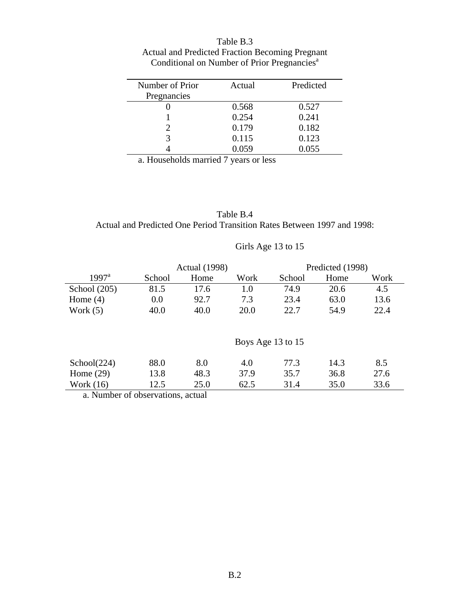| Table B.3                                               |
|---------------------------------------------------------|
| Actual and Predicted Fraction Becoming Pregnant         |
| Conditional on Number of Prior Pregnancies <sup>a</sup> |

| Number of Prior | Actual | Predicted |
|-----------------|--------|-----------|
| Pregnancies     |        |           |
|                 | 0.568  | 0.527     |
|                 | 0.254  | 0.241     |
|                 | 0.179  | 0.182     |
| 3               | 0.115  | 0.123     |
|                 | 0.059  | 0.055     |

a. Households married 7 years or less

Table B.4 Actual and Predicted One Period Transition Rates Between 1997 and 1998:

## Girls Age 13 to 15

|                | <b>Actual</b> (1998) |      |      | Predicted (1998)  |      |      |
|----------------|----------------------|------|------|-------------------|------|------|
| $1997^{\rm a}$ | School               | Home | Work | School            | Home | Work |
| School $(205)$ | 81.5                 | 17.6 | 1.0  | 74.9              | 20.6 | 4.5  |
| Home $(4)$     | 0.0                  | 92.7 | 7.3  | 23.4              | 63.0 | 13.6 |
| Work $(5)$     | 40.0                 | 40.0 | 20.0 | 22.7              | 54.9 | 22.4 |
|                |                      |      |      | Boys Age 13 to 15 |      |      |
| School (224)   | 88.0                 | 8.0  | 4.0  | 77.3              | 14.3 | 8.5  |
| Home $(29)$    | 13.8                 | 48.3 | 37.9 | 35.7              | 36.8 | 27.6 |
| Work $(16)$    | 12.5                 | 25.0 | 62.5 | 31.4              | 35.0 | 33.6 |

a. Number of observations, actual